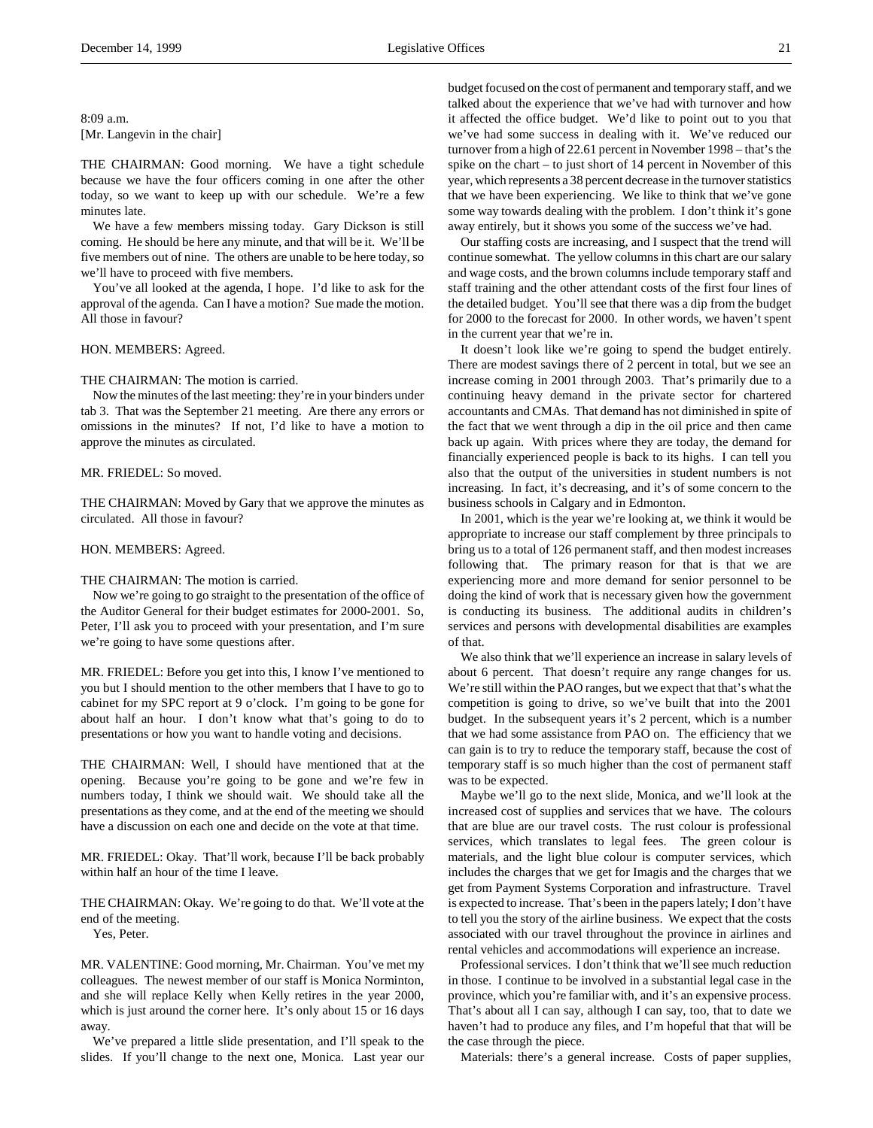8:09 a.m. [Mr. Langevin in the chair]

THE CHAIRMAN: Good morning. We have a tight schedule because we have the four officers coming in one after the other today, so we want to keep up with our schedule. We're a few minutes late.

We have a few members missing today. Gary Dickson is still coming. He should be here any minute, and that will be it. We'll be five members out of nine. The others are unable to be here today, so we'll have to proceed with five members.

You've all looked at the agenda, I hope. I'd like to ask for the approval of the agenda. Can I have a motion? Sue made the motion. All those in favour?

### HON. MEMBERS: Agreed.

### THE CHAIRMAN: The motion is carried.

Now the minutes of the last meeting: they're in your binders under tab 3. That was the September 21 meeting. Are there any errors or omissions in the minutes? If not, I'd like to have a motion to approve the minutes as circulated.

### MR. FRIEDEL: So moved.

THE CHAIRMAN: Moved by Gary that we approve the minutes as circulated. All those in favour?

### HON. MEMBERS: Agreed.

### THE CHAIRMAN: The motion is carried.

Now we're going to go straight to the presentation of the office of the Auditor General for their budget estimates for 2000-2001. So, Peter, I'll ask you to proceed with your presentation, and I'm sure we're going to have some questions after.

MR. FRIEDEL: Before you get into this, I know I've mentioned to you but I should mention to the other members that I have to go to cabinet for my SPC report at 9 o'clock. I'm going to be gone for about half an hour. I don't know what that's going to do to presentations or how you want to handle voting and decisions.

THE CHAIRMAN: Well, I should have mentioned that at the opening. Because you're going to be gone and we're few in numbers today, I think we should wait. We should take all the presentations as they come, and at the end of the meeting we should have a discussion on each one and decide on the vote at that time.

MR. FRIEDEL: Okay. That'll work, because I'll be back probably within half an hour of the time I leave.

THE CHAIRMAN: Okay. We're going to do that. We'll vote at the end of the meeting.

Yes, Peter.

MR. VALENTINE: Good morning, Mr. Chairman. You've met my colleagues. The newest member of our staff is Monica Norminton, and she will replace Kelly when Kelly retires in the year 2000, which is just around the corner here. It's only about 15 or 16 days away.

We've prepared a little slide presentation, and I'll speak to the slides. If you'll change to the next one, Monica. Last year our budget focused on the cost of permanent and temporary staff, and we talked about the experience that we've had with turnover and how it affected the office budget. We'd like to point out to you that we've had some success in dealing with it. We've reduced our turnover from a high of 22.61 percent in November 1998 – that's the spike on the chart – to just short of 14 percent in November of this year, which represents a 38 percent decrease in the turnover statistics that we have been experiencing. We like to think that we've gone some way towards dealing with the problem. I don't think it's gone away entirely, but it shows you some of the success we've had.

Our staffing costs are increasing, and I suspect that the trend will continue somewhat. The yellow columns in this chart are our salary and wage costs, and the brown columns include temporary staff and staff training and the other attendant costs of the first four lines of the detailed budget. You'll see that there was a dip from the budget for 2000 to the forecast for 2000. In other words, we haven't spent in the current year that we're in.

It doesn't look like we're going to spend the budget entirely. There are modest savings there of 2 percent in total, but we see an increase coming in 2001 through 2003. That's primarily due to a continuing heavy demand in the private sector for chartered accountants and CMAs. That demand has not diminished in spite of the fact that we went through a dip in the oil price and then came back up again. With prices where they are today, the demand for financially experienced people is back to its highs. I can tell you also that the output of the universities in student numbers is not increasing. In fact, it's decreasing, and it's of some concern to the business schools in Calgary and in Edmonton.

In 2001, which is the year we're looking at, we think it would be appropriate to increase our staff complement by three principals to bring us to a total of 126 permanent staff, and then modest increases following that. The primary reason for that is that we are experiencing more and more demand for senior personnel to be doing the kind of work that is necessary given how the government is conducting its business. The additional audits in children's services and persons with developmental disabilities are examples of that.

We also think that we'll experience an increase in salary levels of about 6 percent. That doesn't require any range changes for us. We're still within the PAO ranges, but we expect that that's what the competition is going to drive, so we've built that into the 2001 budget. In the subsequent years it's 2 percent, which is a number that we had some assistance from PAO on. The efficiency that we can gain is to try to reduce the temporary staff, because the cost of temporary staff is so much higher than the cost of permanent staff was to be expected.

Maybe we'll go to the next slide, Monica, and we'll look at the increased cost of supplies and services that we have. The colours that are blue are our travel costs. The rust colour is professional services, which translates to legal fees. The green colour is materials, and the light blue colour is computer services, which includes the charges that we get for Imagis and the charges that we get from Payment Systems Corporation and infrastructure. Travel is expected to increase. That's been in the papers lately; I don't have to tell you the story of the airline business. We expect that the costs associated with our travel throughout the province in airlines and rental vehicles and accommodations will experience an increase.

Professional services. I don't think that we'll see much reduction in those. I continue to be involved in a substantial legal case in the province, which you're familiar with, and it's an expensive process. That's about all I can say, although I can say, too, that to date we haven't had to produce any files, and I'm hopeful that that will be the case through the piece.

Materials: there's a general increase. Costs of paper supplies,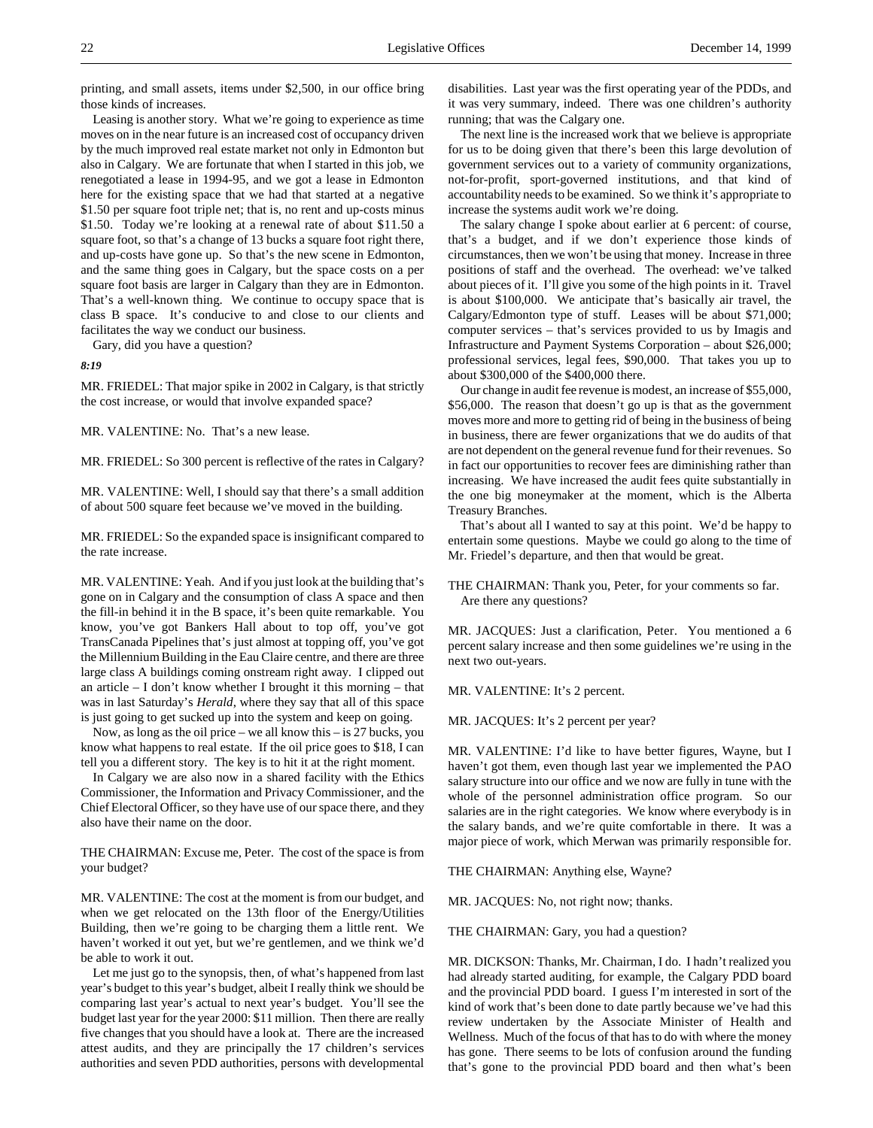printing, and small assets, items under \$2,500, in our office bring those kinds of increases.

Leasing is another story. What we're going to experience as time moves on in the near future is an increased cost of occupancy driven by the much improved real estate market not only in Edmonton but also in Calgary. We are fortunate that when I started in this job, we renegotiated a lease in 1994-95, and we got a lease in Edmonton here for the existing space that we had that started at a negative \$1.50 per square foot triple net; that is, no rent and up-costs minus \$1.50. Today we're looking at a renewal rate of about \$11.50 a square foot, so that's a change of 13 bucks a square foot right there, and up-costs have gone up. So that's the new scene in Edmonton, and the same thing goes in Calgary, but the space costs on a per square foot basis are larger in Calgary than they are in Edmonton. That's a well-known thing. We continue to occupy space that is class B space. It's conducive to and close to our clients and facilitates the way we conduct our business.

Gary, did you have a question?

#### *8:19*

MR. FRIEDEL: That major spike in 2002 in Calgary, is that strictly the cost increase, or would that involve expanded space?

MR. VALENTINE: No. That's a new lease.

MR. FRIEDEL: So 300 percent is reflective of the rates in Calgary?

MR. VALENTINE: Well, I should say that there's a small addition of about 500 square feet because we've moved in the building.

MR. FRIEDEL: So the expanded space is insignificant compared to the rate increase.

MR. VALENTINE: Yeah. And if you just look at the building that's gone on in Calgary and the consumption of class A space and then the fill-in behind it in the B space, it's been quite remarkable. You know, you've got Bankers Hall about to top off, you've got TransCanada Pipelines that's just almost at topping off, you've got the Millennium Building in the Eau Claire centre, and there are three large class A buildings coming onstream right away. I clipped out an article – I don't know whether I brought it this morning – that was in last Saturday's *Herald*, where they say that all of this space is just going to get sucked up into the system and keep on going.

Now, as long as the oil price – we all know this – is 27 bucks, you know what happens to real estate. If the oil price goes to \$18, I can tell you a different story. The key is to hit it at the right moment.

In Calgary we are also now in a shared facility with the Ethics Commissioner, the Information and Privacy Commissioner, and the Chief Electoral Officer, so they have use of our space there, and they also have their name on the door.

THE CHAIRMAN: Excuse me, Peter. The cost of the space is from your budget?

MR. VALENTINE: The cost at the moment is from our budget, and when we get relocated on the 13th floor of the Energy/Utilities Building, then we're going to be charging them a little rent. We haven't worked it out yet, but we're gentlemen, and we think we'd be able to work it out.

Let me just go to the synopsis, then, of what's happened from last year's budget to this year's budget, albeit I really think we should be comparing last year's actual to next year's budget. You'll see the budget last year for the year 2000: \$11 million. Then there are really five changes that you should have a look at. There are the increased attest audits, and they are principally the 17 children's services authorities and seven PDD authorities, persons with developmental disabilities. Last year was the first operating year of the PDDs, and it was very summary, indeed. There was one children's authority running; that was the Calgary one.

The next line is the increased work that we believe is appropriate for us to be doing given that there's been this large devolution of government services out to a variety of community organizations, not-for-profit, sport-governed institutions, and that kind of accountability needs to be examined. So we think it's appropriate to increase the systems audit work we're doing.

The salary change I spoke about earlier at 6 percent: of course, that's a budget, and if we don't experience those kinds of circumstances, then we won't be using that money. Increase in three positions of staff and the overhead. The overhead: we've talked about pieces of it. I'll give you some of the high points in it. Travel is about \$100,000. We anticipate that's basically air travel, the Calgary/Edmonton type of stuff. Leases will be about \$71,000; computer services – that's services provided to us by Imagis and Infrastructure and Payment Systems Corporation – about \$26,000; professional services, legal fees, \$90,000. That takes you up to about \$300,000 of the \$400,000 there.

Our change in audit fee revenue is modest, an increase of \$55,000, \$56,000. The reason that doesn't go up is that as the government moves more and more to getting rid of being in the business of being in business, there are fewer organizations that we do audits of that are not dependent on the general revenue fund for their revenues. So in fact our opportunities to recover fees are diminishing rather than increasing. We have increased the audit fees quite substantially in the one big moneymaker at the moment, which is the Alberta Treasury Branches.

That's about all I wanted to say at this point. We'd be happy to entertain some questions. Maybe we could go along to the time of Mr. Friedel's departure, and then that would be great.

THE CHAIRMAN: Thank you, Peter, for your comments so far. Are there any questions?

MR. JACQUES: Just a clarification, Peter. You mentioned a 6 percent salary increase and then some guidelines we're using in the next two out-years.

MR. VALENTINE: It's 2 percent.

MR. JACQUES: It's 2 percent per year?

MR. VALENTINE: I'd like to have better figures, Wayne, but I haven't got them, even though last year we implemented the PAO salary structure into our office and we now are fully in tune with the whole of the personnel administration office program. So our salaries are in the right categories. We know where everybody is in the salary bands, and we're quite comfortable in there. It was a major piece of work, which Merwan was primarily responsible for.

THE CHAIRMAN: Anything else, Wayne?

MR. JACQUES: No, not right now; thanks.

THE CHAIRMAN: Gary, you had a question?

MR. DICKSON: Thanks, Mr. Chairman, I do. I hadn't realized you had already started auditing, for example, the Calgary PDD board and the provincial PDD board. I guess I'm interested in sort of the kind of work that's been done to date partly because we've had this review undertaken by the Associate Minister of Health and Wellness. Much of the focus of that has to do with where the money has gone. There seems to be lots of confusion around the funding that's gone to the provincial PDD board and then what's been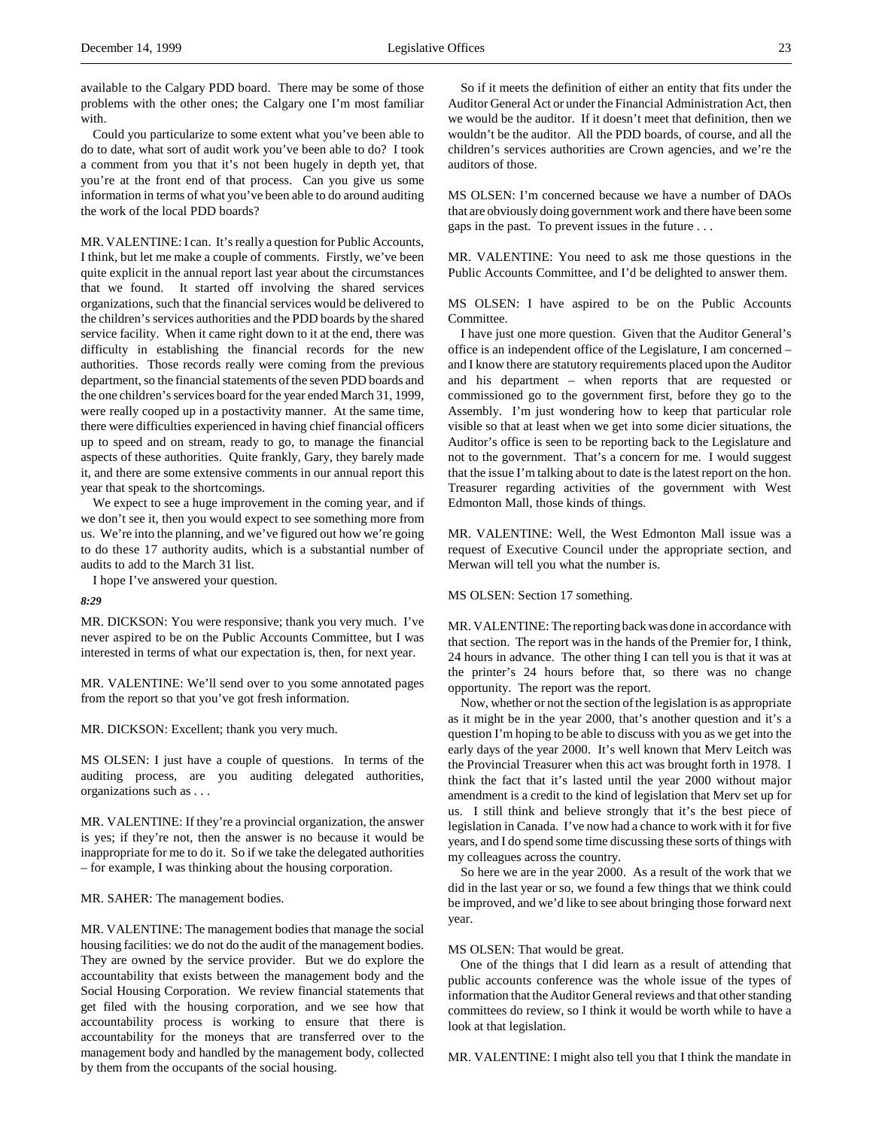available to the Calgary PDD board. There may be some of those problems with the other ones; the Calgary one I'm most familiar with.

Could you particularize to some extent what you've been able to do to date, what sort of audit work you've been able to do? I took a comment from you that it's not been hugely in depth yet, that you're at the front end of that process. Can you give us some information in terms of what you've been able to do around auditing the work of the local PDD boards?

MR. VALENTINE: I can. It's really a question for Public Accounts, I think, but let me make a couple of comments. Firstly, we've been quite explicit in the annual report last year about the circumstances that we found. It started off involving the shared services organizations, such that the financial services would be delivered to the children's services authorities and the PDD boards by the shared service facility. When it came right down to it at the end, there was difficulty in establishing the financial records for the new authorities. Those records really were coming from the previous department, so the financial statements of the seven PDD boards and the one children's services board for the year ended March 31, 1999, were really cooped up in a postactivity manner. At the same time, there were difficulties experienced in having chief financial officers up to speed and on stream, ready to go, to manage the financial aspects of these authorities. Quite frankly, Gary, they barely made it, and there are some extensive comments in our annual report this year that speak to the shortcomings.

We expect to see a huge improvement in the coming year, and if we don't see it, then you would expect to see something more from us. We're into the planning, and we've figured out how we're going to do these 17 authority audits, which is a substantial number of audits to add to the March 31 list.

I hope I've answered your question.

#### *8:29*

MR. DICKSON: You were responsive; thank you very much. I've never aspired to be on the Public Accounts Committee, but I was interested in terms of what our expectation is, then, for next year.

MR. VALENTINE: We'll send over to you some annotated pages from the report so that you've got fresh information.

MR. DICKSON: Excellent; thank you very much.

MS OLSEN: I just have a couple of questions. In terms of the auditing process, are you auditing delegated authorities, organizations such as . . .

MR. VALENTINE: If they're a provincial organization, the answer is yes; if they're not, then the answer is no because it would be inappropriate for me to do it. So if we take the delegated authorities – for example, I was thinking about the housing corporation.

MR. SAHER: The management bodies.

MR. VALENTINE: The management bodies that manage the social housing facilities: we do not do the audit of the management bodies. They are owned by the service provider. But we do explore the accountability that exists between the management body and the Social Housing Corporation. We review financial statements that get filed with the housing corporation, and we see how that accountability process is working to ensure that there is accountability for the moneys that are transferred over to the management body and handled by the management body, collected by them from the occupants of the social housing.

So if it meets the definition of either an entity that fits under the Auditor General Act or under the Financial Administration Act, then we would be the auditor. If it doesn't meet that definition, then we wouldn't be the auditor. All the PDD boards, of course, and all the children's services authorities are Crown agencies, and we're the auditors of those.

MS OLSEN: I'm concerned because we have a number of DAOs that are obviously doing government work and there have been some gaps in the past. To prevent issues in the future . . .

MR. VALENTINE: You need to ask me those questions in the Public Accounts Committee, and I'd be delighted to answer them.

MS OLSEN: I have aspired to be on the Public Accounts Committee.

I have just one more question. Given that the Auditor General's office is an independent office of the Legislature, I am concerned – and I know there are statutory requirements placed upon the Auditor and his department – when reports that are requested or commissioned go to the government first, before they go to the Assembly. I'm just wondering how to keep that particular role visible so that at least when we get into some dicier situations, the Auditor's office is seen to be reporting back to the Legislature and not to the government. That's a concern for me. I would suggest that the issue I'm talking about to date is the latest report on the hon. Treasurer regarding activities of the government with West Edmonton Mall, those kinds of things.

MR. VALENTINE: Well, the West Edmonton Mall issue was a request of Executive Council under the appropriate section, and Merwan will tell you what the number is.

#### MS OLSEN: Section 17 something.

MR. VALENTINE: The reporting back was done in accordance with that section. The report was in the hands of the Premier for, I think, 24 hours in advance. The other thing I can tell you is that it was at the printer's 24 hours before that, so there was no change opportunity. The report was the report.

Now, whether or not the section of the legislation is as appropriate as it might be in the year 2000, that's another question and it's a question I'm hoping to be able to discuss with you as we get into the early days of the year 2000. It's well known that Merv Leitch was the Provincial Treasurer when this act was brought forth in 1978. I think the fact that it's lasted until the year 2000 without major amendment is a credit to the kind of legislation that Merv set up for us. I still think and believe strongly that it's the best piece of legislation in Canada. I've now had a chance to work with it for five years, and I do spend some time discussing these sorts of things with my colleagues across the country.

So here we are in the year 2000. As a result of the work that we did in the last year or so, we found a few things that we think could be improved, and we'd like to see about bringing those forward next year.

### MS OLSEN: That would be great.

One of the things that I did learn as a result of attending that public accounts conference was the whole issue of the types of information that the Auditor General reviews and that other standing committees do review, so I think it would be worth while to have a look at that legislation.

MR. VALENTINE: I might also tell you that I think the mandate in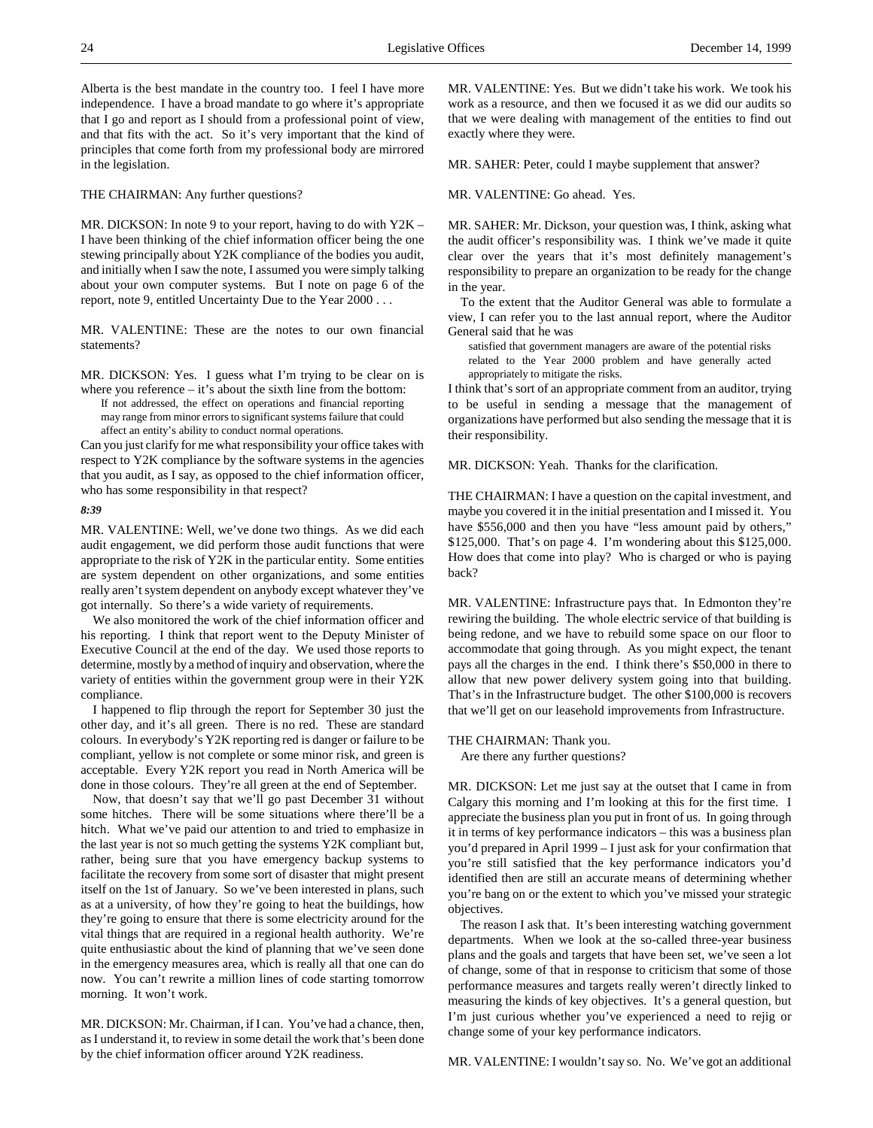Alberta is the best mandate in the country too. I feel I have more independence. I have a broad mandate to go where it's appropriate that I go and report as I should from a professional point of view, and that fits with the act. So it's very important that the kind of principles that come forth from my professional body are mirrored in the legislation.

THE CHAIRMAN: Any further questions?

MR. DICKSON: In note 9 to your report, having to do with Y2K – I have been thinking of the chief information officer being the one stewing principally about Y2K compliance of the bodies you audit, and initially when I saw the note, I assumed you were simply talking about your own computer systems. But I note on page 6 of the report, note 9, entitled Uncertainty Due to the Year 2000 . . .

MR. VALENTINE: These are the notes to our own financial statements?

MR. DICKSON: Yes. I guess what I'm trying to be clear on is where you reference – it's about the sixth line from the bottom:

If not addressed, the effect on operations and financial reporting may range from minor errors to significant systems failure that could affect an entity's ability to conduct normal operations.

Can you just clarify for me what responsibility your office takes with respect to Y2K compliance by the software systems in the agencies that you audit, as I say, as opposed to the chief information officer, who has some responsibility in that respect?

#### *8:39*

MR. VALENTINE: Well, we've done two things. As we did each audit engagement, we did perform those audit functions that were appropriate to the risk of Y2K in the particular entity. Some entities are system dependent on other organizations, and some entities really aren't system dependent on anybody except whatever they've got internally. So there's a wide variety of requirements.

We also monitored the work of the chief information officer and his reporting. I think that report went to the Deputy Minister of Executive Council at the end of the day. We used those reports to determine, mostly by a method of inquiry and observation, where the variety of entities within the government group were in their Y2K compliance.

I happened to flip through the report for September 30 just the other day, and it's all green. There is no red. These are standard colours. In everybody's Y2K reporting red is danger or failure to be compliant, yellow is not complete or some minor risk, and green is acceptable. Every Y2K report you read in North America will be done in those colours. They're all green at the end of September.

Now, that doesn't say that we'll go past December 31 without some hitches. There will be some situations where there'll be a hitch. What we've paid our attention to and tried to emphasize in the last year is not so much getting the systems Y2K compliant but, rather, being sure that you have emergency backup systems to facilitate the recovery from some sort of disaster that might present itself on the 1st of January. So we've been interested in plans, such as at a university, of how they're going to heat the buildings, how they're going to ensure that there is some electricity around for the vital things that are required in a regional health authority. We're quite enthusiastic about the kind of planning that we've seen done in the emergency measures area, which is really all that one can do now. You can't rewrite a million lines of code starting tomorrow morning. It won't work.

MR. DICKSON: Mr. Chairman, if I can. You've had a chance, then, as I understand it, to review in some detail the work that's been done by the chief information officer around Y2K readiness.

MR. VALENTINE: Yes. But we didn't take his work. We took his work as a resource, and then we focused it as we did our audits so that we were dealing with management of the entities to find out exactly where they were.

MR. SAHER: Peter, could I maybe supplement that answer?

#### MR. VALENTINE: Go ahead. Yes.

MR. SAHER: Mr. Dickson, your question was, I think, asking what the audit officer's responsibility was. I think we've made it quite clear over the years that it's most definitely management's responsibility to prepare an organization to be ready for the change in the year.

To the extent that the Auditor General was able to formulate a view, I can refer you to the last annual report, where the Auditor General said that he was

satisfied that government managers are aware of the potential risks related to the Year 2000 problem and have generally acted appropriately to mitigate the risks.

I think that's sort of an appropriate comment from an auditor, trying to be useful in sending a message that the management of organizations have performed but also sending the message that it is their responsibility.

MR. DICKSON: Yeah. Thanks for the clarification.

THE CHAIRMAN: I have a question on the capital investment, and maybe you covered it in the initial presentation and I missed it. You have \$556,000 and then you have "less amount paid by others," \$125,000. That's on page 4. I'm wondering about this \$125,000. How does that come into play? Who is charged or who is paying back?

MR. VALENTINE: Infrastructure pays that. In Edmonton they're rewiring the building. The whole electric service of that building is being redone, and we have to rebuild some space on our floor to accommodate that going through. As you might expect, the tenant pays all the charges in the end. I think there's \$50,000 in there to allow that new power delivery system going into that building. That's in the Infrastructure budget. The other \$100,000 is recovers that we'll get on our leasehold improvements from Infrastructure.

#### THE CHAIRMAN: Thank you.

Are there any further questions?

MR. DICKSON: Let me just say at the outset that I came in from Calgary this morning and I'm looking at this for the first time. I appreciate the business plan you put in front of us. In going through it in terms of key performance indicators – this was a business plan you'd prepared in April 1999 – I just ask for your confirmation that you're still satisfied that the key performance indicators you'd identified then are still an accurate means of determining whether you're bang on or the extent to which you've missed your strategic objectives.

The reason I ask that. It's been interesting watching government departments. When we look at the so-called three-year business plans and the goals and targets that have been set, we've seen a lot of change, some of that in response to criticism that some of those performance measures and targets really weren't directly linked to measuring the kinds of key objectives. It's a general question, but I'm just curious whether you've experienced a need to rejig or change some of your key performance indicators.

MR. VALENTINE: I wouldn't say so. No. We've got an additional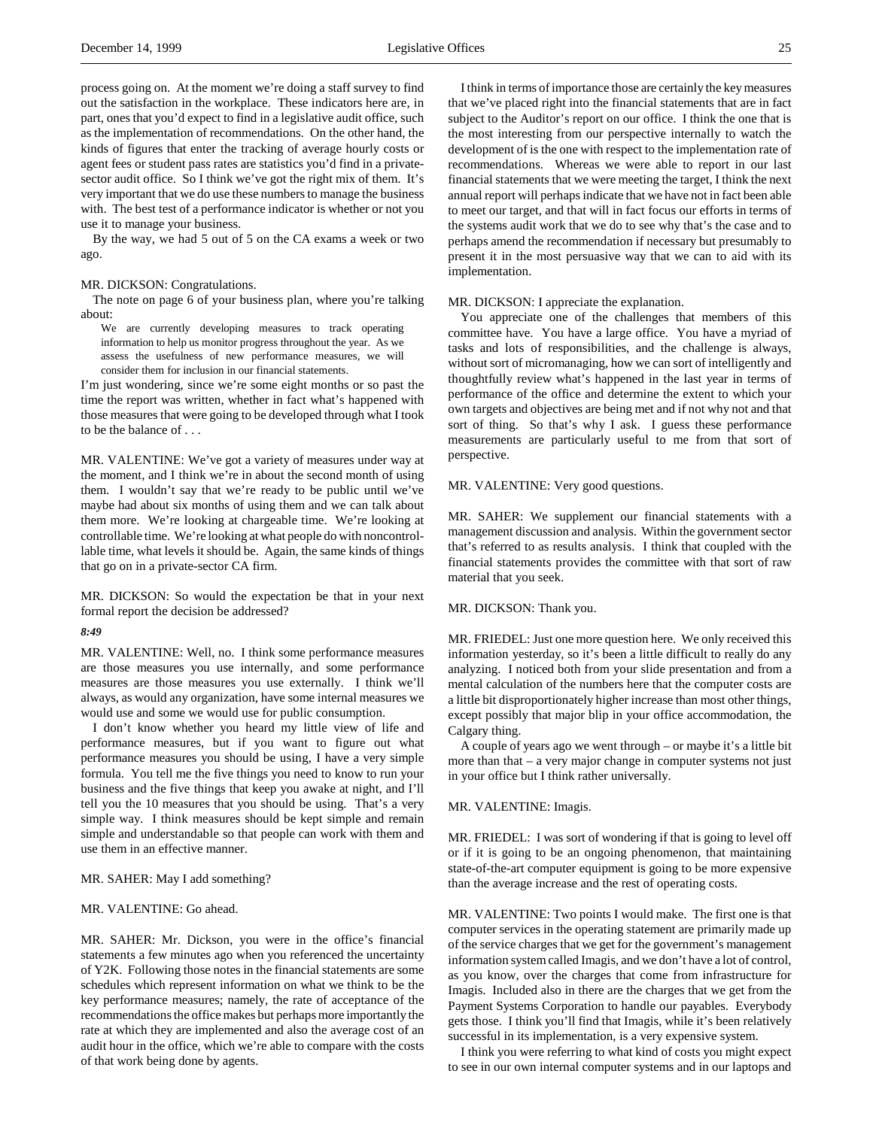process going on. At the moment we're doing a staff survey to find out the satisfaction in the workplace. These indicators here are, in part, ones that you'd expect to find in a legislative audit office, such as the implementation of recommendations. On the other hand, the kinds of figures that enter the tracking of average hourly costs or agent fees or student pass rates are statistics you'd find in a privatesector audit office. So I think we've got the right mix of them. It's very important that we do use these numbers to manage the business with. The best test of a performance indicator is whether or not you use it to manage your business.

By the way, we had 5 out of 5 on the CA exams a week or two ago.

#### MR. DICKSON: Congratulations.

The note on page 6 of your business plan, where you're talking about:

We are currently developing measures to track operating information to help us monitor progress throughout the year. As we assess the usefulness of new performance measures, we will consider them for inclusion in our financial statements.

I'm just wondering, since we're some eight months or so past the time the report was written, whether in fact what's happened with those measures that were going to be developed through what I took to be the balance of . . .

MR. VALENTINE: We've got a variety of measures under way at the moment, and I think we're in about the second month of using them. I wouldn't say that we're ready to be public until we've maybe had about six months of using them and we can talk about them more. We're looking at chargeable time. We're looking at controllable time. We're looking at what people do with noncontrollable time, what levels it should be. Again, the same kinds of things that go on in a private-sector CA firm.

MR. DICKSON: So would the expectation be that in your next formal report the decision be addressed?

# *8:49*

MR. VALENTINE: Well, no. I think some performance measures are those measures you use internally, and some performance measures are those measures you use externally. I think we'll always, as would any organization, have some internal measures we would use and some we would use for public consumption.

I don't know whether you heard my little view of life and performance measures, but if you want to figure out what performance measures you should be using, I have a very simple formula. You tell me the five things you need to know to run your business and the five things that keep you awake at night, and I'll tell you the 10 measures that you should be using. That's a very simple way. I think measures should be kept simple and remain simple and understandable so that people can work with them and use them in an effective manner.

### MR. SAHER: May I add something?

### MR. VALENTINE: Go ahead.

MR. SAHER: Mr. Dickson, you were in the office's financial statements a few minutes ago when you referenced the uncertainty of Y2K. Following those notes in the financial statements are some schedules which represent information on what we think to be the key performance measures; namely, the rate of acceptance of the recommendations the office makes but perhaps more importantly the rate at which they are implemented and also the average cost of an audit hour in the office, which we're able to compare with the costs of that work being done by agents.

I think in terms of importance those are certainly the key measures that we've placed right into the financial statements that are in fact subject to the Auditor's report on our office. I think the one that is the most interesting from our perspective internally to watch the development of is the one with respect to the implementation rate of recommendations. Whereas we were able to report in our last financial statements that we were meeting the target, I think the next annual report will perhaps indicate that we have not in fact been able to meet our target, and that will in fact focus our efforts in terms of the systems audit work that we do to see why that's the case and to perhaps amend the recommendation if necessary but presumably to present it in the most persuasive way that we can to aid with its implementation.

#### MR. DICKSON: I appreciate the explanation.

You appreciate one of the challenges that members of this committee have. You have a large office. You have a myriad of tasks and lots of responsibilities, and the challenge is always, without sort of micromanaging, how we can sort of intelligently and thoughtfully review what's happened in the last year in terms of performance of the office and determine the extent to which your own targets and objectives are being met and if not why not and that sort of thing. So that's why I ask. I guess these performance measurements are particularly useful to me from that sort of perspective.

# MR. VALENTINE: Very good questions.

MR. SAHER: We supplement our financial statements with a management discussion and analysis. Within the government sector that's referred to as results analysis. I think that coupled with the financial statements provides the committee with that sort of raw material that you seek.

## MR. DICKSON: Thank you.

MR. FRIEDEL: Just one more question here. We only received this information yesterday, so it's been a little difficult to really do any analyzing. I noticed both from your slide presentation and from a mental calculation of the numbers here that the computer costs are a little bit disproportionately higher increase than most other things, except possibly that major blip in your office accommodation, the Calgary thing.

A couple of years ago we went through – or maybe it's a little bit more than that – a very major change in computer systems not just in your office but I think rather universally.

#### MR. VALENTINE: Imagis.

MR. FRIEDEL: I was sort of wondering if that is going to level off or if it is going to be an ongoing phenomenon, that maintaining state-of-the-art computer equipment is going to be more expensive than the average increase and the rest of operating costs.

MR. VALENTINE: Two points I would make. The first one is that computer services in the operating statement are primarily made up of the service charges that we get for the government's management information system called Imagis, and we don't have a lot of control, as you know, over the charges that come from infrastructure for Imagis. Included also in there are the charges that we get from the Payment Systems Corporation to handle our payables. Everybody gets those. I think you'll find that Imagis, while it's been relatively successful in its implementation, is a very expensive system.

I think you were referring to what kind of costs you might expect to see in our own internal computer systems and in our laptops and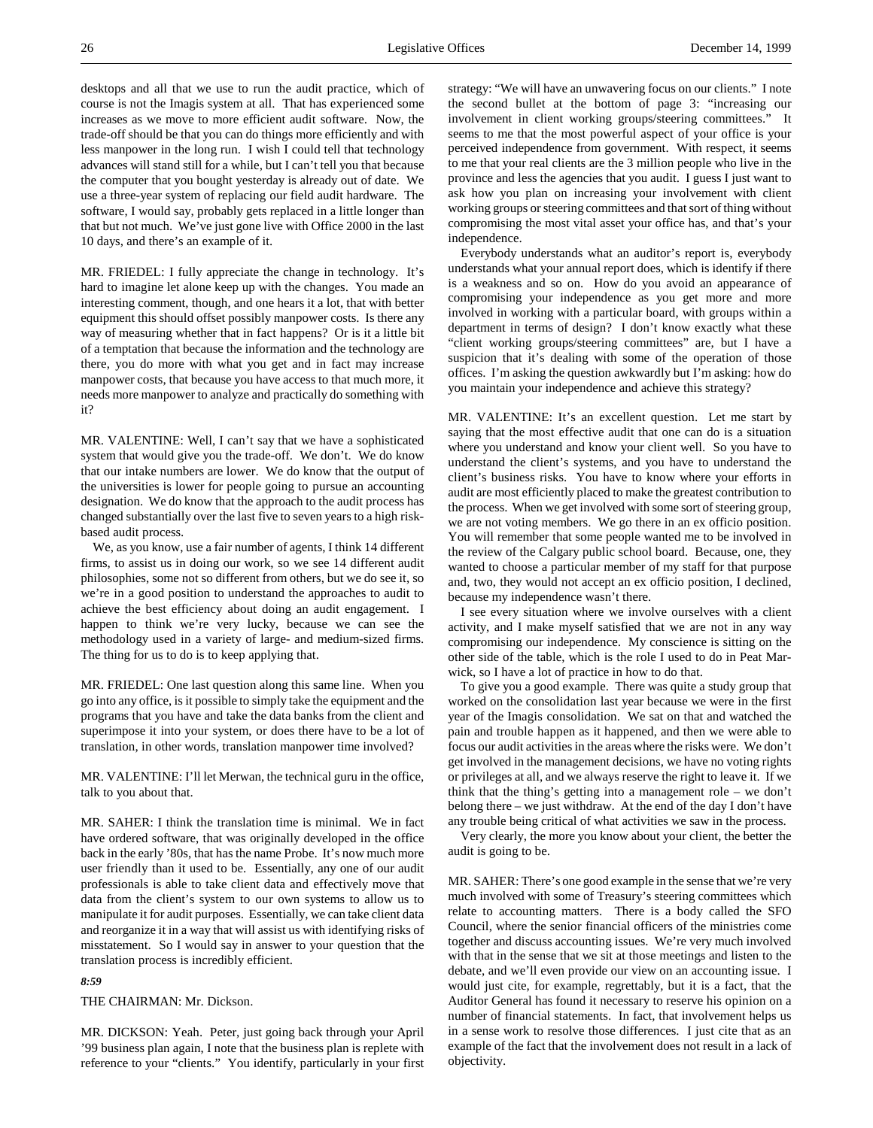desktops and all that we use to run the audit practice, which of course is not the Imagis system at all. That has experienced some increases as we move to more efficient audit software. Now, the trade-off should be that you can do things more efficiently and with less manpower in the long run. I wish I could tell that technology advances will stand still for a while, but I can't tell you that because the computer that you bought yesterday is already out of date. We use a three-year system of replacing our field audit hardware. The software, I would say, probably gets replaced in a little longer than that but not much. We've just gone live with Office 2000 in the last 10 days, and there's an example of it.

MR. FRIEDEL: I fully appreciate the change in technology. It's hard to imagine let alone keep up with the changes. You made an interesting comment, though, and one hears it a lot, that with better equipment this should offset possibly manpower costs. Is there any way of measuring whether that in fact happens? Or is it a little bit of a temptation that because the information and the technology are there, you do more with what you get and in fact may increase manpower costs, that because you have access to that much more, it needs more manpower to analyze and practically do something with it?

MR. VALENTINE: Well, I can't say that we have a sophisticated system that would give you the trade-off. We don't. We do know that our intake numbers are lower. We do know that the output of the universities is lower for people going to pursue an accounting designation. We do know that the approach to the audit process has changed substantially over the last five to seven years to a high riskbased audit process.

We, as you know, use a fair number of agents, I think 14 different firms, to assist us in doing our work, so we see 14 different audit philosophies, some not so different from others, but we do see it, so we're in a good position to understand the approaches to audit to achieve the best efficiency about doing an audit engagement. I happen to think we're very lucky, because we can see the methodology used in a variety of large- and medium-sized firms. The thing for us to do is to keep applying that.

MR. FRIEDEL: One last question along this same line. When you go into any office, is it possible to simply take the equipment and the programs that you have and take the data banks from the client and superimpose it into your system, or does there have to be a lot of translation, in other words, translation manpower time involved?

MR. VALENTINE: I'll let Merwan, the technical guru in the office, talk to you about that.

MR. SAHER: I think the translation time is minimal. We in fact have ordered software, that was originally developed in the office back in the early '80s, that has the name Probe. It's now much more user friendly than it used to be. Essentially, any one of our audit professionals is able to take client data and effectively move that data from the client's system to our own systems to allow us to manipulate it for audit purposes. Essentially, we can take client data and reorganize it in a way that will assist us with identifying risks of misstatement. So I would say in answer to your question that the translation process is incredibly efficient.

#### *8:59*

THE CHAIRMAN: Mr. Dickson.

MR. DICKSON: Yeah. Peter, just going back through your April '99 business plan again, I note that the business plan is replete with reference to your "clients." You identify, particularly in your first strategy: "We will have an unwavering focus on our clients." I note the second bullet at the bottom of page 3: "increasing our involvement in client working groups/steering committees." It seems to me that the most powerful aspect of your office is your perceived independence from government. With respect, it seems to me that your real clients are the 3 million people who live in the province and less the agencies that you audit. I guess I just want to ask how you plan on increasing your involvement with client working groups or steering committees and that sort of thing without compromising the most vital asset your office has, and that's your independence.

Everybody understands what an auditor's report is, everybody understands what your annual report does, which is identify if there is a weakness and so on. How do you avoid an appearance of compromising your independence as you get more and more involved in working with a particular board, with groups within a department in terms of design? I don't know exactly what these "client working groups/steering committees" are, but I have a suspicion that it's dealing with some of the operation of those offices. I'm asking the question awkwardly but I'm asking: how do you maintain your independence and achieve this strategy?

MR. VALENTINE: It's an excellent question. Let me start by saying that the most effective audit that one can do is a situation where you understand and know your client well. So you have to understand the client's systems, and you have to understand the client's business risks. You have to know where your efforts in audit are most efficiently placed to make the greatest contribution to the process. When we get involved with some sort of steering group, we are not voting members. We go there in an ex officio position. You will remember that some people wanted me to be involved in the review of the Calgary public school board. Because, one, they wanted to choose a particular member of my staff for that purpose and, two, they would not accept an ex officio position, I declined, because my independence wasn't there.

I see every situation where we involve ourselves with a client activity, and I make myself satisfied that we are not in any way compromising our independence. My conscience is sitting on the other side of the table, which is the role I used to do in Peat Marwick, so I have a lot of practice in how to do that.

To give you a good example. There was quite a study group that worked on the consolidation last year because we were in the first year of the Imagis consolidation. We sat on that and watched the pain and trouble happen as it happened, and then we were able to focus our audit activities in the areas where the risks were. We don't get involved in the management decisions, we have no voting rights or privileges at all, and we always reserve the right to leave it. If we think that the thing's getting into a management role – we don't belong there – we just withdraw. At the end of the day I don't have any trouble being critical of what activities we saw in the process.

Very clearly, the more you know about your client, the better the audit is going to be.

MR. SAHER: There's one good example in the sense that we're very much involved with some of Treasury's steering committees which relate to accounting matters. There is a body called the SFO Council, where the senior financial officers of the ministries come together and discuss accounting issues. We're very much involved with that in the sense that we sit at those meetings and listen to the debate, and we'll even provide our view on an accounting issue. I would just cite, for example, regrettably, but it is a fact, that the Auditor General has found it necessary to reserve his opinion on a number of financial statements. In fact, that involvement helps us in a sense work to resolve those differences. I just cite that as an example of the fact that the involvement does not result in a lack of objectivity.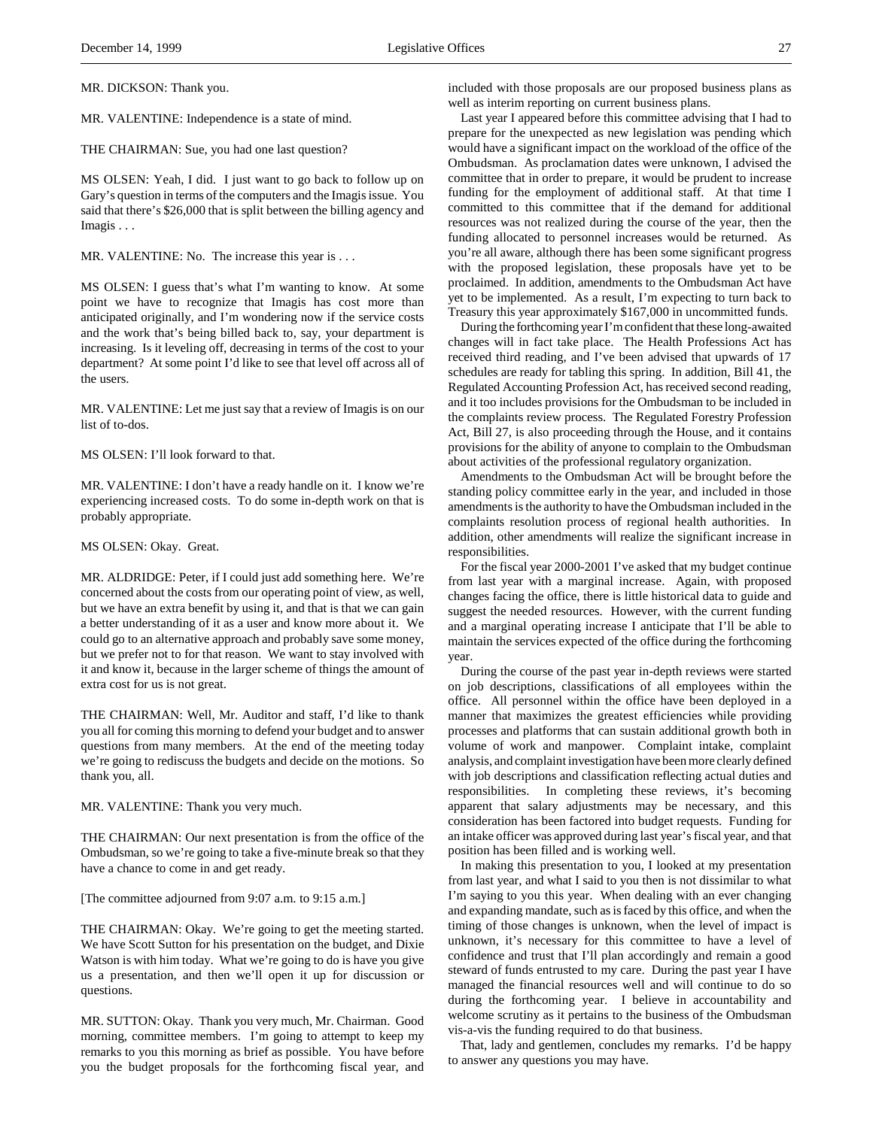MR. DICKSON: Thank you.

MR. VALENTINE: Independence is a state of mind.

THE CHAIRMAN: Sue, you had one last question?

MS OLSEN: Yeah, I did. I just want to go back to follow up on Gary's question in terms of the computers and the Imagis issue. You said that there's \$26,000 that is split between the billing agency and Imagis . . .

MR. VALENTINE: No. The increase this year is . . .

MS OLSEN: I guess that's what I'm wanting to know. At some point we have to recognize that Imagis has cost more than anticipated originally, and I'm wondering now if the service costs and the work that's being billed back to, say, your department is increasing. Is it leveling off, decreasing in terms of the cost to your department? At some point I'd like to see that level off across all of the users.

MR. VALENTINE: Let me just say that a review of Imagis is on our list of to-dos.

MS OLSEN: I'll look forward to that.

MR. VALENTINE: I don't have a ready handle on it. I know we're experiencing increased costs. To do some in-depth work on that is probably appropriate.

### MS OLSEN: Okay. Great.

MR. ALDRIDGE: Peter, if I could just add something here. We're concerned about the costs from our operating point of view, as well, but we have an extra benefit by using it, and that is that we can gain a better understanding of it as a user and know more about it. We could go to an alternative approach and probably save some money, but we prefer not to for that reason. We want to stay involved with it and know it, because in the larger scheme of things the amount of extra cost for us is not great.

THE CHAIRMAN: Well, Mr. Auditor and staff, I'd like to thank you all for coming this morning to defend your budget and to answer questions from many members. At the end of the meeting today we're going to rediscuss the budgets and decide on the motions. So thank you, all.

MR. VALENTINE: Thank you very much.

THE CHAIRMAN: Our next presentation is from the office of the Ombudsman, so we're going to take a five-minute break so that they have a chance to come in and get ready.

[The committee adjourned from 9:07 a.m. to 9:15 a.m.]

THE CHAIRMAN: Okay. We're going to get the meeting started. We have Scott Sutton for his presentation on the budget, and Dixie Watson is with him today. What we're going to do is have you give us a presentation, and then we'll open it up for discussion or questions.

MR. SUTTON: Okay. Thank you very much, Mr. Chairman. Good morning, committee members. I'm going to attempt to keep my remarks to you this morning as brief as possible. You have before you the budget proposals for the forthcoming fiscal year, and

included with those proposals are our proposed business plans as well as interim reporting on current business plans.

Last year I appeared before this committee advising that I had to prepare for the unexpected as new legislation was pending which would have a significant impact on the workload of the office of the Ombudsman. As proclamation dates were unknown, I advised the committee that in order to prepare, it would be prudent to increase funding for the employment of additional staff. At that time I committed to this committee that if the demand for additional resources was not realized during the course of the year, then the funding allocated to personnel increases would be returned. As you're all aware, although there has been some significant progress with the proposed legislation, these proposals have yet to be proclaimed. In addition, amendments to the Ombudsman Act have yet to be implemented. As a result, I'm expecting to turn back to Treasury this year approximately \$167,000 in uncommitted funds.

During the forthcoming year I'm confident that these long-awaited changes will in fact take place. The Health Professions Act has received third reading, and I've been advised that upwards of 17 schedules are ready for tabling this spring. In addition, Bill 41, the Regulated Accounting Profession Act, has received second reading, and it too includes provisions for the Ombudsman to be included in the complaints review process. The Regulated Forestry Profession Act, Bill 27, is also proceeding through the House, and it contains provisions for the ability of anyone to complain to the Ombudsman about activities of the professional regulatory organization.

Amendments to the Ombudsman Act will be brought before the standing policy committee early in the year, and included in those amendments is the authority to have the Ombudsman included in the complaints resolution process of regional health authorities. In addition, other amendments will realize the significant increase in responsibilities.

For the fiscal year 2000-2001 I've asked that my budget continue from last year with a marginal increase. Again, with proposed changes facing the office, there is little historical data to guide and suggest the needed resources. However, with the current funding and a marginal operating increase I anticipate that I'll be able to maintain the services expected of the office during the forthcoming year.

During the course of the past year in-depth reviews were started on job descriptions, classifications of all employees within the office. All personnel within the office have been deployed in a manner that maximizes the greatest efficiencies while providing processes and platforms that can sustain additional growth both in volume of work and manpower. Complaint intake, complaint analysis, and complaint investigation have been more clearly defined with job descriptions and classification reflecting actual duties and responsibilities. In completing these reviews, it's becoming apparent that salary adjustments may be necessary, and this consideration has been factored into budget requests. Funding for an intake officer was approved during last year's fiscal year, and that position has been filled and is working well.

In making this presentation to you, I looked at my presentation from last year, and what I said to you then is not dissimilar to what I'm saying to you this year. When dealing with an ever changing and expanding mandate, such as is faced by this office, and when the timing of those changes is unknown, when the level of impact is unknown, it's necessary for this committee to have a level of confidence and trust that I'll plan accordingly and remain a good steward of funds entrusted to my care. During the past year I have managed the financial resources well and will continue to do so during the forthcoming year. I believe in accountability and welcome scrutiny as it pertains to the business of the Ombudsman vis-a-vis the funding required to do that business.

That, lady and gentlemen, concludes my remarks. I'd be happy to answer any questions you may have.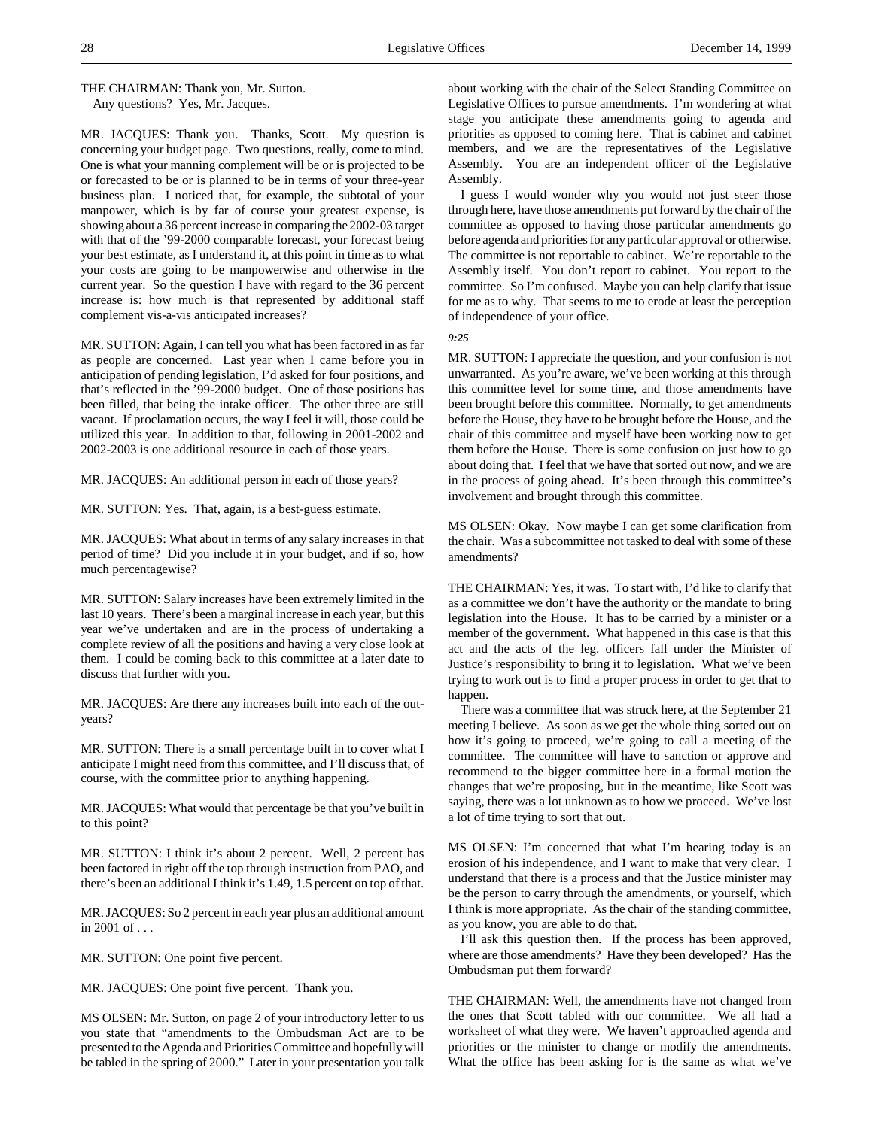## THE CHAIRMAN: Thank you, Mr. Sutton. Any questions? Yes, Mr. Jacques.

MR. JACQUES: Thank you. Thanks, Scott. My question is concerning your budget page. Two questions, really, come to mind. One is what your manning complement will be or is projected to be or forecasted to be or is planned to be in terms of your three-year business plan. I noticed that, for example, the subtotal of your manpower, which is by far of course your greatest expense, is showing about a 36 percent increase in comparing the 2002-03 target with that of the '99-2000 comparable forecast, your forecast being your best estimate, as I understand it, at this point in time as to what your costs are going to be manpowerwise and otherwise in the current year. So the question I have with regard to the 36 percent increase is: how much is that represented by additional staff complement vis-a-vis anticipated increases?

MR. SUTTON: Again, I can tell you what has been factored in as far as people are concerned. Last year when I came before you in anticipation of pending legislation, I'd asked for four positions, and that's reflected in the '99-2000 budget. One of those positions has been filled, that being the intake officer. The other three are still vacant. If proclamation occurs, the way I feel it will, those could be utilized this year. In addition to that, following in 2001-2002 and 2002-2003 is one additional resource in each of those years.

MR. JACQUES: An additional person in each of those years?

MR. SUTTON: Yes. That, again, is a best-guess estimate.

MR. JACQUES: What about in terms of any salary increases in that period of time? Did you include it in your budget, and if so, how much percentagewise?

MR. SUTTON: Salary increases have been extremely limited in the last 10 years. There's been a marginal increase in each year, but this year we've undertaken and are in the process of undertaking a complete review of all the positions and having a very close look at them. I could be coming back to this committee at a later date to discuss that further with you.

MR. JACQUES: Are there any increases built into each of the outyears?

MR. SUTTON: There is a small percentage built in to cover what I anticipate I might need from this committee, and I'll discuss that, of course, with the committee prior to anything happening.

MR. JACQUES: What would that percentage be that you've built in to this point?

MR. SUTTON: I think it's about 2 percent. Well, 2 percent has been factored in right off the top through instruction from PAO, and there's been an additional I think it's 1.49, 1.5 percent on top of that.

MR. JACQUES: So 2 percent in each year plus an additional amount in 2001 of . . .

MR. SUTTON: One point five percent.

MR. JACQUES: One point five percent. Thank you.

MS OLSEN: Mr. Sutton, on page 2 of your introductory letter to us you state that "amendments to the Ombudsman Act are to be presented to the Agenda and Priorities Committee and hopefully will be tabled in the spring of 2000." Later in your presentation you talk

about working with the chair of the Select Standing Committee on Legislative Offices to pursue amendments. I'm wondering at what stage you anticipate these amendments going to agenda and priorities as opposed to coming here. That is cabinet and cabinet members, and we are the representatives of the Legislative Assembly. You are an independent officer of the Legislative Assembly.

I guess I would wonder why you would not just steer those through here, have those amendments put forward by the chair of the committee as opposed to having those particular amendments go before agenda and priorities for any particular approval or otherwise. The committee is not reportable to cabinet. We're reportable to the Assembly itself. You don't report to cabinet. You report to the committee. So I'm confused. Maybe you can help clarify that issue for me as to why. That seems to me to erode at least the perception of independence of your office.

*9:25*

MR. SUTTON: I appreciate the question, and your confusion is not unwarranted. As you're aware, we've been working at this through this committee level for some time, and those amendments have been brought before this committee. Normally, to get amendments before the House, they have to be brought before the House, and the chair of this committee and myself have been working now to get them before the House. There is some confusion on just how to go about doing that. I feel that we have that sorted out now, and we are in the process of going ahead. It's been through this committee's involvement and brought through this committee.

MS OLSEN: Okay. Now maybe I can get some clarification from the chair. Was a subcommittee not tasked to deal with some of these amendments?

THE CHAIRMAN: Yes, it was. To start with, I'd like to clarify that as a committee we don't have the authority or the mandate to bring legislation into the House. It has to be carried by a minister or a member of the government. What happened in this case is that this act and the acts of the leg. officers fall under the Minister of Justice's responsibility to bring it to legislation. What we've been trying to work out is to find a proper process in order to get that to happen.

There was a committee that was struck here, at the September 21 meeting I believe. As soon as we get the whole thing sorted out on how it's going to proceed, we're going to call a meeting of the committee. The committee will have to sanction or approve and recommend to the bigger committee here in a formal motion the changes that we're proposing, but in the meantime, like Scott was saying, there was a lot unknown as to how we proceed. We've lost a lot of time trying to sort that out.

MS OLSEN: I'm concerned that what I'm hearing today is an erosion of his independence, and I want to make that very clear. I understand that there is a process and that the Justice minister may be the person to carry through the amendments, or yourself, which I think is more appropriate. As the chair of the standing committee, as you know, you are able to do that.

I'll ask this question then. If the process has been approved, where are those amendments? Have they been developed? Has the Ombudsman put them forward?

THE CHAIRMAN: Well, the amendments have not changed from the ones that Scott tabled with our committee. We all had a worksheet of what they were. We haven't approached agenda and priorities or the minister to change or modify the amendments. What the office has been asking for is the same as what we've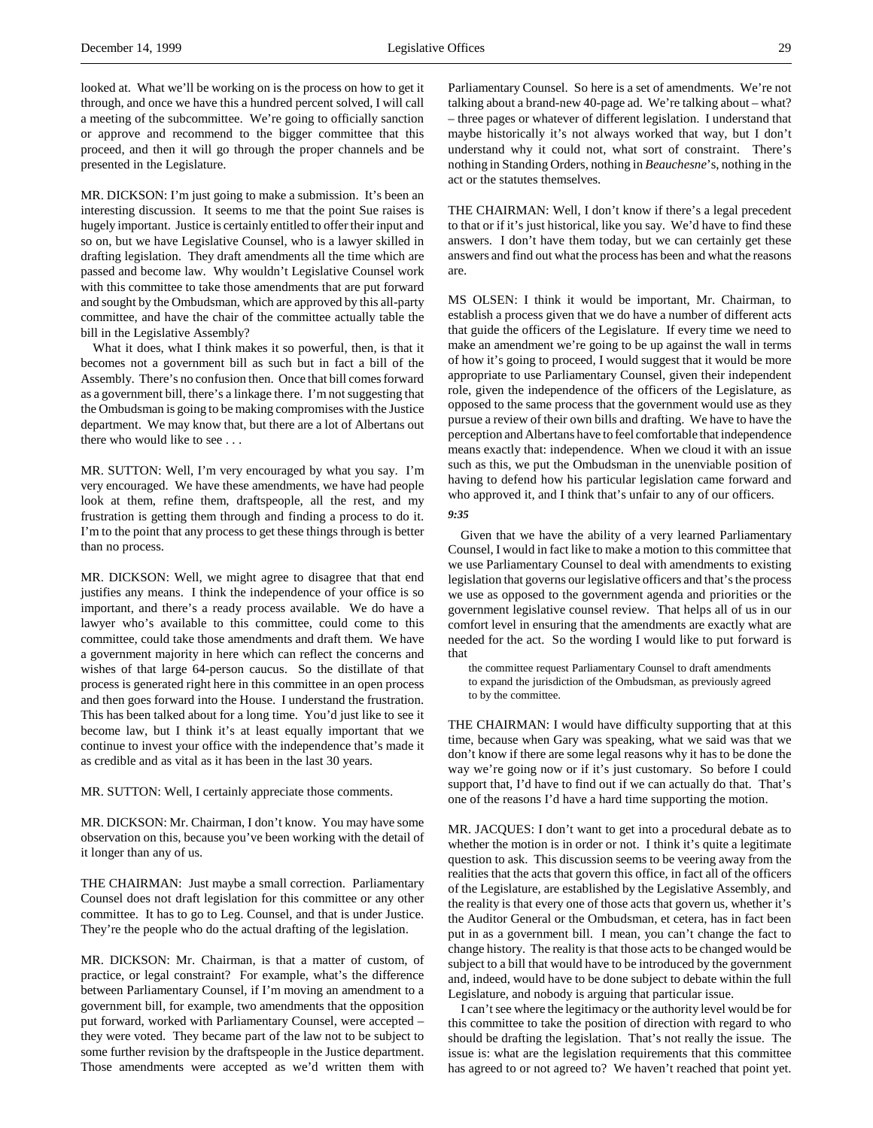looked at. What we'll be working on is the process on how to get it through, and once we have this a hundred percent solved, I will call a meeting of the subcommittee. We're going to officially sanction or approve and recommend to the bigger committee that this proceed, and then it will go through the proper channels and be presented in the Legislature.

MR. DICKSON: I'm just going to make a submission. It's been an interesting discussion. It seems to me that the point Sue raises is hugely important. Justice is certainly entitled to offer their input and so on, but we have Legislative Counsel, who is a lawyer skilled in drafting legislation. They draft amendments all the time which are passed and become law. Why wouldn't Legislative Counsel work with this committee to take those amendments that are put forward and sought by the Ombudsman, which are approved by this all-party committee, and have the chair of the committee actually table the bill in the Legislative Assembly?

What it does, what I think makes it so powerful, then, is that it becomes not a government bill as such but in fact a bill of the Assembly. There's no confusion then. Once that bill comes forward as a government bill, there's a linkage there. I'm not suggesting that the Ombudsman is going to be making compromises with the Justice department. We may know that, but there are a lot of Albertans out there who would like to see . . .

MR. SUTTON: Well, I'm very encouraged by what you say. I'm very encouraged. We have these amendments, we have had people look at them, refine them, draftspeople, all the rest, and my frustration is getting them through and finding a process to do it. I'm to the point that any process to get these things through is better than no process.

MR. DICKSON: Well, we might agree to disagree that that end justifies any means. I think the independence of your office is so important, and there's a ready process available. We do have a lawyer who's available to this committee, could come to this committee, could take those amendments and draft them. We have a government majority in here which can reflect the concerns and wishes of that large 64-person caucus. So the distillate of that process is generated right here in this committee in an open process and then goes forward into the House. I understand the frustration. This has been talked about for a long time. You'd just like to see it become law, but I think it's at least equally important that we continue to invest your office with the independence that's made it as credible and as vital as it has been in the last 30 years.

MR. SUTTON: Well, I certainly appreciate those comments.

MR. DICKSON: Mr. Chairman, I don't know. You may have some observation on this, because you've been working with the detail of it longer than any of us.

THE CHAIRMAN: Just maybe a small correction. Parliamentary Counsel does not draft legislation for this committee or any other committee. It has to go to Leg. Counsel, and that is under Justice. They're the people who do the actual drafting of the legislation.

MR. DICKSON: Mr. Chairman, is that a matter of custom, of practice, or legal constraint? For example, what's the difference between Parliamentary Counsel, if I'm moving an amendment to a government bill, for example, two amendments that the opposition put forward, worked with Parliamentary Counsel, were accepted – they were voted. They became part of the law not to be subject to some further revision by the draftspeople in the Justice department. Those amendments were accepted as we'd written them with

Parliamentary Counsel. So here is a set of amendments. We're not talking about a brand-new 40-page ad. We're talking about – what? – three pages or whatever of different legislation. I understand that maybe historically it's not always worked that way, but I don't understand why it could not, what sort of constraint. There's nothing in Standing Orders, nothing in *Beauchesne*'s, nothing in the act or the statutes themselves.

THE CHAIRMAN: Well, I don't know if there's a legal precedent to that or if it's just historical, like you say. We'd have to find these answers. I don't have them today, but we can certainly get these answers and find out what the process has been and what the reasons are.

MS OLSEN: I think it would be important, Mr. Chairman, to establish a process given that we do have a number of different acts that guide the officers of the Legislature. If every time we need to make an amendment we're going to be up against the wall in terms of how it's going to proceed, I would suggest that it would be more appropriate to use Parliamentary Counsel, given their independent role, given the independence of the officers of the Legislature, as opposed to the same process that the government would use as they pursue a review of their own bills and drafting. We have to have the perception and Albertans have to feel comfortable that independence means exactly that: independence. When we cloud it with an issue such as this, we put the Ombudsman in the unenviable position of having to defend how his particular legislation came forward and who approved it, and I think that's unfair to any of our officers.

*9:35*

Given that we have the ability of a very learned Parliamentary Counsel, I would in fact like to make a motion to this committee that we use Parliamentary Counsel to deal with amendments to existing legislation that governs our legislative officers and that's the process we use as opposed to the government agenda and priorities or the government legislative counsel review. That helps all of us in our comfort level in ensuring that the amendments are exactly what are needed for the act. So the wording I would like to put forward is that

the committee request Parliamentary Counsel to draft amendments to expand the jurisdiction of the Ombudsman, as previously agreed to by the committee.

THE CHAIRMAN: I would have difficulty supporting that at this time, because when Gary was speaking, what we said was that we don't know if there are some legal reasons why it has to be done the way we're going now or if it's just customary. So before I could support that, I'd have to find out if we can actually do that. That's one of the reasons I'd have a hard time supporting the motion.

MR. JACQUES: I don't want to get into a procedural debate as to whether the motion is in order or not. I think it's quite a legitimate question to ask. This discussion seems to be veering away from the realities that the acts that govern this office, in fact all of the officers of the Legislature, are established by the Legislative Assembly, and the reality is that every one of those acts that govern us, whether it's the Auditor General or the Ombudsman, et cetera, has in fact been put in as a government bill. I mean, you can't change the fact to change history. The reality is that those acts to be changed would be subject to a bill that would have to be introduced by the government and, indeed, would have to be done subject to debate within the full Legislature, and nobody is arguing that particular issue.

I can't see where the legitimacy or the authority level would be for this committee to take the position of direction with regard to who should be drafting the legislation. That's not really the issue. The issue is: what are the legislation requirements that this committee has agreed to or not agreed to? We haven't reached that point yet.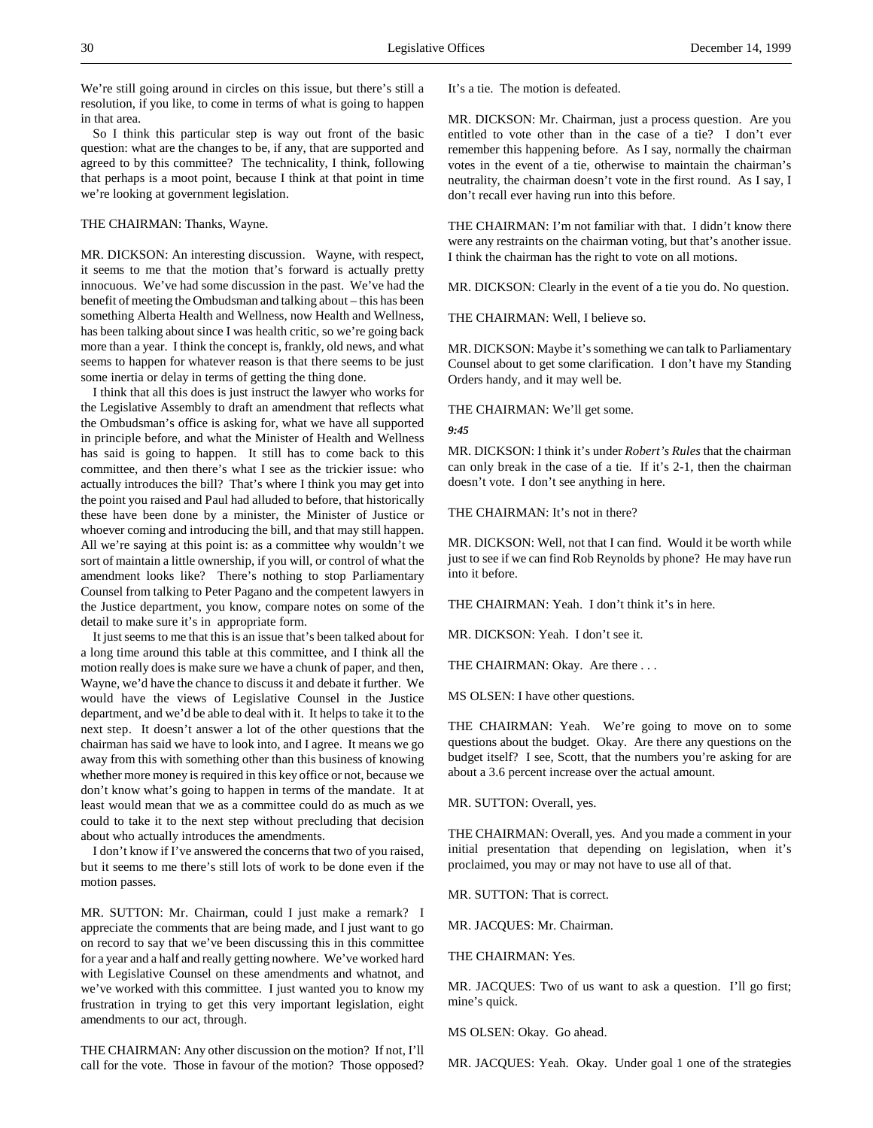We're still going around in circles on this issue, but there's still a resolution, if you like, to come in terms of what is going to happen in that area.

So I think this particular step is way out front of the basic question: what are the changes to be, if any, that are supported and agreed to by this committee? The technicality, I think, following that perhaps is a moot point, because I think at that point in time we're looking at government legislation.

### THE CHAIRMAN: Thanks, Wayne.

MR. DICKSON: An interesting discussion. Wayne, with respect, it seems to me that the motion that's forward is actually pretty innocuous. We've had some discussion in the past. We've had the benefit of meeting the Ombudsman and talking about – this has been something Alberta Health and Wellness, now Health and Wellness, has been talking about since I was health critic, so we're going back more than a year. I think the concept is, frankly, old news, and what seems to happen for whatever reason is that there seems to be just some inertia or delay in terms of getting the thing done.

I think that all this does is just instruct the lawyer who works for the Legislative Assembly to draft an amendment that reflects what the Ombudsman's office is asking for, what we have all supported in principle before, and what the Minister of Health and Wellness has said is going to happen. It still has to come back to this committee, and then there's what I see as the trickier issue: who actually introduces the bill? That's where I think you may get into the point you raised and Paul had alluded to before, that historically these have been done by a minister, the Minister of Justice or whoever coming and introducing the bill, and that may still happen. All we're saying at this point is: as a committee why wouldn't we sort of maintain a little ownership, if you will, or control of what the amendment looks like? There's nothing to stop Parliamentary Counsel from talking to Peter Pagano and the competent lawyers in the Justice department, you know, compare notes on some of the detail to make sure it's in appropriate form.

It just seems to me that this is an issue that's been talked about for a long time around this table at this committee, and I think all the motion really does is make sure we have a chunk of paper, and then, Wayne, we'd have the chance to discuss it and debate it further. We would have the views of Legislative Counsel in the Justice department, and we'd be able to deal with it. It helps to take it to the next step. It doesn't answer a lot of the other questions that the chairman has said we have to look into, and I agree. It means we go away from this with something other than this business of knowing whether more money is required in this key office or not, because we don't know what's going to happen in terms of the mandate. It at least would mean that we as a committee could do as much as we could to take it to the next step without precluding that decision about who actually introduces the amendments.

I don't know if I've answered the concerns that two of you raised, but it seems to me there's still lots of work to be done even if the motion passes.

MR. SUTTON: Mr. Chairman, could I just make a remark? I appreciate the comments that are being made, and I just want to go on record to say that we've been discussing this in this committee for a year and a half and really getting nowhere. We've worked hard with Legislative Counsel on these amendments and whatnot, and we've worked with this committee. I just wanted you to know my frustration in trying to get this very important legislation, eight amendments to our act, through.

THE CHAIRMAN: Any other discussion on the motion? If not, I'll call for the vote. Those in favour of the motion? Those opposed?

It's a tie. The motion is defeated.

MR. DICKSON: Mr. Chairman, just a process question. Are you entitled to vote other than in the case of a tie? I don't ever remember this happening before. As I say, normally the chairman votes in the event of a tie, otherwise to maintain the chairman's neutrality, the chairman doesn't vote in the first round. As I say, I don't recall ever having run into this before.

THE CHAIRMAN: I'm not familiar with that. I didn't know there were any restraints on the chairman voting, but that's another issue. I think the chairman has the right to vote on all motions.

MR. DICKSON: Clearly in the event of a tie you do. No question.

THE CHAIRMAN: Well, I believe so.

MR. DICKSON: Maybe it's something we can talk to Parliamentary Counsel about to get some clarification. I don't have my Standing Orders handy, and it may well be.

THE CHAIRMAN: We'll get some.

#### *9:45*

MR. DICKSON: I think it's under *Robert's Rules* that the chairman can only break in the case of a tie. If it's 2-1, then the chairman doesn't vote. I don't see anything in here.

THE CHAIRMAN: It's not in there?

MR. DICKSON: Well, not that I can find. Would it be worth while just to see if we can find Rob Reynolds by phone? He may have run into it before.

THE CHAIRMAN: Yeah. I don't think it's in here.

MR. DICKSON: Yeah. I don't see it.

THE CHAIRMAN: Okay. Are there ...

MS OLSEN: I have other questions.

THE CHAIRMAN: Yeah. We're going to move on to some questions about the budget. Okay. Are there any questions on the budget itself? I see, Scott, that the numbers you're asking for are about a 3.6 percent increase over the actual amount.

MR. SUTTON: Overall, yes.

THE CHAIRMAN: Overall, yes. And you made a comment in your initial presentation that depending on legislation, when it's proclaimed, you may or may not have to use all of that.

MR. SUTTON: That is correct.

MR. JACQUES: Mr. Chairman.

THE CHAIRMAN: Yes.

MR. JACQUES: Two of us want to ask a question. I'll go first; mine's quick.

MS OLSEN: Okay. Go ahead.

MR. JACQUES: Yeah. Okay. Under goal 1 one of the strategies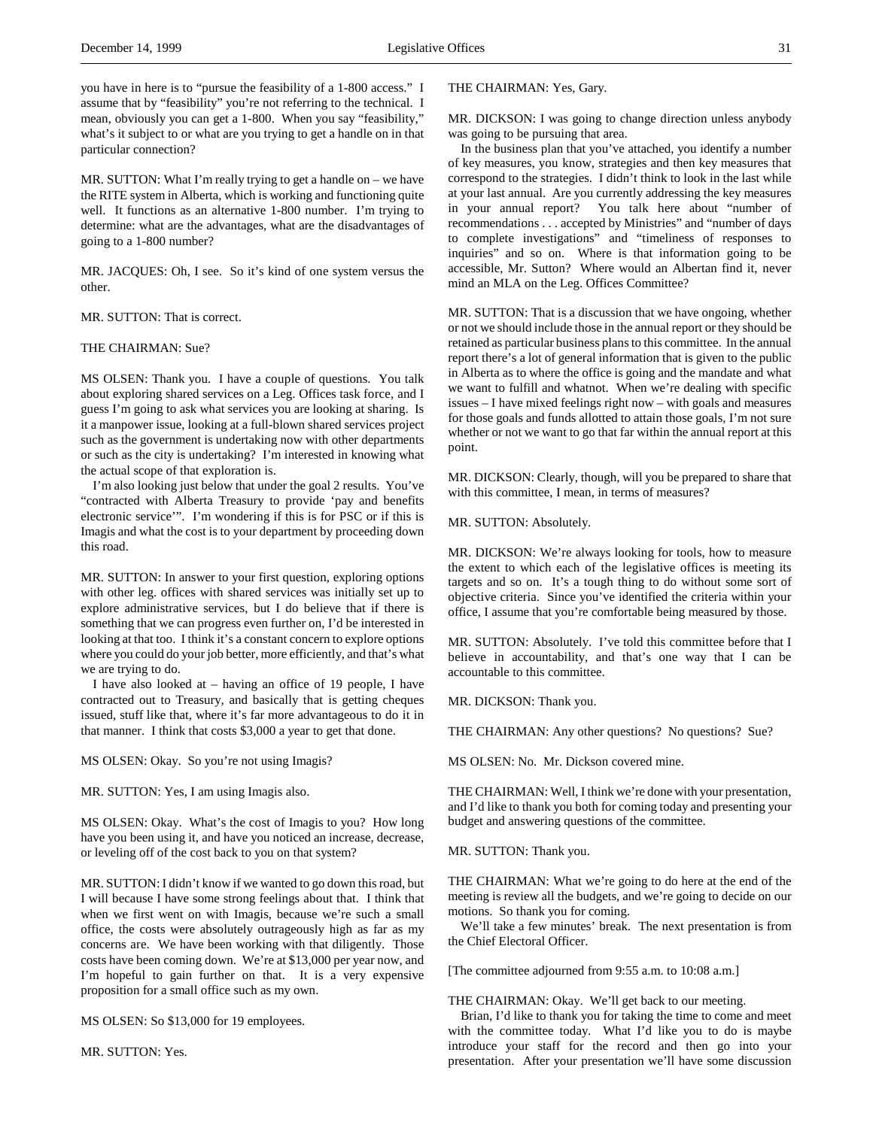you have in here is to "pursue the feasibility of a 1-800 access." I assume that by "feasibility" you're not referring to the technical. I mean, obviously you can get a 1-800. When you say "feasibility," what's it subject to or what are you trying to get a handle on in that particular connection?

MR. SUTTON: What I'm really trying to get a handle on – we have the RITE system in Alberta, which is working and functioning quite well. It functions as an alternative 1-800 number. I'm trying to determine: what are the advantages, what are the disadvantages of going to a 1-800 number?

MR. JACQUES: Oh, I see. So it's kind of one system versus the other.

MR. SUTTON: That is correct.

#### THE CHAIRMAN: Sue?

MS OLSEN: Thank you. I have a couple of questions. You talk about exploring shared services on a Leg. Offices task force, and I guess I'm going to ask what services you are looking at sharing. Is it a manpower issue, looking at a full-blown shared services project such as the government is undertaking now with other departments or such as the city is undertaking? I'm interested in knowing what the actual scope of that exploration is.

I'm also looking just below that under the goal 2 results. You've "contracted with Alberta Treasury to provide 'pay and benefits electronic service'". I'm wondering if this is for PSC or if this is Imagis and what the cost is to your department by proceeding down this road.

MR. SUTTON: In answer to your first question, exploring options with other leg. offices with shared services was initially set up to explore administrative services, but I do believe that if there is something that we can progress even further on, I'd be interested in looking at that too. I think it's a constant concern to explore options where you could do your job better, more efficiently, and that's what we are trying to do.

I have also looked at – having an office of 19 people, I have contracted out to Treasury, and basically that is getting cheques issued, stuff like that, where it's far more advantageous to do it in that manner. I think that costs \$3,000 a year to get that done.

MS OLSEN: Okay. So you're not using Imagis?

MR. SUTTON: Yes, I am using Imagis also.

MS OLSEN: Okay. What's the cost of Imagis to you? How long have you been using it, and have you noticed an increase, decrease, or leveling off of the cost back to you on that system?

MR. SUTTON: I didn't know if we wanted to go down this road, but I will because I have some strong feelings about that. I think that when we first went on with Imagis, because we're such a small office, the costs were absolutely outrageously high as far as my concerns are. We have been working with that diligently. Those costs have been coming down. We're at \$13,000 per year now, and I'm hopeful to gain further on that. It is a very expensive proposition for a small office such as my own.

MS OLSEN: So \$13,000 for 19 employees.

MR. SUTTON: Yes.

### THE CHAIRMAN: Yes, Gary.

MR. DICKSON: I was going to change direction unless anybody was going to be pursuing that area.

In the business plan that you've attached, you identify a number of key measures, you know, strategies and then key measures that correspond to the strategies. I didn't think to look in the last while at your last annual. Are you currently addressing the key measures in your annual report? You talk here about "number of recommendations . . . accepted by Ministries" and "number of days to complete investigations" and "timeliness of responses to inquiries" and so on. Where is that information going to be accessible, Mr. Sutton? Where would an Albertan find it, never mind an MLA on the Leg. Offices Committee?

MR. SUTTON: That is a discussion that we have ongoing, whether or not we should include those in the annual report or they should be retained as particular business plans to this committee. In the annual report there's a lot of general information that is given to the public in Alberta as to where the office is going and the mandate and what we want to fulfill and whatnot. When we're dealing with specific issues – I have mixed feelings right now – with goals and measures for those goals and funds allotted to attain those goals, I'm not sure whether or not we want to go that far within the annual report at this point.

MR. DICKSON: Clearly, though, will you be prepared to share that with this committee, I mean, in terms of measures?

### MR. SUTTON: Absolutely.

MR. DICKSON: We're always looking for tools, how to measure the extent to which each of the legislative offices is meeting its targets and so on. It's a tough thing to do without some sort of objective criteria. Since you've identified the criteria within your office, I assume that you're comfortable being measured by those.

MR. SUTTON: Absolutely. I've told this committee before that I believe in accountability, and that's one way that I can be accountable to this committee.

MR. DICKSON: Thank you.

THE CHAIRMAN: Any other questions? No questions? Sue?

MS OLSEN: No. Mr. Dickson covered mine.

THE CHAIRMAN: Well, I think we're done with your presentation, and I'd like to thank you both for coming today and presenting your budget and answering questions of the committee.

### MR. SUTTON: Thank you.

THE CHAIRMAN: What we're going to do here at the end of the meeting is review all the budgets, and we're going to decide on our motions. So thank you for coming.

We'll take a few minutes' break. The next presentation is from the Chief Electoral Officer.

[The committee adjourned from 9:55 a.m. to 10:08 a.m.]

THE CHAIRMAN: Okay. We'll get back to our meeting.

Brian, I'd like to thank you for taking the time to come and meet with the committee today. What I'd like you to do is maybe introduce your staff for the record and then go into your presentation. After your presentation we'll have some discussion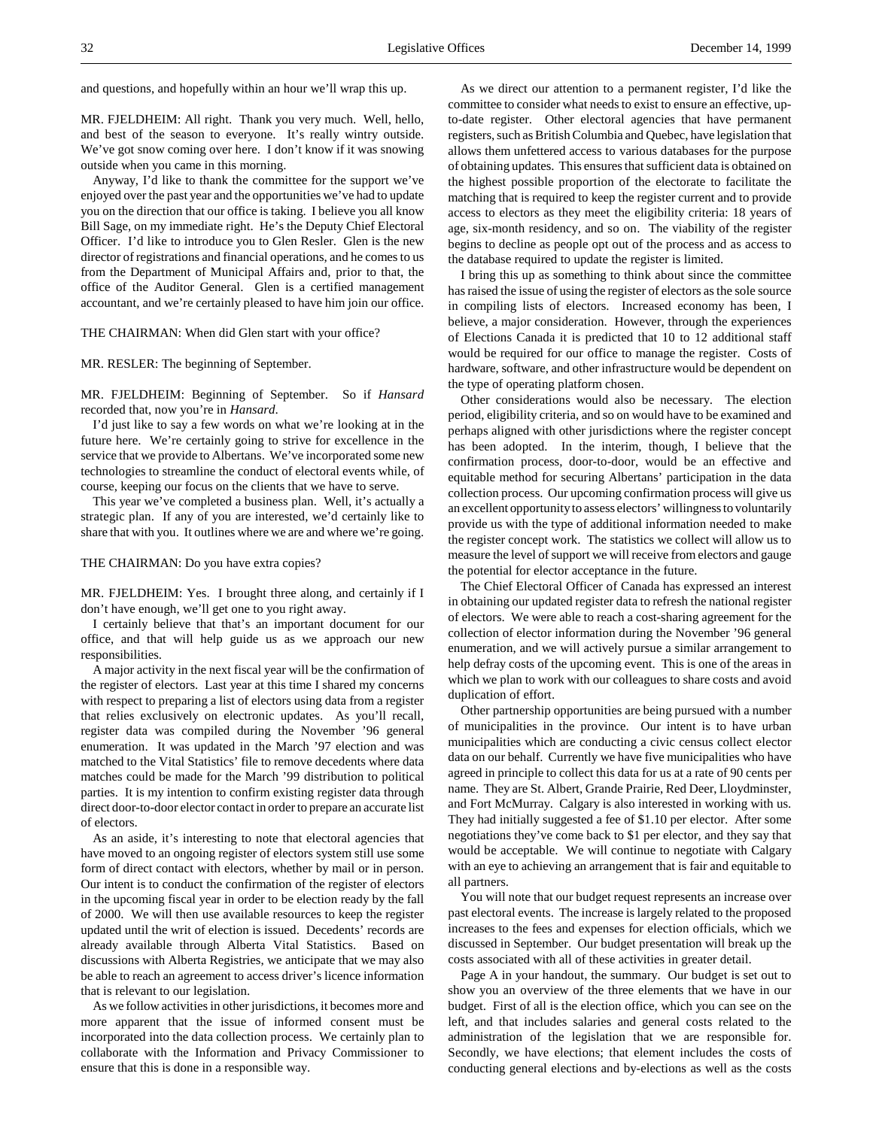and questions, and hopefully within an hour we'll wrap this up.

MR. FJELDHEIM: All right. Thank you very much. Well, hello, and best of the season to everyone. It's really wintry outside. We've got snow coming over here. I don't know if it was snowing outside when you came in this morning.

Anyway, I'd like to thank the committee for the support we've enjoyed over the past year and the opportunities we've had to update you on the direction that our office is taking. I believe you all know Bill Sage, on my immediate right. He's the Deputy Chief Electoral Officer. I'd like to introduce you to Glen Resler. Glen is the new director of registrations and financial operations, and he comes to us from the Department of Municipal Affairs and, prior to that, the office of the Auditor General. Glen is a certified management accountant, and we're certainly pleased to have him join our office.

#### THE CHAIRMAN: When did Glen start with your office?

MR. RESLER: The beginning of September.

MR. FJELDHEIM: Beginning of September. So if *Hansard* recorded that, now you're in *Hansard*.

I'd just like to say a few words on what we're looking at in the future here. We're certainly going to strive for excellence in the service that we provide to Albertans. We've incorporated some new technologies to streamline the conduct of electoral events while, of course, keeping our focus on the clients that we have to serve.

This year we've completed a business plan. Well, it's actually a strategic plan. If any of you are interested, we'd certainly like to share that with you. It outlines where we are and where we're going.

#### THE CHAIRMAN: Do you have extra copies?

MR. FJELDHEIM: Yes. I brought three along, and certainly if I don't have enough, we'll get one to you right away.

I certainly believe that that's an important document for our office, and that will help guide us as we approach our new responsibilities.

A major activity in the next fiscal year will be the confirmation of the register of electors. Last year at this time I shared my concerns with respect to preparing a list of electors using data from a register that relies exclusively on electronic updates. As you'll recall, register data was compiled during the November '96 general enumeration. It was updated in the March '97 election and was matched to the Vital Statistics' file to remove decedents where data matches could be made for the March '99 distribution to political parties. It is my intention to confirm existing register data through direct door-to-door elector contact in order to prepare an accurate list of electors.

As an aside, it's interesting to note that electoral agencies that have moved to an ongoing register of electors system still use some form of direct contact with electors, whether by mail or in person. Our intent is to conduct the confirmation of the register of electors in the upcoming fiscal year in order to be election ready by the fall of 2000. We will then use available resources to keep the register updated until the writ of election is issued. Decedents' records are already available through Alberta Vital Statistics. Based on discussions with Alberta Registries, we anticipate that we may also be able to reach an agreement to access driver's licence information that is relevant to our legislation.

As we follow activities in other jurisdictions, it becomes more and more apparent that the issue of informed consent must be incorporated into the data collection process. We certainly plan to collaborate with the Information and Privacy Commissioner to ensure that this is done in a responsible way.

As we direct our attention to a permanent register, I'd like the committee to consider what needs to exist to ensure an effective, upto-date register. Other electoral agencies that have permanent registers, such as British Columbia and Quebec, have legislation that allows them unfettered access to various databases for the purpose of obtaining updates. This ensures that sufficient data is obtained on the highest possible proportion of the electorate to facilitate the matching that is required to keep the register current and to provide access to electors as they meet the eligibility criteria: 18 years of age, six-month residency, and so on. The viability of the register begins to decline as people opt out of the process and as access to the database required to update the register is limited.

I bring this up as something to think about since the committee has raised the issue of using the register of electors as the sole source in compiling lists of electors. Increased economy has been, I believe, a major consideration. However, through the experiences of Elections Canada it is predicted that 10 to 12 additional staff would be required for our office to manage the register. Costs of hardware, software, and other infrastructure would be dependent on the type of operating platform chosen.

Other considerations would also be necessary. The election period, eligibility criteria, and so on would have to be examined and perhaps aligned with other jurisdictions where the register concept has been adopted. In the interim, though, I believe that the confirmation process, door-to-door, would be an effective and equitable method for securing Albertans' participation in the data collection process. Our upcoming confirmation process will give us an excellent opportunity to assess electors' willingness to voluntarily provide us with the type of additional information needed to make the register concept work. The statistics we collect will allow us to measure the level of support we will receive from electors and gauge the potential for elector acceptance in the future.

The Chief Electoral Officer of Canada has expressed an interest in obtaining our updated register data to refresh the national register of electors. We were able to reach a cost-sharing agreement for the collection of elector information during the November '96 general enumeration, and we will actively pursue a similar arrangement to help defray costs of the upcoming event. This is one of the areas in which we plan to work with our colleagues to share costs and avoid duplication of effort.

Other partnership opportunities are being pursued with a number of municipalities in the province. Our intent is to have urban municipalities which are conducting a civic census collect elector data on our behalf. Currently we have five municipalities who have agreed in principle to collect this data for us at a rate of 90 cents per name. They are St. Albert, Grande Prairie, Red Deer, Lloydminster, and Fort McMurray. Calgary is also interested in working with us. They had initially suggested a fee of \$1.10 per elector. After some negotiations they've come back to \$1 per elector, and they say that would be acceptable. We will continue to negotiate with Calgary with an eye to achieving an arrangement that is fair and equitable to all partners.

You will note that our budget request represents an increase over past electoral events. The increase is largely related to the proposed increases to the fees and expenses for election officials, which we discussed in September. Our budget presentation will break up the costs associated with all of these activities in greater detail.

Page A in your handout, the summary. Our budget is set out to show you an overview of the three elements that we have in our budget. First of all is the election office, which you can see on the left, and that includes salaries and general costs related to the administration of the legislation that we are responsible for. Secondly, we have elections; that element includes the costs of conducting general elections and by-elections as well as the costs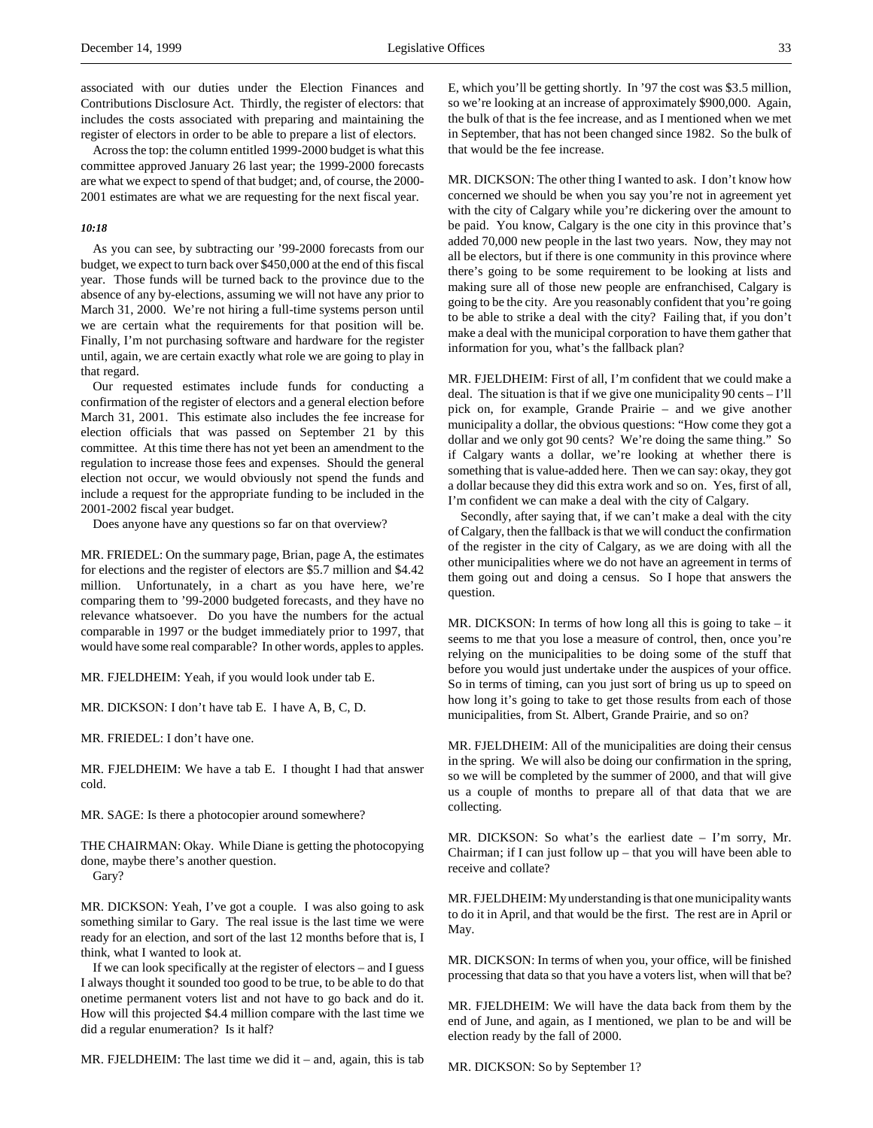associated with our duties under the Election Finances and Contributions Disclosure Act. Thirdly, the register of electors: that includes the costs associated with preparing and maintaining the register of electors in order to be able to prepare a list of electors.

Across the top: the column entitled 1999-2000 budget is what this committee approved January 26 last year; the 1999-2000 forecasts are what we expect to spend of that budget; and, of course, the 2000- 2001 estimates are what we are requesting for the next fiscal year.

#### *10:18*

As you can see, by subtracting our '99-2000 forecasts from our budget, we expect to turn back over \$450,000 at the end of this fiscal year. Those funds will be turned back to the province due to the absence of any by-elections, assuming we will not have any prior to March 31, 2000. We're not hiring a full-time systems person until we are certain what the requirements for that position will be. Finally, I'm not purchasing software and hardware for the register until, again, we are certain exactly what role we are going to play in that regard.

Our requested estimates include funds for conducting a confirmation of the register of electors and a general election before March 31, 2001. This estimate also includes the fee increase for election officials that was passed on September 21 by this committee. At this time there has not yet been an amendment to the regulation to increase those fees and expenses. Should the general election not occur, we would obviously not spend the funds and include a request for the appropriate funding to be included in the 2001-2002 fiscal year budget.

Does anyone have any questions so far on that overview?

MR. FRIEDEL: On the summary page, Brian, page A, the estimates for elections and the register of electors are \$5.7 million and \$4.42 million. Unfortunately, in a chart as you have here, we're comparing them to '99-2000 budgeted forecasts, and they have no relevance whatsoever. Do you have the numbers for the actual comparable in 1997 or the budget immediately prior to 1997, that would have some real comparable? In other words, apples to apples.

MR. FJELDHEIM: Yeah, if you would look under tab E.

MR. DICKSON: I don't have tab E. I have A, B, C, D.

MR. FRIEDEL: I don't have one.

MR. FJELDHEIM: We have a tab E. I thought I had that answer cold.

MR. SAGE: Is there a photocopier around somewhere?

THE CHAIRMAN: Okay. While Diane is getting the photocopying done, maybe there's another question. Gary?

MR. DICKSON: Yeah, I've got a couple. I was also going to ask something similar to Gary. The real issue is the last time we were ready for an election, and sort of the last 12 months before that is, I think, what I wanted to look at.

If we can look specifically at the register of electors – and I guess I always thought it sounded too good to be true, to be able to do that onetime permanent voters list and not have to go back and do it. How will this projected \$4.4 million compare with the last time we did a regular enumeration? Is it half?

MR. FJELDHEIM: The last time we did it – and, again, this is tab

E, which you'll be getting shortly. In '97 the cost was \$3.5 million, so we're looking at an increase of approximately \$900,000. Again, the bulk of that is the fee increase, and as I mentioned when we met in September, that has not been changed since 1982. So the bulk of that would be the fee increase.

MR. DICKSON: The other thing I wanted to ask. I don't know how concerned we should be when you say you're not in agreement yet with the city of Calgary while you're dickering over the amount to be paid. You know, Calgary is the one city in this province that's added 70,000 new people in the last two years. Now, they may not all be electors, but if there is one community in this province where there's going to be some requirement to be looking at lists and making sure all of those new people are enfranchised, Calgary is going to be the city. Are you reasonably confident that you're going to be able to strike a deal with the city? Failing that, if you don't make a deal with the municipal corporation to have them gather that information for you, what's the fallback plan?

MR. FJELDHEIM: First of all, I'm confident that we could make a deal. The situation is that if we give one municipality 90 cents – I'll pick on, for example, Grande Prairie – and we give another municipality a dollar, the obvious questions: "How come they got a dollar and we only got 90 cents? We're doing the same thing." So if Calgary wants a dollar, we're looking at whether there is something that is value-added here. Then we can say: okay, they got a dollar because they did this extra work and so on. Yes, first of all, I'm confident we can make a deal with the city of Calgary.

Secondly, after saying that, if we can't make a deal with the city of Calgary, then the fallback is that we will conduct the confirmation of the register in the city of Calgary, as we are doing with all the other municipalities where we do not have an agreement in terms of them going out and doing a census. So I hope that answers the question.

MR. DICKSON: In terms of how long all this is going to take – it seems to me that you lose a measure of control, then, once you're relying on the municipalities to be doing some of the stuff that before you would just undertake under the auspices of your office. So in terms of timing, can you just sort of bring us up to speed on how long it's going to take to get those results from each of those municipalities, from St. Albert, Grande Prairie, and so on?

MR. FJELDHEIM: All of the municipalities are doing their census in the spring. We will also be doing our confirmation in the spring, so we will be completed by the summer of 2000, and that will give us a couple of months to prepare all of that data that we are collecting.

MR. DICKSON: So what's the earliest date – I'm sorry, Mr. Chairman; if I can just follow up – that you will have been able to receive and collate?

MR. FJELDHEIM: My understanding is that one municipality wants to do it in April, and that would be the first. The rest are in April or May.

MR. DICKSON: In terms of when you, your office, will be finished processing that data so that you have a voters list, when will that be?

MR. FJELDHEIM: We will have the data back from them by the end of June, and again, as I mentioned, we plan to be and will be election ready by the fall of 2000.

MR. DICKSON: So by September 1?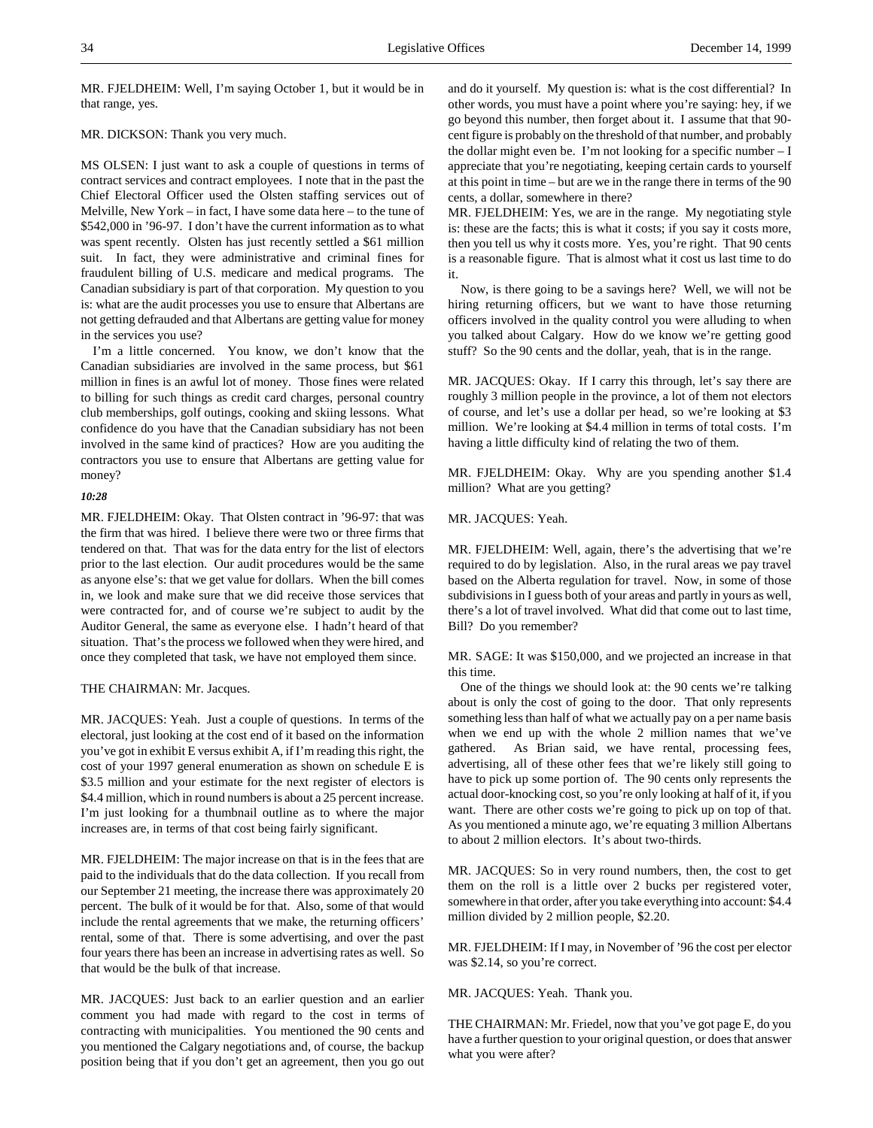MR. FJELDHEIM: Well, I'm saying October 1, but it would be in that range, yes.

# MR. DICKSON: Thank you very much.

MS OLSEN: I just want to ask a couple of questions in terms of contract services and contract employees. I note that in the past the Chief Electoral Officer used the Olsten staffing services out of Melville, New York – in fact, I have some data here – to the tune of \$542,000 in '96-97. I don't have the current information as to what was spent recently. Olsten has just recently settled a \$61 million suit. In fact, they were administrative and criminal fines for fraudulent billing of U.S. medicare and medical programs. The Canadian subsidiary is part of that corporation. My question to you is: what are the audit processes you use to ensure that Albertans are not getting defrauded and that Albertans are getting value for money in the services you use?

I'm a little concerned. You know, we don't know that the Canadian subsidiaries are involved in the same process, but \$61 million in fines is an awful lot of money. Those fines were related to billing for such things as credit card charges, personal country club memberships, golf outings, cooking and skiing lessons. What confidence do you have that the Canadian subsidiary has not been involved in the same kind of practices? How are you auditing the contractors you use to ensure that Albertans are getting value for money?

## *10:28*

MR. FJELDHEIM: Okay. That Olsten contract in '96-97: that was the firm that was hired. I believe there were two or three firms that tendered on that. That was for the data entry for the list of electors prior to the last election. Our audit procedures would be the same as anyone else's: that we get value for dollars. When the bill comes in, we look and make sure that we did receive those services that were contracted for, and of course we're subject to audit by the Auditor General, the same as everyone else. I hadn't heard of that situation. That's the process we followed when they were hired, and once they completed that task, we have not employed them since.

## THE CHAIRMAN: Mr. Jacques.

MR. JACQUES: Yeah. Just a couple of questions. In terms of the electoral, just looking at the cost end of it based on the information you've got in exhibit E versus exhibit A, if I'm reading this right, the cost of your 1997 general enumeration as shown on schedule E is \$3.5 million and your estimate for the next register of electors is \$4.4 million, which in round numbers is about a 25 percent increase. I'm just looking for a thumbnail outline as to where the major increases are, in terms of that cost being fairly significant.

MR. FJELDHEIM: The major increase on that is in the fees that are paid to the individuals that do the data collection. If you recall from our September 21 meeting, the increase there was approximately 20 percent. The bulk of it would be for that. Also, some of that would include the rental agreements that we make, the returning officers' rental, some of that. There is some advertising, and over the past four years there has been an increase in advertising rates as well. So that would be the bulk of that increase.

MR. JACQUES: Just back to an earlier question and an earlier comment you had made with regard to the cost in terms of contracting with municipalities. You mentioned the 90 cents and you mentioned the Calgary negotiations and, of course, the backup position being that if you don't get an agreement, then you go out and do it yourself. My question is: what is the cost differential? In other words, you must have a point where you're saying: hey, if we go beyond this number, then forget about it. I assume that that 90 cent figure is probably on the threshold of that number, and probably the dollar might even be. I'm not looking for a specific number  $-I$ appreciate that you're negotiating, keeping certain cards to yourself at this point in time – but are we in the range there in terms of the 90 cents, a dollar, somewhere in there?

MR. FJELDHEIM: Yes, we are in the range. My negotiating style is: these are the facts; this is what it costs; if you say it costs more, then you tell us why it costs more. Yes, you're right. That 90 cents is a reasonable figure. That is almost what it cost us last time to do it.

Now, is there going to be a savings here? Well, we will not be hiring returning officers, but we want to have those returning officers involved in the quality control you were alluding to when you talked about Calgary. How do we know we're getting good stuff? So the 90 cents and the dollar, yeah, that is in the range.

MR. JACQUES: Okay. If I carry this through, let's say there are roughly 3 million people in the province, a lot of them not electors of course, and let's use a dollar per head, so we're looking at \$3 million. We're looking at \$4.4 million in terms of total costs. I'm having a little difficulty kind of relating the two of them.

MR. FJELDHEIM: Okay. Why are you spending another \$1.4 million? What are you getting?

### MR. JACQUES: Yeah.

MR. FJELDHEIM: Well, again, there's the advertising that we're required to do by legislation. Also, in the rural areas we pay travel based on the Alberta regulation for travel. Now, in some of those subdivisions in I guess both of your areas and partly in yours as well, there's a lot of travel involved. What did that come out to last time, Bill? Do you remember?

MR. SAGE: It was \$150,000, and we projected an increase in that this time.

One of the things we should look at: the 90 cents we're talking about is only the cost of going to the door. That only represents something less than half of what we actually pay on a per name basis when we end up with the whole 2 million names that we've gathered. As Brian said, we have rental, processing fees, advertising, all of these other fees that we're likely still going to have to pick up some portion of. The 90 cents only represents the actual door-knocking cost, so you're only looking at half of it, if you want. There are other costs we're going to pick up on top of that. As you mentioned a minute ago, we're equating 3 million Albertans to about 2 million electors. It's about two-thirds.

MR. JACQUES: So in very round numbers, then, the cost to get them on the roll is a little over 2 bucks per registered voter, somewhere in that order, after you take everything into account: \$4.4 million divided by 2 million people, \$2.20.

MR. FJELDHEIM: If I may, in November of '96 the cost per elector was \$2.14, so you're correct.

MR. JACQUES: Yeah. Thank you.

THE CHAIRMAN: Mr. Friedel, now that you've got page E, do you have a further question to your original question, or does that answer what you were after?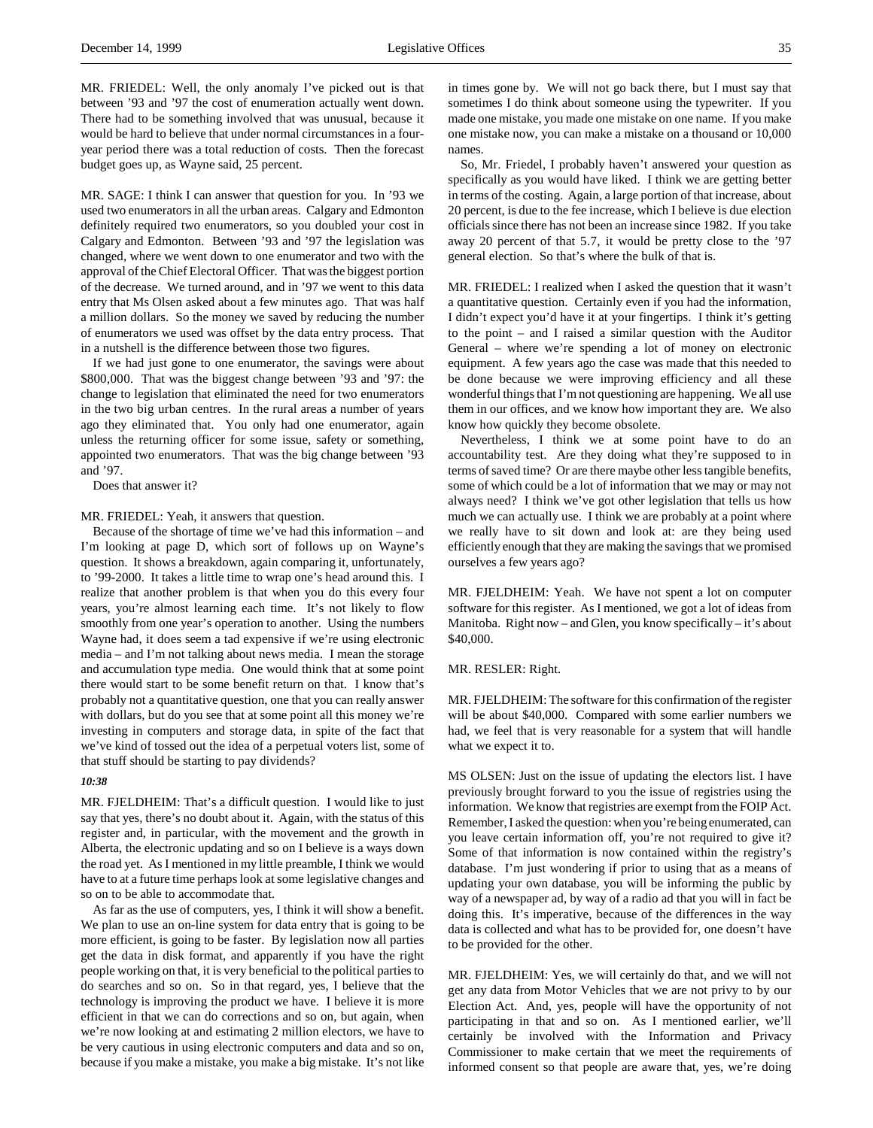MR. FRIEDEL: Well, the only anomaly I've picked out is that between '93 and '97 the cost of enumeration actually went down. There had to be something involved that was unusual, because it would be hard to believe that under normal circumstances in a fouryear period there was a total reduction of costs. Then the forecast budget goes up, as Wayne said, 25 percent.

MR. SAGE: I think I can answer that question for you. In '93 we used two enumerators in all the urban areas. Calgary and Edmonton definitely required two enumerators, so you doubled your cost in Calgary and Edmonton. Between '93 and '97 the legislation was changed, where we went down to one enumerator and two with the approval of the Chief Electoral Officer. That was the biggest portion of the decrease. We turned around, and in '97 we went to this data entry that Ms Olsen asked about a few minutes ago. That was half a million dollars. So the money we saved by reducing the number of enumerators we used was offset by the data entry process. That in a nutshell is the difference between those two figures.

If we had just gone to one enumerator, the savings were about \$800,000. That was the biggest change between '93 and '97: the change to legislation that eliminated the need for two enumerators in the two big urban centres. In the rural areas a number of years ago they eliminated that. You only had one enumerator, again unless the returning officer for some issue, safety or something, appointed two enumerators. That was the big change between '93 and '97.

Does that answer it?

MR. FRIEDEL: Yeah, it answers that question.

Because of the shortage of time we've had this information – and I'm looking at page D, which sort of follows up on Wayne's question. It shows a breakdown, again comparing it, unfortunately, to '99-2000. It takes a little time to wrap one's head around this. I realize that another problem is that when you do this every four years, you're almost learning each time. It's not likely to flow smoothly from one year's operation to another. Using the numbers Wayne had, it does seem a tad expensive if we're using electronic media – and I'm not talking about news media. I mean the storage and accumulation type media. One would think that at some point there would start to be some benefit return on that. I know that's probably not a quantitative question, one that you can really answer with dollars, but do you see that at some point all this money we're investing in computers and storage data, in spite of the fact that we've kind of tossed out the idea of a perpetual voters list, some of that stuff should be starting to pay dividends?

#### *10:38*

MR. FJELDHEIM: That's a difficult question. I would like to just say that yes, there's no doubt about it. Again, with the status of this register and, in particular, with the movement and the growth in Alberta, the electronic updating and so on I believe is a ways down the road yet. As I mentioned in my little preamble, I think we would have to at a future time perhaps look at some legislative changes and so on to be able to accommodate that.

As far as the use of computers, yes, I think it will show a benefit. We plan to use an on-line system for data entry that is going to be more efficient, is going to be faster. By legislation now all parties get the data in disk format, and apparently if you have the right people working on that, it is very beneficial to the political parties to do searches and so on. So in that regard, yes, I believe that the technology is improving the product we have. I believe it is more efficient in that we can do corrections and so on, but again, when we're now looking at and estimating 2 million electors, we have to be very cautious in using electronic computers and data and so on, because if you make a mistake, you make a big mistake. It's not like

in times gone by. We will not go back there, but I must say that sometimes I do think about someone using the typewriter. If you made one mistake, you made one mistake on one name. If you make one mistake now, you can make a mistake on a thousand or 10,000 names.

So, Mr. Friedel, I probably haven't answered your question as specifically as you would have liked. I think we are getting better in terms of the costing. Again, a large portion of that increase, about 20 percent, is due to the fee increase, which I believe is due election officials since there has not been an increase since 1982. If you take away 20 percent of that 5.7, it would be pretty close to the '97 general election. So that's where the bulk of that is.

MR. FRIEDEL: I realized when I asked the question that it wasn't a quantitative question. Certainly even if you had the information, I didn't expect you'd have it at your fingertips. I think it's getting to the point – and I raised a similar question with the Auditor General – where we're spending a lot of money on electronic equipment. A few years ago the case was made that this needed to be done because we were improving efficiency and all these wonderful things that I'm not questioning are happening. We all use them in our offices, and we know how important they are. We also know how quickly they become obsolete.

Nevertheless, I think we at some point have to do an accountability test. Are they doing what they're supposed to in terms of saved time? Or are there maybe other less tangible benefits, some of which could be a lot of information that we may or may not always need? I think we've got other legislation that tells us how much we can actually use. I think we are probably at a point where we really have to sit down and look at: are they being used efficiently enough that they are making the savings that we promised ourselves a few years ago?

MR. FJELDHEIM: Yeah. We have not spent a lot on computer software for this register. As I mentioned, we got a lot of ideas from Manitoba. Right now – and Glen, you know specifically – it's about \$40,000.

### MR. RESLER: Right.

MR. FJELDHEIM: The software for this confirmation of the register will be about \$40,000. Compared with some earlier numbers we had, we feel that is very reasonable for a system that will handle what we expect it to.

MS OLSEN: Just on the issue of updating the electors list. I have previously brought forward to you the issue of registries using the information. We know that registries are exempt from the FOIP Act. Remember, I asked the question: when you're being enumerated, can you leave certain information off, you're not required to give it? Some of that information is now contained within the registry's database. I'm just wondering if prior to using that as a means of updating your own database, you will be informing the public by way of a newspaper ad, by way of a radio ad that you will in fact be doing this. It's imperative, because of the differences in the way data is collected and what has to be provided for, one doesn't have to be provided for the other.

MR. FJELDHEIM: Yes, we will certainly do that, and we will not get any data from Motor Vehicles that we are not privy to by our Election Act. And, yes, people will have the opportunity of not participating in that and so on. As I mentioned earlier, we'll certainly be involved with the Information and Privacy Commissioner to make certain that we meet the requirements of informed consent so that people are aware that, yes, we're doing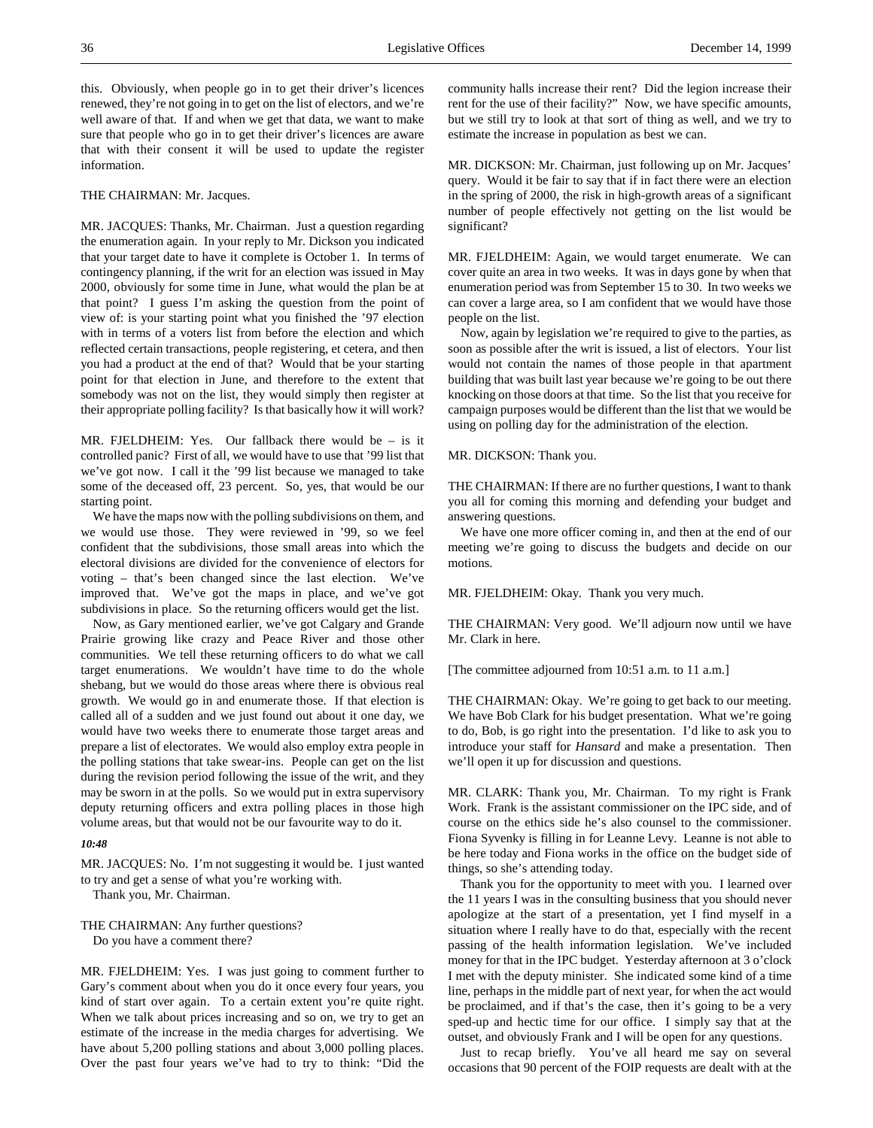this. Obviously, when people go in to get their driver's licences renewed, they're not going in to get on the list of electors, and we're well aware of that. If and when we get that data, we want to make sure that people who go in to get their driver's licences are aware that with their consent it will be used to update the register information.

### THE CHAIRMAN: Mr. Jacques.

MR. JACQUES: Thanks, Mr. Chairman. Just a question regarding the enumeration again. In your reply to Mr. Dickson you indicated that your target date to have it complete is October 1. In terms of contingency planning, if the writ for an election was issued in May 2000, obviously for some time in June, what would the plan be at that point? I guess I'm asking the question from the point of view of: is your starting point what you finished the '97 election with in terms of a voters list from before the election and which reflected certain transactions, people registering, et cetera, and then you had a product at the end of that? Would that be your starting point for that election in June, and therefore to the extent that somebody was not on the list, they would simply then register at their appropriate polling facility? Is that basically how it will work?

MR. FJELDHEIM: Yes. Our fallback there would be  $-$  is it controlled panic? First of all, we would have to use that '99 list that we've got now. I call it the '99 list because we managed to take some of the deceased off, 23 percent. So, yes, that would be our starting point.

We have the maps now with the polling subdivisions on them, and we would use those. They were reviewed in '99, so we feel confident that the subdivisions, those small areas into which the electoral divisions are divided for the convenience of electors for voting – that's been changed since the last election. We've improved that. We've got the maps in place, and we've got subdivisions in place. So the returning officers would get the list.

Now, as Gary mentioned earlier, we've got Calgary and Grande Prairie growing like crazy and Peace River and those other communities. We tell these returning officers to do what we call target enumerations. We wouldn't have time to do the whole shebang, but we would do those areas where there is obvious real growth. We would go in and enumerate those. If that election is called all of a sudden and we just found out about it one day, we would have two weeks there to enumerate those target areas and prepare a list of electorates. We would also employ extra people in the polling stations that take swear-ins. People can get on the list during the revision period following the issue of the writ, and they may be sworn in at the polls. So we would put in extra supervisory deputy returning officers and extra polling places in those high volume areas, but that would not be our favourite way to do it.

### *10:48*

MR. JACQUES: No. I'm not suggesting it would be. I just wanted to try and get a sense of what you're working with.

Thank you, Mr. Chairman.

THE CHAIRMAN: Any further questions?

Do you have a comment there?

MR. FJELDHEIM: Yes. I was just going to comment further to Gary's comment about when you do it once every four years, you kind of start over again. To a certain extent you're quite right. When we talk about prices increasing and so on, we try to get an estimate of the increase in the media charges for advertising. We have about 5,200 polling stations and about 3,000 polling places. Over the past four years we've had to try to think: "Did the community halls increase their rent? Did the legion increase their rent for the use of their facility?" Now, we have specific amounts, but we still try to look at that sort of thing as well, and we try to estimate the increase in population as best we can.

MR. DICKSON: Mr. Chairman, just following up on Mr. Jacques' query. Would it be fair to say that if in fact there were an election in the spring of 2000, the risk in high-growth areas of a significant number of people effectively not getting on the list would be significant?

MR. FJELDHEIM: Again, we would target enumerate. We can cover quite an area in two weeks. It was in days gone by when that enumeration period was from September 15 to 30. In two weeks we can cover a large area, so I am confident that we would have those people on the list.

Now, again by legislation we're required to give to the parties, as soon as possible after the writ is issued, a list of electors. Your list would not contain the names of those people in that apartment building that was built last year because we're going to be out there knocking on those doors at that time. So the list that you receive for campaign purposes would be different than the list that we would be using on polling day for the administration of the election.

### MR. DICKSON: Thank you.

THE CHAIRMAN: If there are no further questions, I want to thank you all for coming this morning and defending your budget and answering questions.

We have one more officer coming in, and then at the end of our meeting we're going to discuss the budgets and decide on our motions.

MR. FJELDHEIM: Okay. Thank you very much.

THE CHAIRMAN: Very good. We'll adjourn now until we have Mr. Clark in here.

[The committee adjourned from 10:51 a.m. to 11 a.m.]

THE CHAIRMAN: Okay. We're going to get back to our meeting. We have Bob Clark for his budget presentation. What we're going to do, Bob, is go right into the presentation. I'd like to ask you to introduce your staff for *Hansard* and make a presentation. Then we'll open it up for discussion and questions.

MR. CLARK: Thank you, Mr. Chairman. To my right is Frank Work. Frank is the assistant commissioner on the IPC side, and of course on the ethics side he's also counsel to the commissioner. Fiona Syvenky is filling in for Leanne Levy. Leanne is not able to be here today and Fiona works in the office on the budget side of things, so she's attending today.

Thank you for the opportunity to meet with you. I learned over the 11 years I was in the consulting business that you should never apologize at the start of a presentation, yet I find myself in a situation where I really have to do that, especially with the recent passing of the health information legislation. We've included money for that in the IPC budget. Yesterday afternoon at 3 o'clock I met with the deputy minister. She indicated some kind of a time line, perhaps in the middle part of next year, for when the act would be proclaimed, and if that's the case, then it's going to be a very sped-up and hectic time for our office. I simply say that at the outset, and obviously Frank and I will be open for any questions.

Just to recap briefly. You've all heard me say on several occasions that 90 percent of the FOIP requests are dealt with at the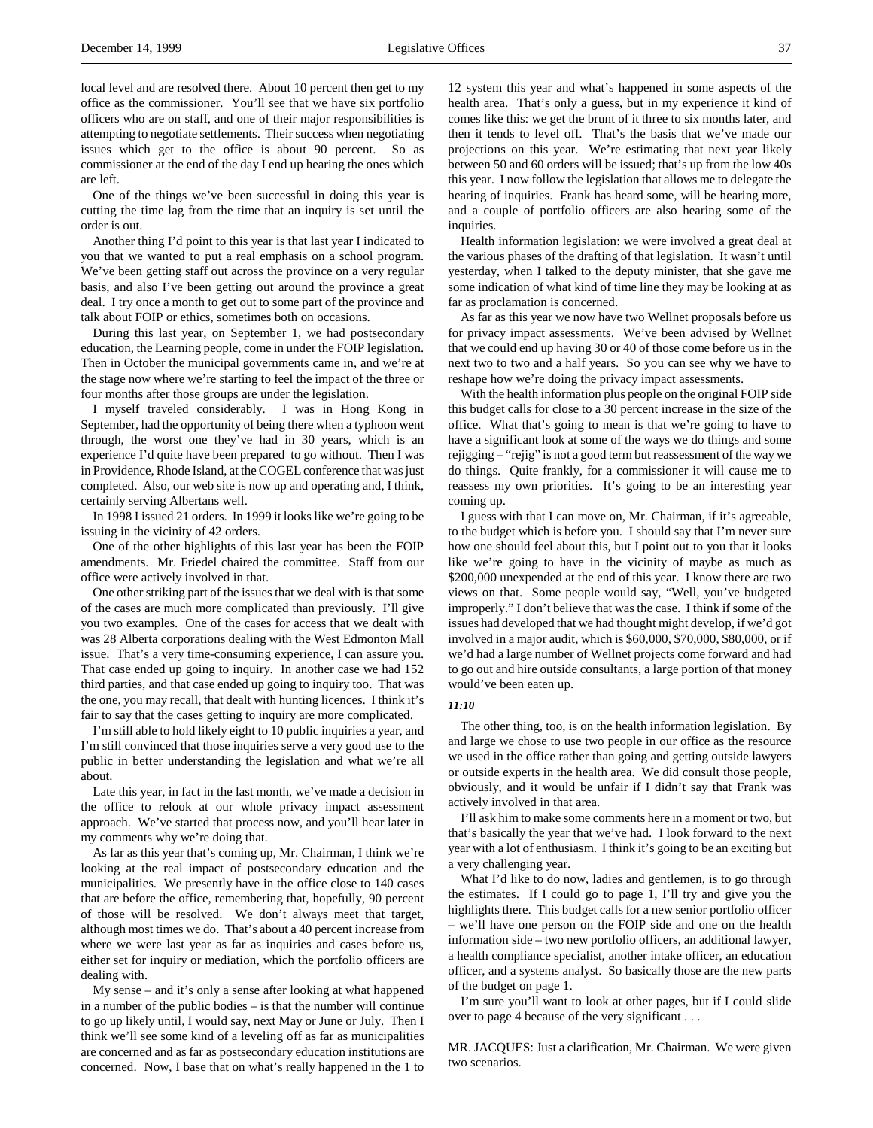local level and are resolved there. About 10 percent then get to my office as the commissioner. You'll see that we have six portfolio officers who are on staff, and one of their major responsibilities is attempting to negotiate settlements. Their success when negotiating issues which get to the office is about 90 percent. So as commissioner at the end of the day I end up hearing the ones which are left.

One of the things we've been successful in doing this year is cutting the time lag from the time that an inquiry is set until the order is out.

Another thing I'd point to this year is that last year I indicated to you that we wanted to put a real emphasis on a school program. We've been getting staff out across the province on a very regular basis, and also I've been getting out around the province a great deal. I try once a month to get out to some part of the province and talk about FOIP or ethics, sometimes both on occasions.

During this last year, on September 1, we had postsecondary education, the Learning people, come in under the FOIP legislation. Then in October the municipal governments came in, and we're at the stage now where we're starting to feel the impact of the three or four months after those groups are under the legislation.

I myself traveled considerably. I was in Hong Kong in September, had the opportunity of being there when a typhoon went through, the worst one they've had in 30 years, which is an experience I'd quite have been prepared to go without. Then I was in Providence, Rhode Island, at the COGEL conference that was just completed. Also, our web site is now up and operating and, I think, certainly serving Albertans well.

In 1998 I issued 21 orders. In 1999 it looks like we're going to be issuing in the vicinity of 42 orders.

One of the other highlights of this last year has been the FOIP amendments. Mr. Friedel chaired the committee. Staff from our office were actively involved in that.

One other striking part of the issues that we deal with is that some of the cases are much more complicated than previously. I'll give you two examples. One of the cases for access that we dealt with was 28 Alberta corporations dealing with the West Edmonton Mall issue. That's a very time-consuming experience, I can assure you. That case ended up going to inquiry. In another case we had 152 third parties, and that case ended up going to inquiry too. That was the one, you may recall, that dealt with hunting licences. I think it's fair to say that the cases getting to inquiry are more complicated.

I'm still able to hold likely eight to 10 public inquiries a year, and I'm still convinced that those inquiries serve a very good use to the public in better understanding the legislation and what we're all about.

Late this year, in fact in the last month, we've made a decision in the office to relook at our whole privacy impact assessment approach. We've started that process now, and you'll hear later in my comments why we're doing that.

As far as this year that's coming up, Mr. Chairman, I think we're looking at the real impact of postsecondary education and the municipalities. We presently have in the office close to 140 cases that are before the office, remembering that, hopefully, 90 percent of those will be resolved. We don't always meet that target, although most times we do. That's about a 40 percent increase from where we were last year as far as inquiries and cases before us, either set for inquiry or mediation, which the portfolio officers are dealing with.

My sense – and it's only a sense after looking at what happened in a number of the public bodies – is that the number will continue to go up likely until, I would say, next May or June or July. Then I think we'll see some kind of a leveling off as far as municipalities are concerned and as far as postsecondary education institutions are concerned. Now, I base that on what's really happened in the 1 to

12 system this year and what's happened in some aspects of the health area. That's only a guess, but in my experience it kind of comes like this: we get the brunt of it three to six months later, and then it tends to level off. That's the basis that we've made our projections on this year. We're estimating that next year likely between 50 and 60 orders will be issued; that's up from the low 40s this year. I now follow the legislation that allows me to delegate the hearing of inquiries. Frank has heard some, will be hearing more, and a couple of portfolio officers are also hearing some of the inquiries.

Health information legislation: we were involved a great deal at the various phases of the drafting of that legislation. It wasn't until yesterday, when I talked to the deputy minister, that she gave me some indication of what kind of time line they may be looking at as far as proclamation is concerned.

As far as this year we now have two Wellnet proposals before us for privacy impact assessments. We've been advised by Wellnet that we could end up having 30 or 40 of those come before us in the next two to two and a half years. So you can see why we have to reshape how we're doing the privacy impact assessments.

With the health information plus people on the original FOIP side this budget calls for close to a 30 percent increase in the size of the office. What that's going to mean is that we're going to have to have a significant look at some of the ways we do things and some rejigging – "rejig" is not a good term but reassessment of the way we do things. Quite frankly, for a commissioner it will cause me to reassess my own priorities. It's going to be an interesting year coming up.

I guess with that I can move on, Mr. Chairman, if it's agreeable, to the budget which is before you. I should say that I'm never sure how one should feel about this, but I point out to you that it looks like we're going to have in the vicinity of maybe as much as \$200,000 unexpended at the end of this year. I know there are two views on that. Some people would say, "Well, you've budgeted improperly." I don't believe that was the case. I think if some of the issues had developed that we had thought might develop, if we'd got involved in a major audit, which is \$60,000, \$70,000, \$80,000, or if we'd had a large number of Wellnet projects come forward and had to go out and hire outside consultants, a large portion of that money would've been eaten up.

### *11:10*

The other thing, too, is on the health information legislation. By and large we chose to use two people in our office as the resource we used in the office rather than going and getting outside lawyers or outside experts in the health area. We did consult those people, obviously, and it would be unfair if I didn't say that Frank was actively involved in that area.

I'll ask him to make some comments here in a moment or two, but that's basically the year that we've had. I look forward to the next year with a lot of enthusiasm. I think it's going to be an exciting but a very challenging year.

What I'd like to do now, ladies and gentlemen, is to go through the estimates. If I could go to page 1, I'll try and give you the highlights there. This budget calls for a new senior portfolio officer – we'll have one person on the FOIP side and one on the health information side – two new portfolio officers, an additional lawyer, a health compliance specialist, another intake officer, an education officer, and a systems analyst. So basically those are the new parts of the budget on page 1.

I'm sure you'll want to look at other pages, but if I could slide over to page 4 because of the very significant . . .

MR. JACQUES: Just a clarification, Mr. Chairman. We were given two scenarios.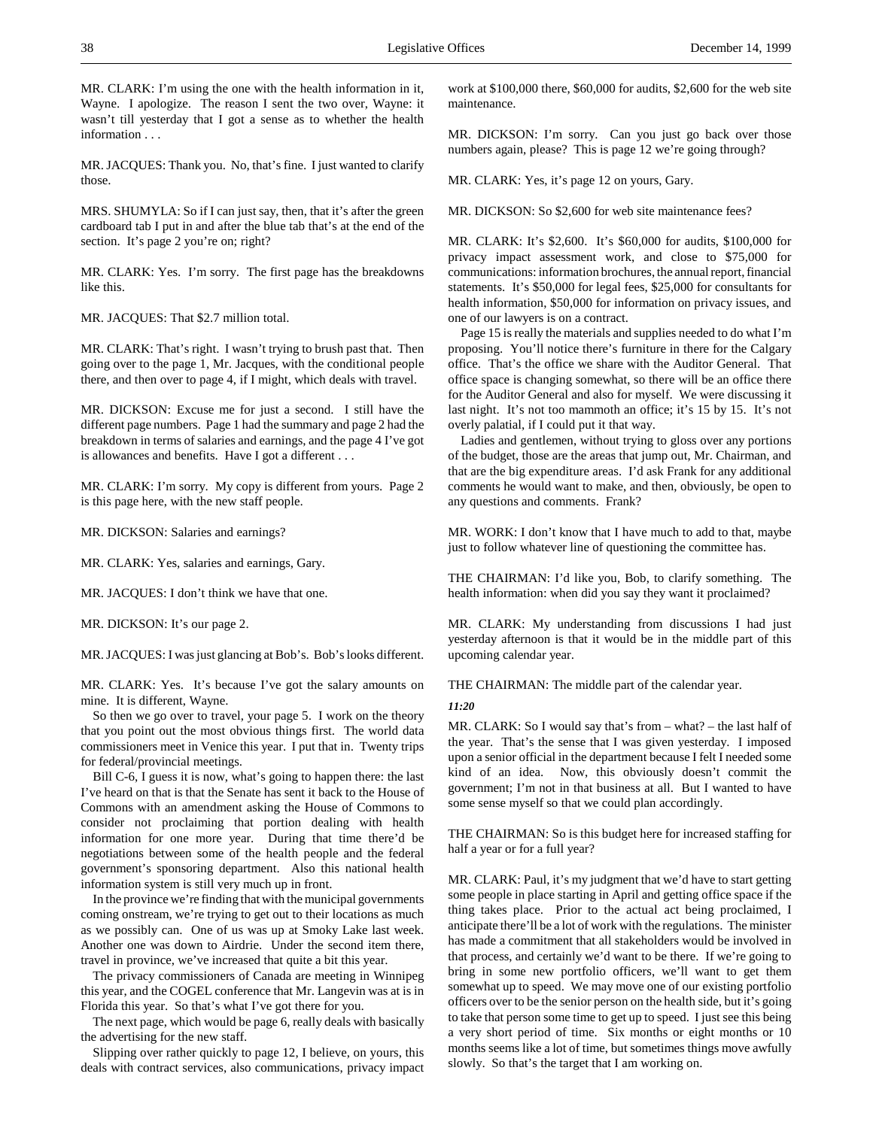MR. CLARK: I'm using the one with the health information in it, Wayne. I apologize. The reason I sent the two over, Wayne: it wasn't till yesterday that I got a sense as to whether the health information . . .

MR. JACQUES: Thank you. No, that's fine. I just wanted to clarify those.

MRS. SHUMYLA: So if I can just say, then, that it's after the green cardboard tab I put in and after the blue tab that's at the end of the section. It's page 2 you're on; right?

MR. CLARK: Yes. I'm sorry. The first page has the breakdowns like this.

MR. JACQUES: That \$2.7 million total.

MR. CLARK: That's right. I wasn't trying to brush past that. Then going over to the page 1, Mr. Jacques, with the conditional people there, and then over to page 4, if I might, which deals with travel.

MR. DICKSON: Excuse me for just a second. I still have the different page numbers. Page 1 had the summary and page 2 had the breakdown in terms of salaries and earnings, and the page 4 I've got is allowances and benefits. Have I got a different . . .

MR. CLARK: I'm sorry. My copy is different from yours. Page 2 is this page here, with the new staff people.

MR. DICKSON: Salaries and earnings?

MR. CLARK: Yes, salaries and earnings, Gary.

MR. JACQUES: I don't think we have that one.

MR. DICKSON: It's our page 2.

MR. JACQUES: I was just glancing at Bob's. Bob's looks different.

MR. CLARK: Yes. It's because I've got the salary amounts on mine. It is different, Wayne.

So then we go over to travel, your page 5. I work on the theory that you point out the most obvious things first. The world data commissioners meet in Venice this year. I put that in. Twenty trips for federal/provincial meetings.

Bill C-6, I guess it is now, what's going to happen there: the last I've heard on that is that the Senate has sent it back to the House of Commons with an amendment asking the House of Commons to consider not proclaiming that portion dealing with health information for one more year. During that time there'd be negotiations between some of the health people and the federal government's sponsoring department. Also this national health information system is still very much up in front.

In the province we're finding that with the municipal governments coming onstream, we're trying to get out to their locations as much as we possibly can. One of us was up at Smoky Lake last week. Another one was down to Airdrie. Under the second item there, travel in province, we've increased that quite a bit this year.

The privacy commissioners of Canada are meeting in Winnipeg this year, and the COGEL conference that Mr. Langevin was at is in Florida this year. So that's what I've got there for you.

The next page, which would be page 6, really deals with basically the advertising for the new staff.

Slipping over rather quickly to page 12, I believe, on yours, this deals with contract services, also communications, privacy impact

work at \$100,000 there, \$60,000 for audits, \$2,600 for the web site maintenance.

MR. DICKSON: I'm sorry. Can you just go back over those numbers again, please? This is page 12 we're going through?

MR. CLARK: Yes, it's page 12 on yours, Gary.

MR. DICKSON: So \$2,600 for web site maintenance fees?

MR. CLARK: It's \$2,600. It's \$60,000 for audits, \$100,000 for privacy impact assessment work, and close to \$75,000 for communications: information brochures, the annual report, financial statements. It's \$50,000 for legal fees, \$25,000 for consultants for health information, \$50,000 for information on privacy issues, and one of our lawyers is on a contract.

Page 15 is really the materials and supplies needed to do what I'm proposing. You'll notice there's furniture in there for the Calgary office. That's the office we share with the Auditor General. That office space is changing somewhat, so there will be an office there for the Auditor General and also for myself. We were discussing it last night. It's not too mammoth an office; it's 15 by 15. It's not overly palatial, if I could put it that way.

Ladies and gentlemen, without trying to gloss over any portions of the budget, those are the areas that jump out, Mr. Chairman, and that are the big expenditure areas. I'd ask Frank for any additional comments he would want to make, and then, obviously, be open to any questions and comments. Frank?

MR. WORK: I don't know that I have much to add to that, maybe just to follow whatever line of questioning the committee has.

THE CHAIRMAN: I'd like you, Bob, to clarify something. The health information: when did you say they want it proclaimed?

MR. CLARK: My understanding from discussions I had just yesterday afternoon is that it would be in the middle part of this upcoming calendar year.

THE CHAIRMAN: The middle part of the calendar year.

*11:20*

MR. CLARK: So I would say that's from – what? – the last half of the year. That's the sense that I was given yesterday. I imposed upon a senior official in the department because I felt I needed some kind of an idea. Now, this obviously doesn't commit the government; I'm not in that business at all. But I wanted to have some sense myself so that we could plan accordingly.

THE CHAIRMAN: So is this budget here for increased staffing for half a year or for a full year?

MR. CLARK: Paul, it's my judgment that we'd have to start getting some people in place starting in April and getting office space if the thing takes place. Prior to the actual act being proclaimed, I anticipate there'll be a lot of work with the regulations. The minister has made a commitment that all stakeholders would be involved in that process, and certainly we'd want to be there. If we're going to bring in some new portfolio officers, we'll want to get them somewhat up to speed. We may move one of our existing portfolio officers over to be the senior person on the health side, but it's going to take that person some time to get up to speed. I just see this being a very short period of time. Six months or eight months or 10 months seems like a lot of time, but sometimes things move awfully slowly. So that's the target that I am working on.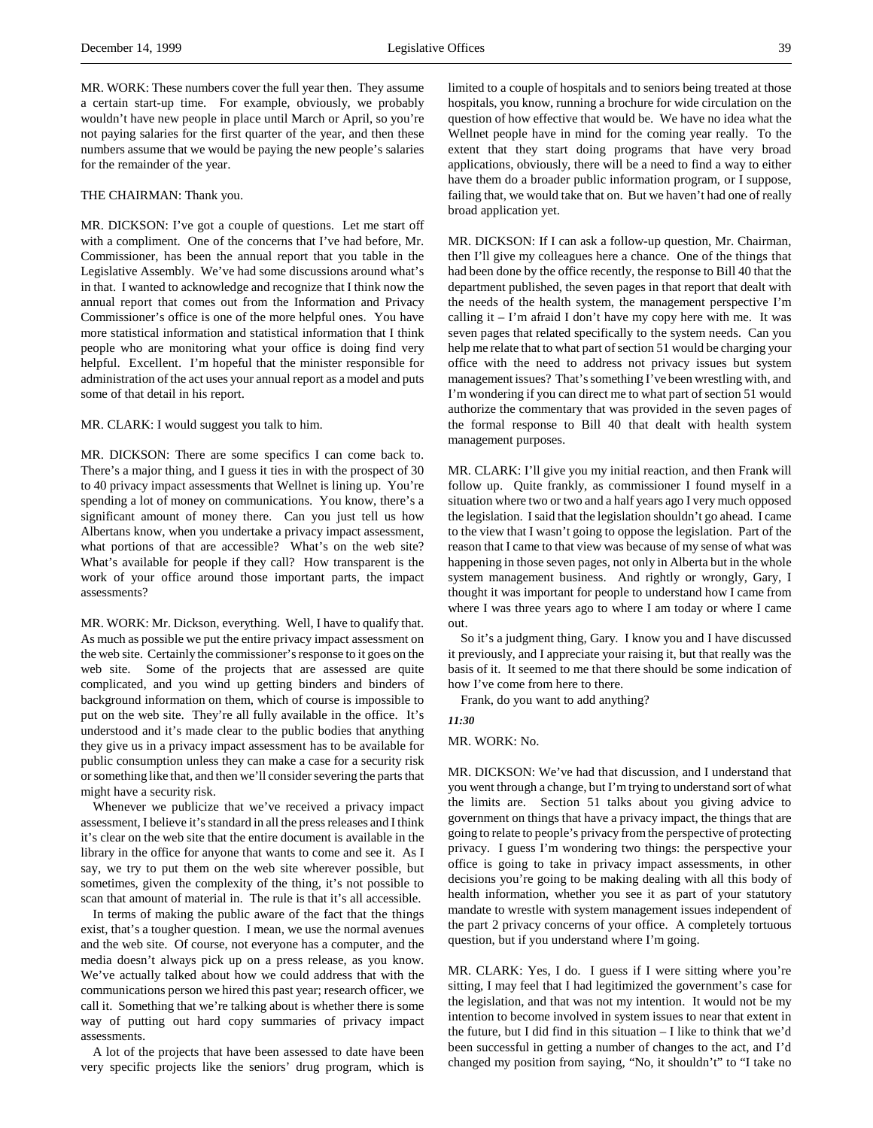MR. WORK: These numbers cover the full year then. They assume a certain start-up time. For example, obviously, we probably wouldn't have new people in place until March or April, so you're not paying salaries for the first quarter of the year, and then these numbers assume that we would be paying the new people's salaries for the remainder of the year.

### THE CHAIRMAN: Thank you.

MR. DICKSON: I've got a couple of questions. Let me start off with a compliment. One of the concerns that I've had before, Mr. Commissioner, has been the annual report that you table in the Legislative Assembly. We've had some discussions around what's in that. I wanted to acknowledge and recognize that I think now the annual report that comes out from the Information and Privacy Commissioner's office is one of the more helpful ones. You have more statistical information and statistical information that I think people who are monitoring what your office is doing find very helpful. Excellent. I'm hopeful that the minister responsible for administration of the act uses your annual report as a model and puts some of that detail in his report.

### MR. CLARK: I would suggest you talk to him.

MR. DICKSON: There are some specifics I can come back to. There's a major thing, and I guess it ties in with the prospect of 30 to 40 privacy impact assessments that Wellnet is lining up. You're spending a lot of money on communications. You know, there's a significant amount of money there. Can you just tell us how Albertans know, when you undertake a privacy impact assessment, what portions of that are accessible? What's on the web site? What's available for people if they call? How transparent is the work of your office around those important parts, the impact assessments?

MR. WORK: Mr. Dickson, everything. Well, I have to qualify that. As much as possible we put the entire privacy impact assessment on the web site. Certainly the commissioner's response to it goes on the web site. Some of the projects that are assessed are quite complicated, and you wind up getting binders and binders of background information on them, which of course is impossible to put on the web site. They're all fully available in the office. It's understood and it's made clear to the public bodies that anything they give us in a privacy impact assessment has to be available for public consumption unless they can make a case for a security risk or something like that, and then we'll consider severing the parts that might have a security risk.

Whenever we publicize that we've received a privacy impact assessment, I believe it's standard in all the press releases and I think it's clear on the web site that the entire document is available in the library in the office for anyone that wants to come and see it. As I say, we try to put them on the web site wherever possible, but sometimes, given the complexity of the thing, it's not possible to scan that amount of material in. The rule is that it's all accessible.

In terms of making the public aware of the fact that the things exist, that's a tougher question. I mean, we use the normal avenues and the web site. Of course, not everyone has a computer, and the media doesn't always pick up on a press release, as you know. We've actually talked about how we could address that with the communications person we hired this past year; research officer, we call it. Something that we're talking about is whether there is some way of putting out hard copy summaries of privacy impact assessments.

A lot of the projects that have been assessed to date have been very specific projects like the seniors' drug program, which is

limited to a couple of hospitals and to seniors being treated at those hospitals, you know, running a brochure for wide circulation on the question of how effective that would be. We have no idea what the Wellnet people have in mind for the coming year really. To the extent that they start doing programs that have very broad applications, obviously, there will be a need to find a way to either have them do a broader public information program, or I suppose, failing that, we would take that on. But we haven't had one of really broad application yet.

MR. DICKSON: If I can ask a follow-up question, Mr. Chairman, then I'll give my colleagues here a chance. One of the things that had been done by the office recently, the response to Bill 40 that the department published, the seven pages in that report that dealt with the needs of the health system, the management perspective I'm calling it  $-$  I'm afraid I don't have my copy here with me. It was seven pages that related specifically to the system needs. Can you help me relate that to what part of section 51 would be charging your office with the need to address not privacy issues but system management issues? That's something I've been wrestling with, and I'm wondering if you can direct me to what part of section 51 would authorize the commentary that was provided in the seven pages of the formal response to Bill 40 that dealt with health system management purposes.

MR. CLARK: I'll give you my initial reaction, and then Frank will follow up. Quite frankly, as commissioner I found myself in a situation where two or two and a half years ago I very much opposed the legislation. I said that the legislation shouldn't go ahead. I came to the view that I wasn't going to oppose the legislation. Part of the reason that I came to that view was because of my sense of what was happening in those seven pages, not only in Alberta but in the whole system management business. And rightly or wrongly, Gary, I thought it was important for people to understand how I came from where I was three years ago to where I am today or where I came out.

So it's a judgment thing, Gary. I know you and I have discussed it previously, and I appreciate your raising it, but that really was the basis of it. It seemed to me that there should be some indication of how I've come from here to there.

Frank, do you want to add anything?

#### *11:30*

# MR. WORK: No.

MR. DICKSON: We've had that discussion, and I understand that you went through a change, but I'm trying to understand sort of what the limits are. Section 51 talks about you giving advice to government on things that have a privacy impact, the things that are going to relate to people's privacy from the perspective of protecting privacy. I guess I'm wondering two things: the perspective your office is going to take in privacy impact assessments, in other decisions you're going to be making dealing with all this body of health information, whether you see it as part of your statutory mandate to wrestle with system management issues independent of the part 2 privacy concerns of your office. A completely tortuous question, but if you understand where I'm going.

MR. CLARK: Yes, I do. I guess if I were sitting where you're sitting, I may feel that I had legitimized the government's case for the legislation, and that was not my intention. It would not be my intention to become involved in system issues to near that extent in the future, but I did find in this situation – I like to think that we'd been successful in getting a number of changes to the act, and I'd changed my position from saying, "No, it shouldn't" to "I take no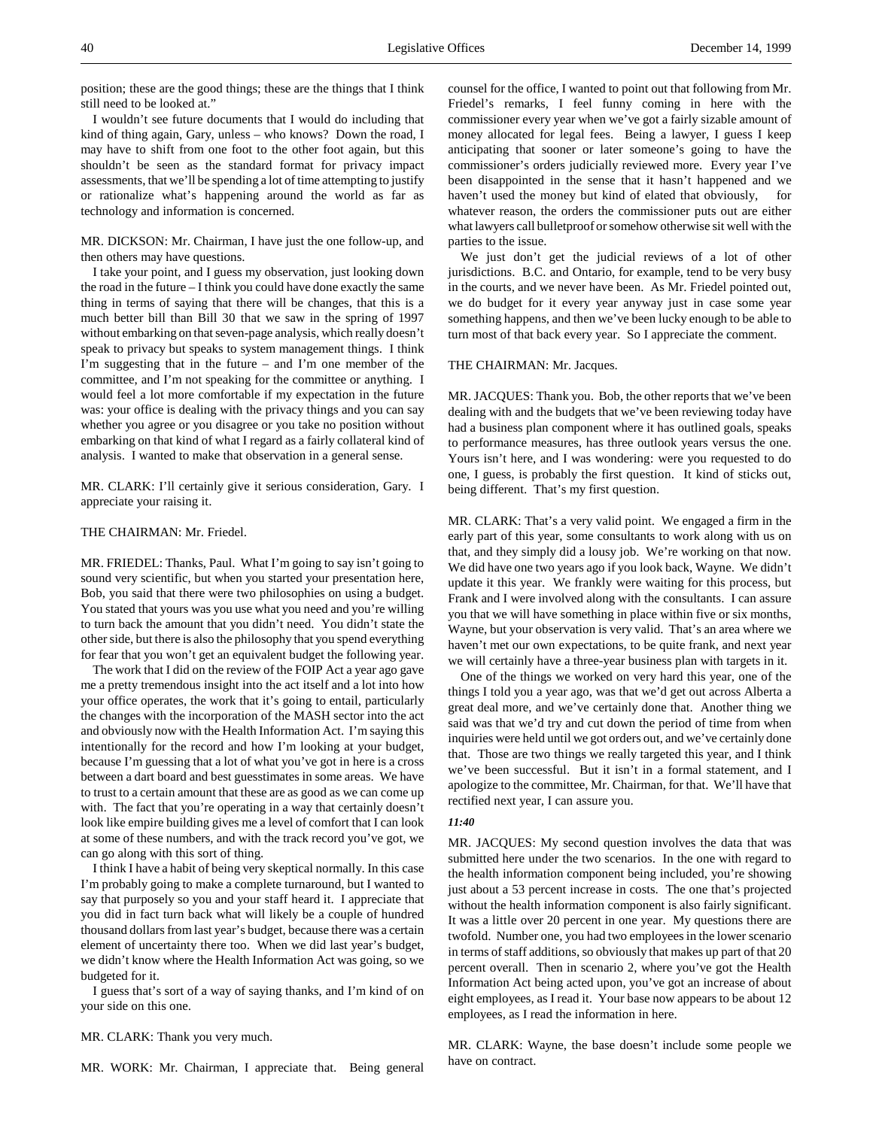position; these are the good things; these are the things that I think still need to be looked at."

I wouldn't see future documents that I would do including that kind of thing again, Gary, unless – who knows? Down the road, I may have to shift from one foot to the other foot again, but this shouldn't be seen as the standard format for privacy impact assessments, that we'll be spending a lot of time attempting to justify or rationalize what's happening around the world as far as technology and information is concerned.

MR. DICKSON: Mr. Chairman, I have just the one follow-up, and then others may have questions.

I take your point, and I guess my observation, just looking down the road in the future – I think you could have done exactly the same thing in terms of saying that there will be changes, that this is a much better bill than Bill 30 that we saw in the spring of 1997 without embarking on that seven-page analysis, which really doesn't speak to privacy but speaks to system management things. I think I'm suggesting that in the future – and I'm one member of the committee, and I'm not speaking for the committee or anything. I would feel a lot more comfortable if my expectation in the future was: your office is dealing with the privacy things and you can say whether you agree or you disagree or you take no position without embarking on that kind of what I regard as a fairly collateral kind of analysis. I wanted to make that observation in a general sense.

MR. CLARK: I'll certainly give it serious consideration, Gary. I appreciate your raising it.

### THE CHAIRMAN: Mr. Friedel.

MR. FRIEDEL: Thanks, Paul. What I'm going to say isn't going to sound very scientific, but when you started your presentation here, Bob, you said that there were two philosophies on using a budget. You stated that yours was you use what you need and you're willing to turn back the amount that you didn't need. You didn't state the other side, but there is also the philosophy that you spend everything for fear that you won't get an equivalent budget the following year.

The work that I did on the review of the FOIP Act a year ago gave me a pretty tremendous insight into the act itself and a lot into how your office operates, the work that it's going to entail, particularly the changes with the incorporation of the MASH sector into the act and obviously now with the Health Information Act. I'm saying this intentionally for the record and how I'm looking at your budget, because I'm guessing that a lot of what you've got in here is a cross between a dart board and best guesstimates in some areas. We have to trust to a certain amount that these are as good as we can come up with. The fact that you're operating in a way that certainly doesn't look like empire building gives me a level of comfort that I can look at some of these numbers, and with the track record you've got, we can go along with this sort of thing.

I think I have a habit of being very skeptical normally. In this case I'm probably going to make a complete turnaround, but I wanted to say that purposely so you and your staff heard it. I appreciate that you did in fact turn back what will likely be a couple of hundred thousand dollars from last year's budget, because there was a certain element of uncertainty there too. When we did last year's budget, we didn't know where the Health Information Act was going, so we budgeted for it.

I guess that's sort of a way of saying thanks, and I'm kind of on your side on this one.

MR. CLARK: Thank you very much.

MR. WORK: Mr. Chairman, I appreciate that. Being general

counsel for the office, I wanted to point out that following from Mr. Friedel's remarks, I feel funny coming in here with the commissioner every year when we've got a fairly sizable amount of money allocated for legal fees. Being a lawyer, I guess I keep anticipating that sooner or later someone's going to have the commissioner's orders judicially reviewed more. Every year I've been disappointed in the sense that it hasn't happened and we haven't used the money but kind of elated that obviously, for whatever reason, the orders the commissioner puts out are either what lawyers call bulletproof or somehow otherwise sit well with the parties to the issue.

We just don't get the judicial reviews of a lot of other jurisdictions. B.C. and Ontario, for example, tend to be very busy in the courts, and we never have been. As Mr. Friedel pointed out, we do budget for it every year anyway just in case some year something happens, and then we've been lucky enough to be able to turn most of that back every year. So I appreciate the comment.

### THE CHAIRMAN: Mr. Jacques.

MR. JACQUES: Thank you. Bob, the other reports that we've been dealing with and the budgets that we've been reviewing today have had a business plan component where it has outlined goals, speaks to performance measures, has three outlook years versus the one. Yours isn't here, and I was wondering: were you requested to do one, I guess, is probably the first question. It kind of sticks out, being different. That's my first question.

MR. CLARK: That's a very valid point. We engaged a firm in the early part of this year, some consultants to work along with us on that, and they simply did a lousy job. We're working on that now. We did have one two years ago if you look back, Wayne. We didn't update it this year. We frankly were waiting for this process, but Frank and I were involved along with the consultants. I can assure you that we will have something in place within five or six months, Wayne, but your observation is very valid. That's an area where we haven't met our own expectations, to be quite frank, and next year we will certainly have a three-year business plan with targets in it.

One of the things we worked on very hard this year, one of the things I told you a year ago, was that we'd get out across Alberta a great deal more, and we've certainly done that. Another thing we said was that we'd try and cut down the period of time from when inquiries were held until we got orders out, and we've certainly done that. Those are two things we really targeted this year, and I think we've been successful. But it isn't in a formal statement, and I apologize to the committee, Mr. Chairman, for that. We'll have that rectified next year, I can assure you.

### *11:40*

MR. JACQUES: My second question involves the data that was submitted here under the two scenarios. In the one with regard to the health information component being included, you're showing just about a 53 percent increase in costs. The one that's projected without the health information component is also fairly significant. It was a little over 20 percent in one year. My questions there are twofold. Number one, you had two employees in the lower scenario in terms of staff additions, so obviously that makes up part of that 20 percent overall. Then in scenario 2, where you've got the Health Information Act being acted upon, you've got an increase of about eight employees, as I read it. Your base now appears to be about 12 employees, as I read the information in here.

MR. CLARK: Wayne, the base doesn't include some people we have on contract.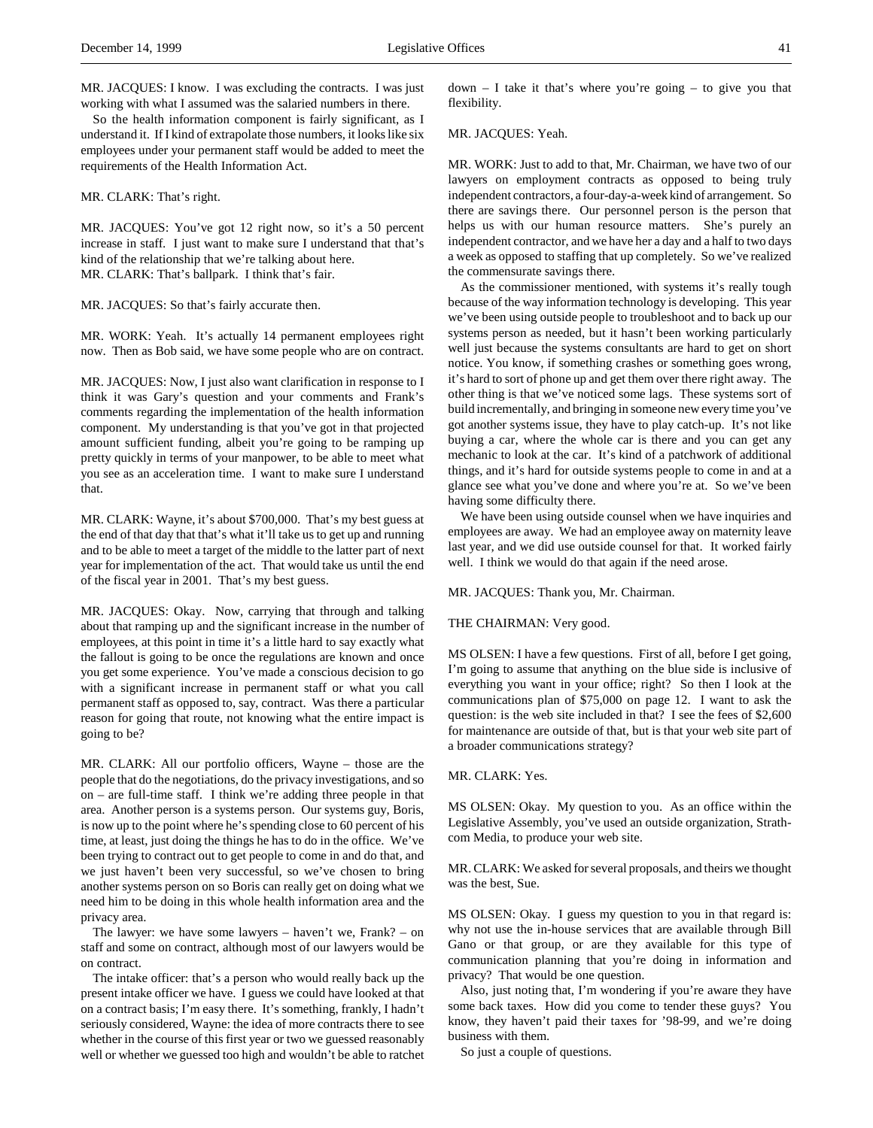So the health information component is fairly significant, as I understand it. If I kind of extrapolate those numbers, it looks like six employees under your permanent staff would be added to meet the requirements of the Health Information Act.

MR. CLARK: That's right.

MR. JACQUES: You've got 12 right now, so it's a 50 percent increase in staff. I just want to make sure I understand that that's kind of the relationship that we're talking about here. MR. CLARK: That's ballpark. I think that's fair.

MR. JACQUES: So that's fairly accurate then.

MR. WORK: Yeah. It's actually 14 permanent employees right now. Then as Bob said, we have some people who are on contract.

MR. JACQUES: Now, I just also want clarification in response to I think it was Gary's question and your comments and Frank's comments regarding the implementation of the health information component. My understanding is that you've got in that projected amount sufficient funding, albeit you're going to be ramping up pretty quickly in terms of your manpower, to be able to meet what you see as an acceleration time. I want to make sure I understand that.

MR. CLARK: Wayne, it's about \$700,000. That's my best guess at the end of that day that that's what it'll take us to get up and running and to be able to meet a target of the middle to the latter part of next year for implementation of the act. That would take us until the end of the fiscal year in 2001. That's my best guess.

MR. JACQUES: Okay. Now, carrying that through and talking about that ramping up and the significant increase in the number of employees, at this point in time it's a little hard to say exactly what the fallout is going to be once the regulations are known and once you get some experience. You've made a conscious decision to go with a significant increase in permanent staff or what you call permanent staff as opposed to, say, contract. Was there a particular reason for going that route, not knowing what the entire impact is going to be?

MR. CLARK: All our portfolio officers, Wayne – those are the people that do the negotiations, do the privacy investigations, and so on – are full-time staff. I think we're adding three people in that area. Another person is a systems person. Our systems guy, Boris, is now up to the point where he's spending close to 60 percent of his time, at least, just doing the things he has to do in the office. We've been trying to contract out to get people to come in and do that, and we just haven't been very successful, so we've chosen to bring another systems person on so Boris can really get on doing what we need him to be doing in this whole health information area and the privacy area.

The lawyer: we have some lawyers – haven't we, Frank? – on staff and some on contract, although most of our lawyers would be on contract.

The intake officer: that's a person who would really back up the present intake officer we have. I guess we could have looked at that on a contract basis; I'm easy there. It's something, frankly, I hadn't seriously considered, Wayne: the idea of more contracts there to see whether in the course of this first year or two we guessed reasonably well or whether we guessed too high and wouldn't be able to ratchet  $down - I$  take it that's where you're going  $-$  to give you that flexibility.

MR. JACQUES: Yeah.

MR. WORK: Just to add to that, Mr. Chairman, we have two of our lawyers on employment contracts as opposed to being truly independent contractors, a four-day-a-week kind of arrangement. So there are savings there. Our personnel person is the person that helps us with our human resource matters. She's purely an independent contractor, and we have her a day and a half to two days a week as opposed to staffing that up completely. So we've realized the commensurate savings there.

As the commissioner mentioned, with systems it's really tough because of the way information technology is developing. This year we've been using outside people to troubleshoot and to back up our systems person as needed, but it hasn't been working particularly well just because the systems consultants are hard to get on short notice. You know, if something crashes or something goes wrong, it's hard to sort of phone up and get them over there right away. The other thing is that we've noticed some lags. These systems sort of build incrementally, and bringing in someone new every time you've got another systems issue, they have to play catch-up. It's not like buying a car, where the whole car is there and you can get any mechanic to look at the car. It's kind of a patchwork of additional things, and it's hard for outside systems people to come in and at a glance see what you've done and where you're at. So we've been having some difficulty there.

We have been using outside counsel when we have inquiries and employees are away. We had an employee away on maternity leave last year, and we did use outside counsel for that. It worked fairly well. I think we would do that again if the need arose.

MR. JACQUES: Thank you, Mr. Chairman.

THE CHAIRMAN: Very good.

MS OLSEN: I have a few questions. First of all, before I get going, I'm going to assume that anything on the blue side is inclusive of everything you want in your office; right? So then I look at the communications plan of \$75,000 on page 12. I want to ask the question: is the web site included in that? I see the fees of \$2,600 for maintenance are outside of that, but is that your web site part of a broader communications strategy?

MR. CLARK: Yes.

MS OLSEN: Okay. My question to you. As an office within the Legislative Assembly, you've used an outside organization, Strathcom Media, to produce your web site.

MR. CLARK: We asked for several proposals, and theirs we thought was the best, Sue.

MS OLSEN: Okay. I guess my question to you in that regard is: why not use the in-house services that are available through Bill Gano or that group, or are they available for this type of communication planning that you're doing in information and privacy? That would be one question.

Also, just noting that, I'm wondering if you're aware they have some back taxes. How did you come to tender these guys? You know, they haven't paid their taxes for '98-99, and we're doing business with them.

So just a couple of questions.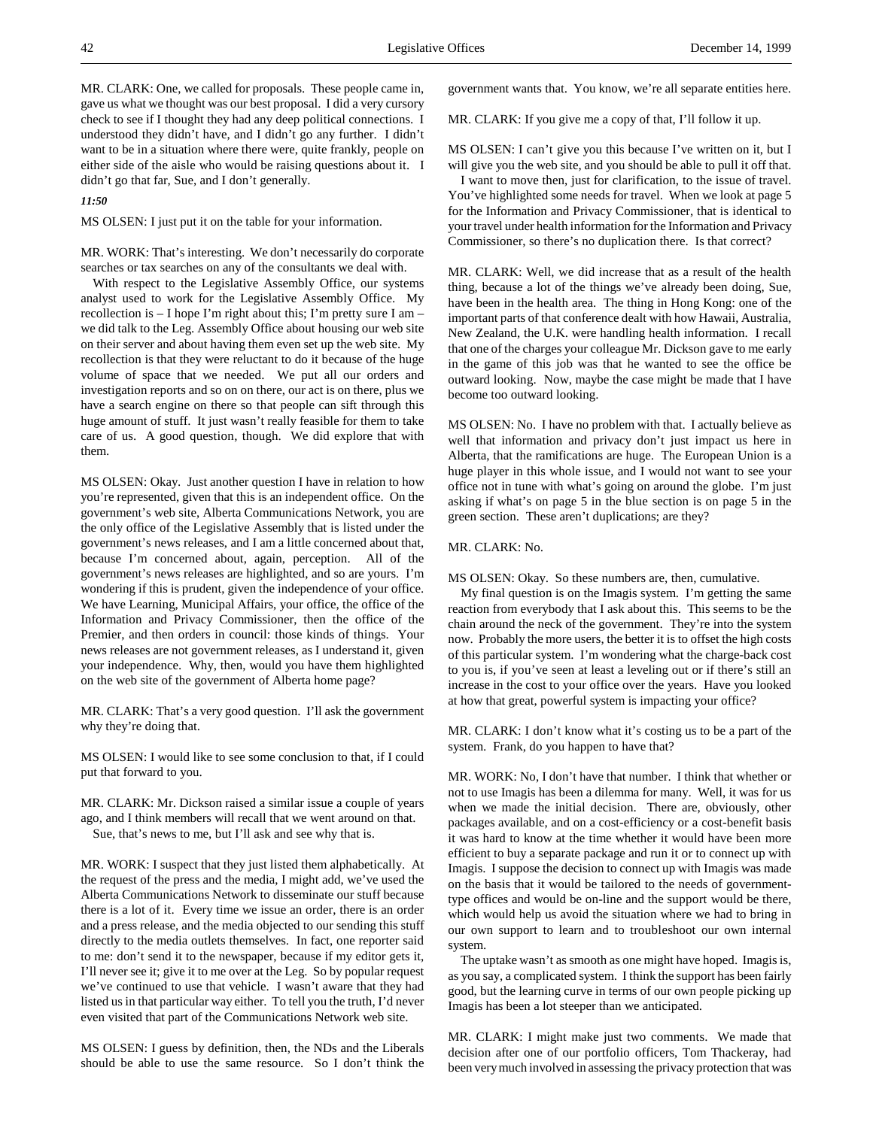MR. CLARK: One, we called for proposals. These people came in, gave us what we thought was our best proposal. I did a very cursory check to see if I thought they had any deep political connections. I understood they didn't have, and I didn't go any further. I didn't want to be in a situation where there were, quite frankly, people on either side of the aisle who would be raising questions about it. I didn't go that far, Sue, and I don't generally.

# *11:50*

MS OLSEN: I just put it on the table for your information.

MR. WORK: That's interesting. We don't necessarily do corporate searches or tax searches on any of the consultants we deal with.

With respect to the Legislative Assembly Office, our systems analyst used to work for the Legislative Assembly Office. My recollection is – I hope I'm right about this; I'm pretty sure I am – we did talk to the Leg. Assembly Office about housing our web site on their server and about having them even set up the web site. My recollection is that they were reluctant to do it because of the huge volume of space that we needed. We put all our orders and investigation reports and so on on there, our act is on there, plus we have a search engine on there so that people can sift through this huge amount of stuff. It just wasn't really feasible for them to take care of us. A good question, though. We did explore that with them.

MS OLSEN: Okay. Just another question I have in relation to how you're represented, given that this is an independent office. On the government's web site, Alberta Communications Network, you are the only office of the Legislative Assembly that is listed under the government's news releases, and I am a little concerned about that, because I'm concerned about, again, perception. All of the government's news releases are highlighted, and so are yours. I'm wondering if this is prudent, given the independence of your office. We have Learning, Municipal Affairs, your office, the office of the Information and Privacy Commissioner, then the office of the Premier, and then orders in council: those kinds of things. Your news releases are not government releases, as I understand it, given your independence. Why, then, would you have them highlighted on the web site of the government of Alberta home page?

MR. CLARK: That's a very good question. I'll ask the government why they're doing that.

MS OLSEN: I would like to see some conclusion to that, if I could put that forward to you.

MR. CLARK: Mr. Dickson raised a similar issue a couple of years ago, and I think members will recall that we went around on that. Sue, that's news to me, but I'll ask and see why that is.

MR. WORK: I suspect that they just listed them alphabetically. At the request of the press and the media, I might add, we've used the Alberta Communications Network to disseminate our stuff because there is a lot of it. Every time we issue an order, there is an order and a press release, and the media objected to our sending this stuff directly to the media outlets themselves. In fact, one reporter said to me: don't send it to the newspaper, because if my editor gets it, I'll never see it; give it to me over at the Leg. So by popular request we've continued to use that vehicle. I wasn't aware that they had listed us in that particular way either. To tell you the truth, I'd never even visited that part of the Communications Network web site.

MS OLSEN: I guess by definition, then, the NDs and the Liberals should be able to use the same resource. So I don't think the

government wants that. You know, we're all separate entities here.

MR. CLARK: If you give me a copy of that, I'll follow it up.

MS OLSEN: I can't give you this because I've written on it, but I will give you the web site, and you should be able to pull it off that.

I want to move then, just for clarification, to the issue of travel. You've highlighted some needs for travel. When we look at page 5 for the Information and Privacy Commissioner, that is identical to your travel under health information for the Information and Privacy Commissioner, so there's no duplication there. Is that correct?

MR. CLARK: Well, we did increase that as a result of the health thing, because a lot of the things we've already been doing, Sue, have been in the health area. The thing in Hong Kong: one of the important parts of that conference dealt with how Hawaii, Australia, New Zealand, the U.K. were handling health information. I recall that one of the charges your colleague Mr. Dickson gave to me early in the game of this job was that he wanted to see the office be outward looking. Now, maybe the case might be made that I have become too outward looking.

MS OLSEN: No. I have no problem with that. I actually believe as well that information and privacy don't just impact us here in Alberta, that the ramifications are huge. The European Union is a huge player in this whole issue, and I would not want to see your office not in tune with what's going on around the globe. I'm just asking if what's on page 5 in the blue section is on page 5 in the green section. These aren't duplications; are they?

# MR. CLARK: No.

MS OLSEN: Okay. So these numbers are, then, cumulative.

My final question is on the Imagis system. I'm getting the same reaction from everybody that I ask about this. This seems to be the chain around the neck of the government. They're into the system now. Probably the more users, the better it is to offset the high costs of this particular system. I'm wondering what the charge-back cost to you is, if you've seen at least a leveling out or if there's still an increase in the cost to your office over the years. Have you looked at how that great, powerful system is impacting your office?

MR. CLARK: I don't know what it's costing us to be a part of the system. Frank, do you happen to have that?

MR. WORK: No, I don't have that number. I think that whether or not to use Imagis has been a dilemma for many. Well, it was for us when we made the initial decision. There are, obviously, other packages available, and on a cost-efficiency or a cost-benefit basis it was hard to know at the time whether it would have been more efficient to buy a separate package and run it or to connect up with Imagis. I suppose the decision to connect up with Imagis was made on the basis that it would be tailored to the needs of governmenttype offices and would be on-line and the support would be there, which would help us avoid the situation where we had to bring in our own support to learn and to troubleshoot our own internal system.

The uptake wasn't as smooth as one might have hoped. Imagis is, as you say, a complicated system. I think the support has been fairly good, but the learning curve in terms of our own people picking up Imagis has been a lot steeper than we anticipated.

MR. CLARK: I might make just two comments. We made that decision after one of our portfolio officers, Tom Thackeray, had been very much involved in assessing the privacy protection that was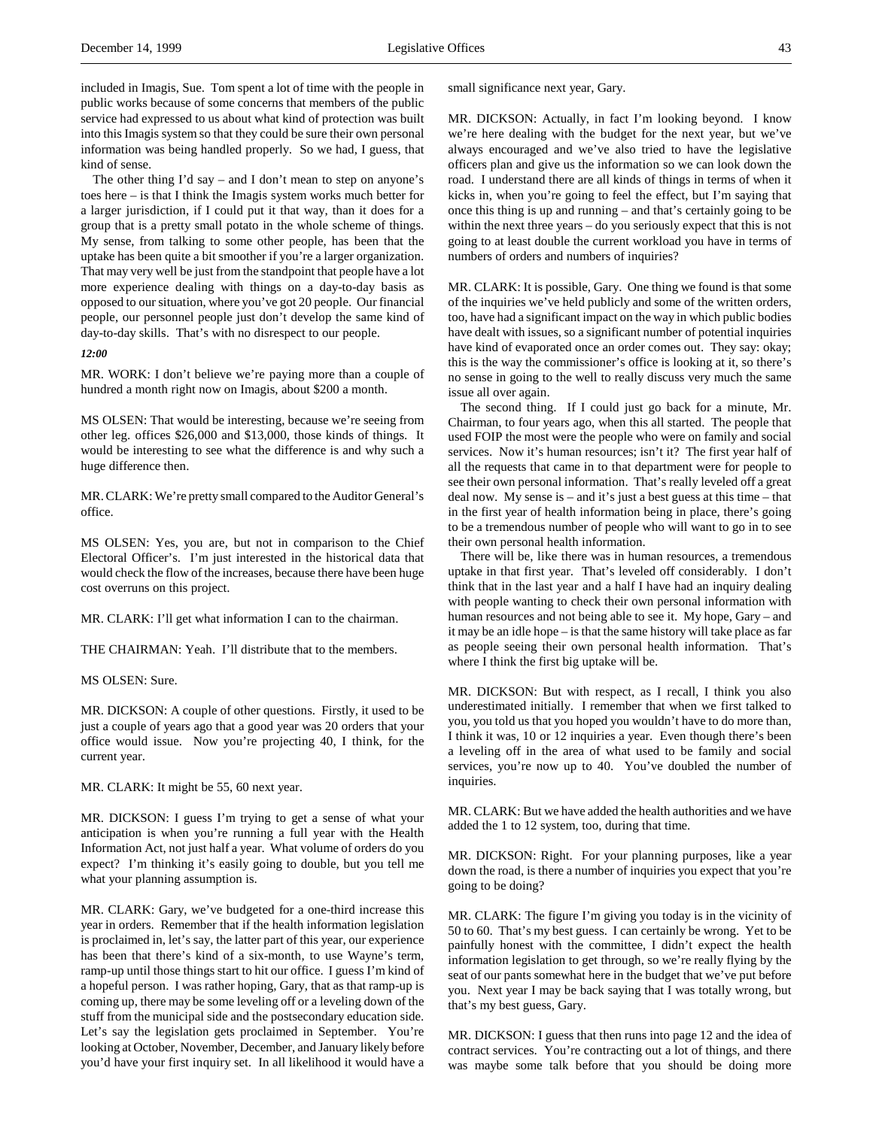included in Imagis, Sue. Tom spent a lot of time with the people in public works because of some concerns that members of the public service had expressed to us about what kind of protection was built into this Imagis system so that they could be sure their own personal information was being handled properly. So we had, I guess, that kind of sense.

The other thing  $\Gamma d$  say – and I don't mean to step on anyone's toes here – is that I think the Imagis system works much better for a larger jurisdiction, if I could put it that way, than it does for a group that is a pretty small potato in the whole scheme of things. My sense, from talking to some other people, has been that the uptake has been quite a bit smoother if you're a larger organization. That may very well be just from the standpoint that people have a lot more experience dealing with things on a day-to-day basis as opposed to our situation, where you've got 20 people. Our financial people, our personnel people just don't develop the same kind of day-to-day skills. That's with no disrespect to our people.

# *12:00*

MR. WORK: I don't believe we're paying more than a couple of hundred a month right now on Imagis, about \$200 a month.

MS OLSEN: That would be interesting, because we're seeing from other leg. offices \$26,000 and \$13,000, those kinds of things. It would be interesting to see what the difference is and why such a huge difference then.

MR. CLARK: We're pretty small compared to the Auditor General's office.

MS OLSEN: Yes, you are, but not in comparison to the Chief Electoral Officer's. I'm just interested in the historical data that would check the flow of the increases, because there have been huge cost overruns on this project.

MR. CLARK: I'll get what information I can to the chairman.

THE CHAIRMAN: Yeah. I'll distribute that to the members.

MS OLSEN: Sure.

MR. DICKSON: A couple of other questions. Firstly, it used to be just a couple of years ago that a good year was 20 orders that your office would issue. Now you're projecting 40, I think, for the current year.

MR. CLARK: It might be 55, 60 next year.

MR. DICKSON: I guess I'm trying to get a sense of what your anticipation is when you're running a full year with the Health Information Act, not just half a year. What volume of orders do you expect? I'm thinking it's easily going to double, but you tell me what your planning assumption is.

MR. CLARK: Gary, we've budgeted for a one-third increase this year in orders. Remember that if the health information legislation is proclaimed in, let's say, the latter part of this year, our experience has been that there's kind of a six-month, to use Wayne's term, ramp-up until those things start to hit our office. I guess I'm kind of a hopeful person. I was rather hoping, Gary, that as that ramp-up is coming up, there may be some leveling off or a leveling down of the stuff from the municipal side and the postsecondary education side. Let's say the legislation gets proclaimed in September. You're looking at October, November, December, and January likely before you'd have your first inquiry set. In all likelihood it would have a

small significance next year, Gary.

MR. DICKSON: Actually, in fact I'm looking beyond. I know we're here dealing with the budget for the next year, but we've always encouraged and we've also tried to have the legislative officers plan and give us the information so we can look down the road. I understand there are all kinds of things in terms of when it kicks in, when you're going to feel the effect, but I'm saying that once this thing is up and running – and that's certainly going to be within the next three years – do you seriously expect that this is not going to at least double the current workload you have in terms of numbers of orders and numbers of inquiries?

MR. CLARK: It is possible, Gary. One thing we found is that some of the inquiries we've held publicly and some of the written orders, too, have had a significant impact on the way in which public bodies have dealt with issues, so a significant number of potential inquiries have kind of evaporated once an order comes out. They say: okay; this is the way the commissioner's office is looking at it, so there's no sense in going to the well to really discuss very much the same issue all over again.

The second thing. If I could just go back for a minute, Mr. Chairman, to four years ago, when this all started. The people that used FOIP the most were the people who were on family and social services. Now it's human resources; isn't it? The first year half of all the requests that came in to that department were for people to see their own personal information. That's really leveled off a great deal now. My sense is – and it's just a best guess at this time – that in the first year of health information being in place, there's going to be a tremendous number of people who will want to go in to see their own personal health information.

There will be, like there was in human resources, a tremendous uptake in that first year. That's leveled off considerably. I don't think that in the last year and a half I have had an inquiry dealing with people wanting to check their own personal information with human resources and not being able to see it. My hope, Gary – and it may be an idle hope – is that the same history will take place as far as people seeing their own personal health information. That's where I think the first big uptake will be.

MR. DICKSON: But with respect, as I recall, I think you also underestimated initially. I remember that when we first talked to you, you told us that you hoped you wouldn't have to do more than, I think it was, 10 or 12 inquiries a year. Even though there's been a leveling off in the area of what used to be family and social services, you're now up to 40. You've doubled the number of inquiries.

MR. CLARK: But we have added the health authorities and we have added the 1 to 12 system, too, during that time.

MR. DICKSON: Right. For your planning purposes, like a year down the road, is there a number of inquiries you expect that you're going to be doing?

MR. CLARK: The figure I'm giving you today is in the vicinity of 50 to 60. That's my best guess. I can certainly be wrong. Yet to be painfully honest with the committee, I didn't expect the health information legislation to get through, so we're really flying by the seat of our pants somewhat here in the budget that we've put before you. Next year I may be back saying that I was totally wrong, but that's my best guess, Gary.

MR. DICKSON: I guess that then runs into page 12 and the idea of contract services. You're contracting out a lot of things, and there was maybe some talk before that you should be doing more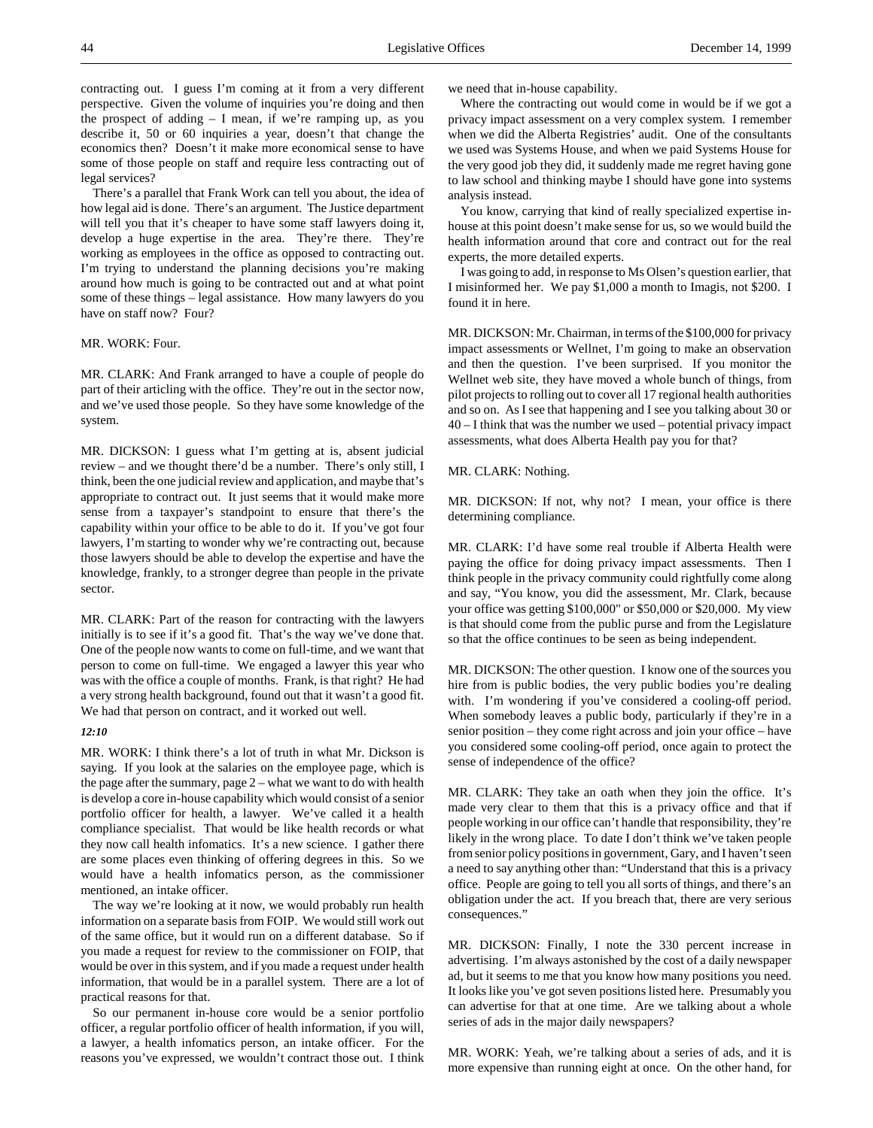contracting out. I guess I'm coming at it from a very different perspective. Given the volume of inquiries you're doing and then the prospect of adding – I mean, if we're ramping up, as you describe it, 50 or 60 inquiries a year, doesn't that change the economics then? Doesn't it make more economical sense to have some of those people on staff and require less contracting out of legal services?

There's a parallel that Frank Work can tell you about, the idea of how legal aid is done. There's an argument. The Justice department will tell you that it's cheaper to have some staff lawyers doing it, develop a huge expertise in the area. They're there. They're working as employees in the office as opposed to contracting out. I'm trying to understand the planning decisions you're making around how much is going to be contracted out and at what point some of these things – legal assistance. How many lawyers do you have on staff now? Four?

# MR. WORK: Four.

MR. CLARK: And Frank arranged to have a couple of people do part of their articling with the office. They're out in the sector now, and we've used those people. So they have some knowledge of the system.

MR. DICKSON: I guess what I'm getting at is, absent judicial review – and we thought there'd be a number. There's only still, I think, been the one judicial review and application, and maybe that's appropriate to contract out. It just seems that it would make more sense from a taxpayer's standpoint to ensure that there's the capability within your office to be able to do it. If you've got four lawyers, I'm starting to wonder why we're contracting out, because those lawyers should be able to develop the expertise and have the knowledge, frankly, to a stronger degree than people in the private sector.

MR. CLARK: Part of the reason for contracting with the lawyers initially is to see if it's a good fit. That's the way we've done that. One of the people now wants to come on full-time, and we want that person to come on full-time. We engaged a lawyer this year who was with the office a couple of months. Frank, is that right? He had a very strong health background, found out that it wasn't a good fit. We had that person on contract, and it worked out well.

## *12:10*

MR. WORK: I think there's a lot of truth in what Mr. Dickson is saying. If you look at the salaries on the employee page, which is the page after the summary, page 2 – what we want to do with health is develop a core in-house capability which would consist of a senior portfolio officer for health, a lawyer. We've called it a health compliance specialist. That would be like health records or what they now call health infomatics. It's a new science. I gather there are some places even thinking of offering degrees in this. So we would have a health infomatics person, as the commissioner mentioned, an intake officer.

The way we're looking at it now, we would probably run health information on a separate basis from FOIP. We would still work out of the same office, but it would run on a different database. So if you made a request for review to the commissioner on FOIP, that would be over in this system, and if you made a request under health information, that would be in a parallel system. There are a lot of practical reasons for that.

So our permanent in-house core would be a senior portfolio officer, a regular portfolio officer of health information, if you will, a lawyer, a health infomatics person, an intake officer. For the reasons you've expressed, we wouldn't contract those out. I think

we need that in-house capability.

Where the contracting out would come in would be if we got a privacy impact assessment on a very complex system. I remember when we did the Alberta Registries' audit. One of the consultants we used was Systems House, and when we paid Systems House for the very good job they did, it suddenly made me regret having gone to law school and thinking maybe I should have gone into systems analysis instead.

You know, carrying that kind of really specialized expertise inhouse at this point doesn't make sense for us, so we would build the health information around that core and contract out for the real experts, the more detailed experts.

I was going to add, in response to Ms Olsen's question earlier, that I misinformed her. We pay \$1,000 a month to Imagis, not \$200. I found it in here.

MR. DICKSON: Mr. Chairman, in terms of the \$100,000 for privacy impact assessments or Wellnet, I'm going to make an observation and then the question. I've been surprised. If you monitor the Wellnet web site, they have moved a whole bunch of things, from pilot projects to rolling out to cover all 17 regional health authorities and so on. As I see that happening and I see you talking about 30 or 40 – I think that was the number we used – potential privacy impact assessments, what does Alberta Health pay you for that?

MR. CLARK: Nothing.

MR. DICKSON: If not, why not? I mean, your office is there determining compliance.

MR. CLARK: I'd have some real trouble if Alberta Health were paying the office for doing privacy impact assessments. Then I think people in the privacy community could rightfully come along and say, "You know, you did the assessment, Mr. Clark, because your office was getting \$100,000" or \$50,000 or \$20,000. My view is that should come from the public purse and from the Legislature so that the office continues to be seen as being independent.

MR. DICKSON: The other question. I know one of the sources you hire from is public bodies, the very public bodies you're dealing with. I'm wondering if you've considered a cooling-off period. When somebody leaves a public body, particularly if they're in a senior position – they come right across and join your office – have you considered some cooling-off period, once again to protect the sense of independence of the office?

MR. CLARK: They take an oath when they join the office. It's made very clear to them that this is a privacy office and that if people working in our office can't handle that responsibility, they're likely in the wrong place. To date I don't think we've taken people from senior policy positions in government, Gary, and I haven't seen a need to say anything other than: "Understand that this is a privacy office. People are going to tell you all sorts of things, and there's an obligation under the act. If you breach that, there are very serious consequences."

MR. DICKSON: Finally, I note the 330 percent increase in advertising. I'm always astonished by the cost of a daily newspaper ad, but it seems to me that you know how many positions you need. It looks like you've got seven positions listed here. Presumably you can advertise for that at one time. Are we talking about a whole series of ads in the major daily newspapers?

MR. WORK: Yeah, we're talking about a series of ads, and it is more expensive than running eight at once. On the other hand, for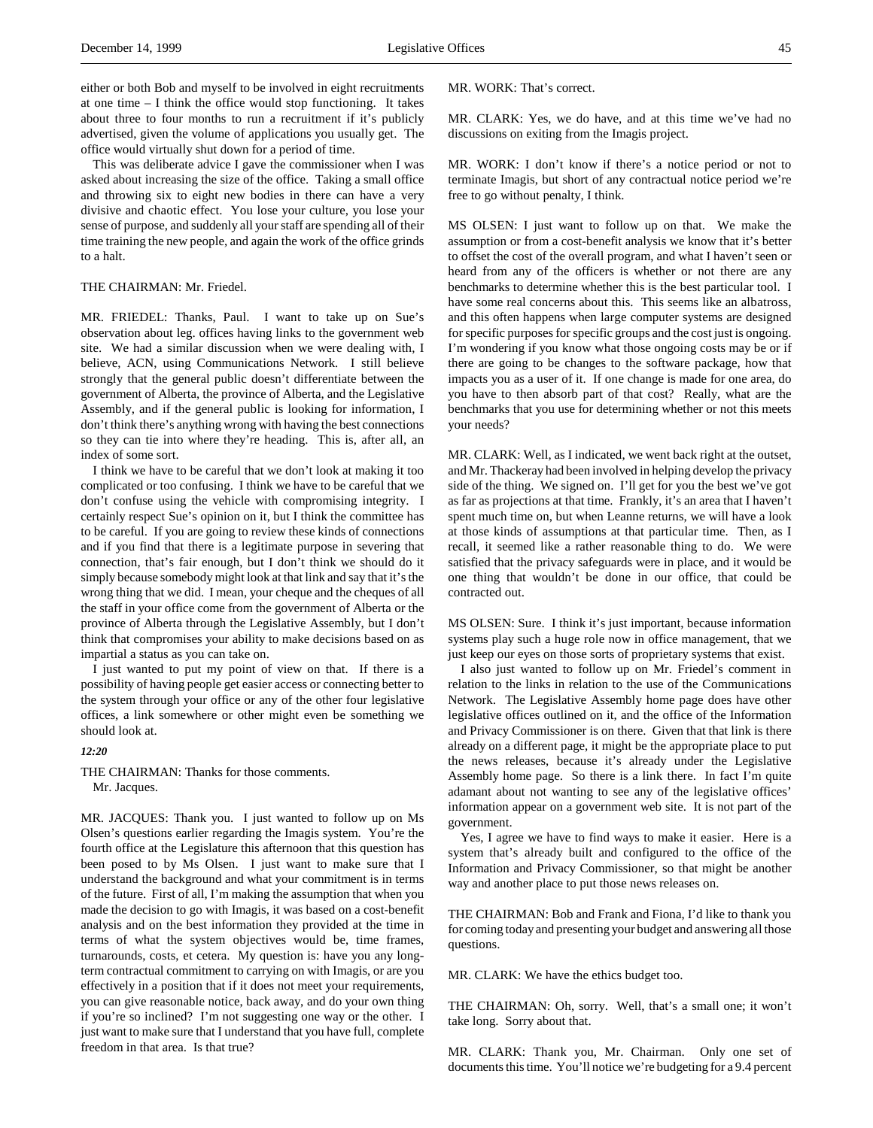This was deliberate advice I gave the commissioner when I was asked about increasing the size of the office. Taking a small office and throwing six to eight new bodies in there can have a very divisive and chaotic effect. You lose your culture, you lose your sense of purpose, and suddenly all your staff are spending all of their time training the new people, and again the work of the office grinds to a halt.

### THE CHAIRMAN: Mr. Friedel.

MR. FRIEDEL: Thanks, Paul. I want to take up on Sue's observation about leg. offices having links to the government web site. We had a similar discussion when we were dealing with, I believe, ACN, using Communications Network. I still believe strongly that the general public doesn't differentiate between the government of Alberta, the province of Alberta, and the Legislative Assembly, and if the general public is looking for information, I don't think there's anything wrong with having the best connections so they can tie into where they're heading. This is, after all, an index of some sort.

I think we have to be careful that we don't look at making it too complicated or too confusing. I think we have to be careful that we don't confuse using the vehicle with compromising integrity. I certainly respect Sue's opinion on it, but I think the committee has to be careful. If you are going to review these kinds of connections and if you find that there is a legitimate purpose in severing that connection, that's fair enough, but I don't think we should do it simply because somebody might look at that link and say that it's the wrong thing that we did. I mean, your cheque and the cheques of all the staff in your office come from the government of Alberta or the province of Alberta through the Legislative Assembly, but I don't think that compromises your ability to make decisions based on as impartial a status as you can take on.

I just wanted to put my point of view on that. If there is a possibility of having people get easier access or connecting better to the system through your office or any of the other four legislative offices, a link somewhere or other might even be something we should look at.

*12:20*

# THE CHAIRMAN: Thanks for those comments. Mr. Jacques.

MR. JACQUES: Thank you. I just wanted to follow up on Ms Olsen's questions earlier regarding the Imagis system. You're the fourth office at the Legislature this afternoon that this question has been posed to by Ms Olsen. I just want to make sure that I understand the background and what your commitment is in terms of the future. First of all, I'm making the assumption that when you made the decision to go with Imagis, it was based on a cost-benefit analysis and on the best information they provided at the time in terms of what the system objectives would be, time frames, turnarounds, costs, et cetera. My question is: have you any longterm contractual commitment to carrying on with Imagis, or are you effectively in a position that if it does not meet your requirements, you can give reasonable notice, back away, and do your own thing if you're so inclined? I'm not suggesting one way or the other. I just want to make sure that I understand that you have full, complete freedom in that area. Is that true?

MR. WORK: That's correct.

MR. CLARK: Yes, we do have, and at this time we've had no discussions on exiting from the Imagis project.

MR. WORK: I don't know if there's a notice period or not to terminate Imagis, but short of any contractual notice period we're free to go without penalty, I think.

MS OLSEN: I just want to follow up on that. We make the assumption or from a cost-benefit analysis we know that it's better to offset the cost of the overall program, and what I haven't seen or heard from any of the officers is whether or not there are any benchmarks to determine whether this is the best particular tool. I have some real concerns about this. This seems like an albatross, and this often happens when large computer systems are designed for specific purposes for specific groups and the cost just is ongoing. I'm wondering if you know what those ongoing costs may be or if there are going to be changes to the software package, how that impacts you as a user of it. If one change is made for one area, do you have to then absorb part of that cost? Really, what are the benchmarks that you use for determining whether or not this meets your needs?

MR. CLARK: Well, as I indicated, we went back right at the outset, and Mr. Thackeray had been involved in helping develop the privacy side of the thing. We signed on. I'll get for you the best we've got as far as projections at that time. Frankly, it's an area that I haven't spent much time on, but when Leanne returns, we will have a look at those kinds of assumptions at that particular time. Then, as I recall, it seemed like a rather reasonable thing to do. We were satisfied that the privacy safeguards were in place, and it would be one thing that wouldn't be done in our office, that could be contracted out.

MS OLSEN: Sure. I think it's just important, because information systems play such a huge role now in office management, that we just keep our eyes on those sorts of proprietary systems that exist.

I also just wanted to follow up on Mr. Friedel's comment in relation to the links in relation to the use of the Communications Network. The Legislative Assembly home page does have other legislative offices outlined on it, and the office of the Information and Privacy Commissioner is on there. Given that that link is there already on a different page, it might be the appropriate place to put the news releases, because it's already under the Legislative Assembly home page. So there is a link there. In fact I'm quite adamant about not wanting to see any of the legislative offices' information appear on a government web site. It is not part of the government.

Yes, I agree we have to find ways to make it easier. Here is a system that's already built and configured to the office of the Information and Privacy Commissioner, so that might be another way and another place to put those news releases on.

THE CHAIRMAN: Bob and Frank and Fiona, I'd like to thank you for coming today and presenting your budget and answering all those questions.

MR. CLARK: We have the ethics budget too.

THE CHAIRMAN: Oh, sorry. Well, that's a small one; it won't take long. Sorry about that.

MR. CLARK: Thank you, Mr. Chairman. Only one set of documents this time. You'll notice we're budgeting for a 9.4 percent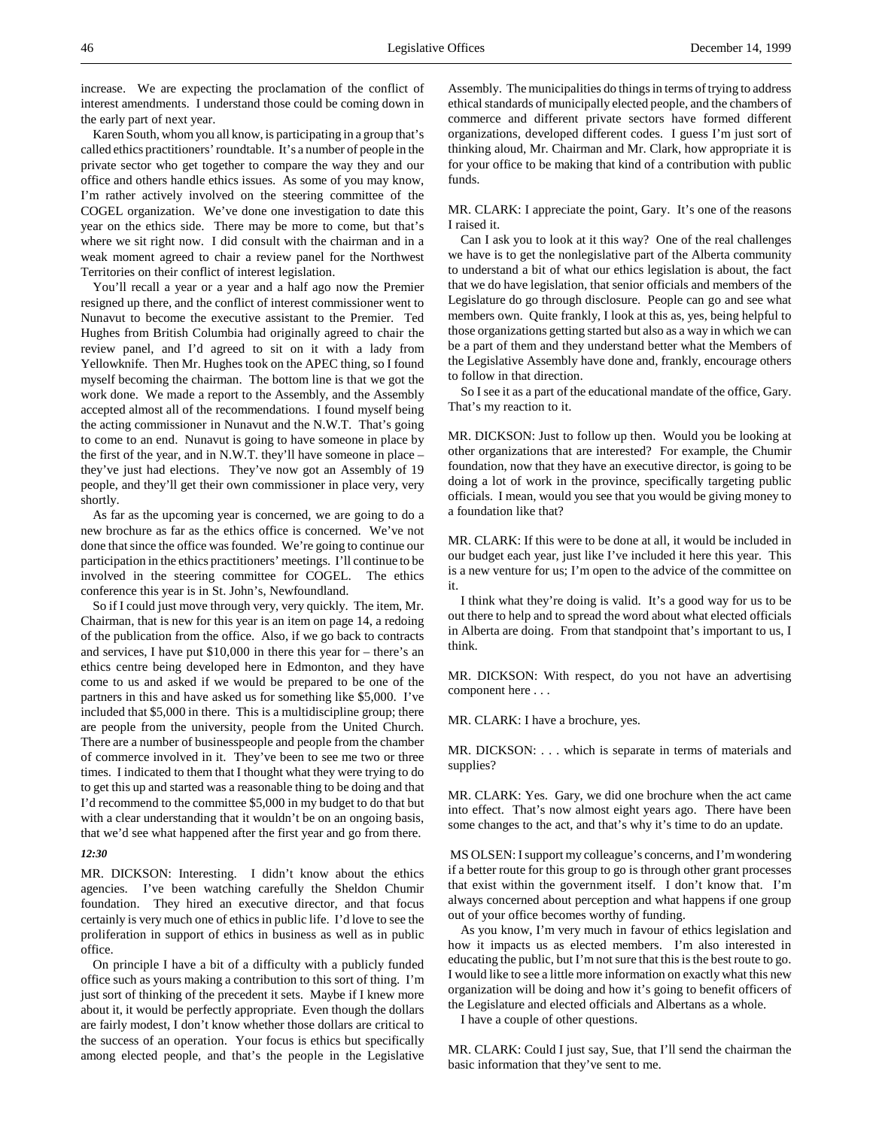increase. We are expecting the proclamation of the conflict of interest amendments. I understand those could be coming down in the early part of next year.

Karen South, whom you all know, is participating in a group that's called ethics practitioners' roundtable. It's a number of people in the private sector who get together to compare the way they and our office and others handle ethics issues. As some of you may know, I'm rather actively involved on the steering committee of the COGEL organization. We've done one investigation to date this year on the ethics side. There may be more to come, but that's where we sit right now. I did consult with the chairman and in a weak moment agreed to chair a review panel for the Northwest Territories on their conflict of interest legislation.

You'll recall a year or a year and a half ago now the Premier resigned up there, and the conflict of interest commissioner went to Nunavut to become the executive assistant to the Premier. Ted Hughes from British Columbia had originally agreed to chair the review panel, and I'd agreed to sit on it with a lady from Yellowknife. Then Mr. Hughes took on the APEC thing, so I found myself becoming the chairman. The bottom line is that we got the work done. We made a report to the Assembly, and the Assembly accepted almost all of the recommendations. I found myself being the acting commissioner in Nunavut and the N.W.T. That's going to come to an end. Nunavut is going to have someone in place by the first of the year, and in N.W.T. they'll have someone in place – they've just had elections. They've now got an Assembly of 19 people, and they'll get their own commissioner in place very, very shortly.

As far as the upcoming year is concerned, we are going to do a new brochure as far as the ethics office is concerned. We've not done that since the office was founded. We're going to continue our participation in the ethics practitioners' meetings. I'll continue to be involved in the steering committee for COGEL. The ethics conference this year is in St. John's, Newfoundland.

So if I could just move through very, very quickly. The item, Mr. Chairman, that is new for this year is an item on page 14, a redoing of the publication from the office. Also, if we go back to contracts and services, I have put \$10,000 in there this year for – there's an ethics centre being developed here in Edmonton, and they have come to us and asked if we would be prepared to be one of the partners in this and have asked us for something like \$5,000. I've included that \$5,000 in there. This is a multidiscipline group; there are people from the university, people from the United Church. There are a number of businesspeople and people from the chamber of commerce involved in it. They've been to see me two or three times. I indicated to them that I thought what they were trying to do to get this up and started was a reasonable thing to be doing and that I'd recommend to the committee \$5,000 in my budget to do that but with a clear understanding that it wouldn't be on an ongoing basis, that we'd see what happened after the first year and go from there.

## *12:30*

MR. DICKSON: Interesting. I didn't know about the ethics agencies. I've been watching carefully the Sheldon Chumir foundation. They hired an executive director, and that focus certainly is very much one of ethics in public life. I'd love to see the proliferation in support of ethics in business as well as in public office.

On principle I have a bit of a difficulty with a publicly funded office such as yours making a contribution to this sort of thing. I'm just sort of thinking of the precedent it sets. Maybe if I knew more about it, it would be perfectly appropriate. Even though the dollars are fairly modest, I don't know whether those dollars are critical to the success of an operation. Your focus is ethics but specifically among elected people, and that's the people in the Legislative

Assembly. The municipalities do things in terms of trying to address ethical standards of municipally elected people, and the chambers of commerce and different private sectors have formed different organizations, developed different codes. I guess I'm just sort of thinking aloud, Mr. Chairman and Mr. Clark, how appropriate it is for your office to be making that kind of a contribution with public funds.

MR. CLARK: I appreciate the point, Gary. It's one of the reasons I raised it.

Can I ask you to look at it this way? One of the real challenges we have is to get the nonlegislative part of the Alberta community to understand a bit of what our ethics legislation is about, the fact that we do have legislation, that senior officials and members of the Legislature do go through disclosure. People can go and see what members own. Quite frankly, I look at this as, yes, being helpful to those organizations getting started but also as a way in which we can be a part of them and they understand better what the Members of the Legislative Assembly have done and, frankly, encourage others to follow in that direction.

So I see it as a part of the educational mandate of the office, Gary. That's my reaction to it.

MR. DICKSON: Just to follow up then. Would you be looking at other organizations that are interested? For example, the Chumir foundation, now that they have an executive director, is going to be doing a lot of work in the province, specifically targeting public officials. I mean, would you see that you would be giving money to a foundation like that?

MR. CLARK: If this were to be done at all, it would be included in our budget each year, just like I've included it here this year. This is a new venture for us; I'm open to the advice of the committee on it.

I think what they're doing is valid. It's a good way for us to be out there to help and to spread the word about what elected officials in Alberta are doing. From that standpoint that's important to us, I think.

MR. DICKSON: With respect, do you not have an advertising component here . . .

MR. CLARK: I have a brochure, yes.

MR. DICKSON: . . . which is separate in terms of materials and supplies?

MR. CLARK: Yes. Gary, we did one brochure when the act came into effect. That's now almost eight years ago. There have been some changes to the act, and that's why it's time to do an update.

 MS OLSEN: I support my colleague's concerns, and I'm wondering if a better route for this group to go is through other grant processes that exist within the government itself. I don't know that. I'm always concerned about perception and what happens if one group out of your office becomes worthy of funding.

As you know, I'm very much in favour of ethics legislation and how it impacts us as elected members. I'm also interested in educating the public, but I'm not sure that this is the best route to go. I would like to see a little more information on exactly what this new organization will be doing and how it's going to benefit officers of the Legislature and elected officials and Albertans as a whole.

I have a couple of other questions.

MR. CLARK: Could I just say, Sue, that I'll send the chairman the basic information that they've sent to me.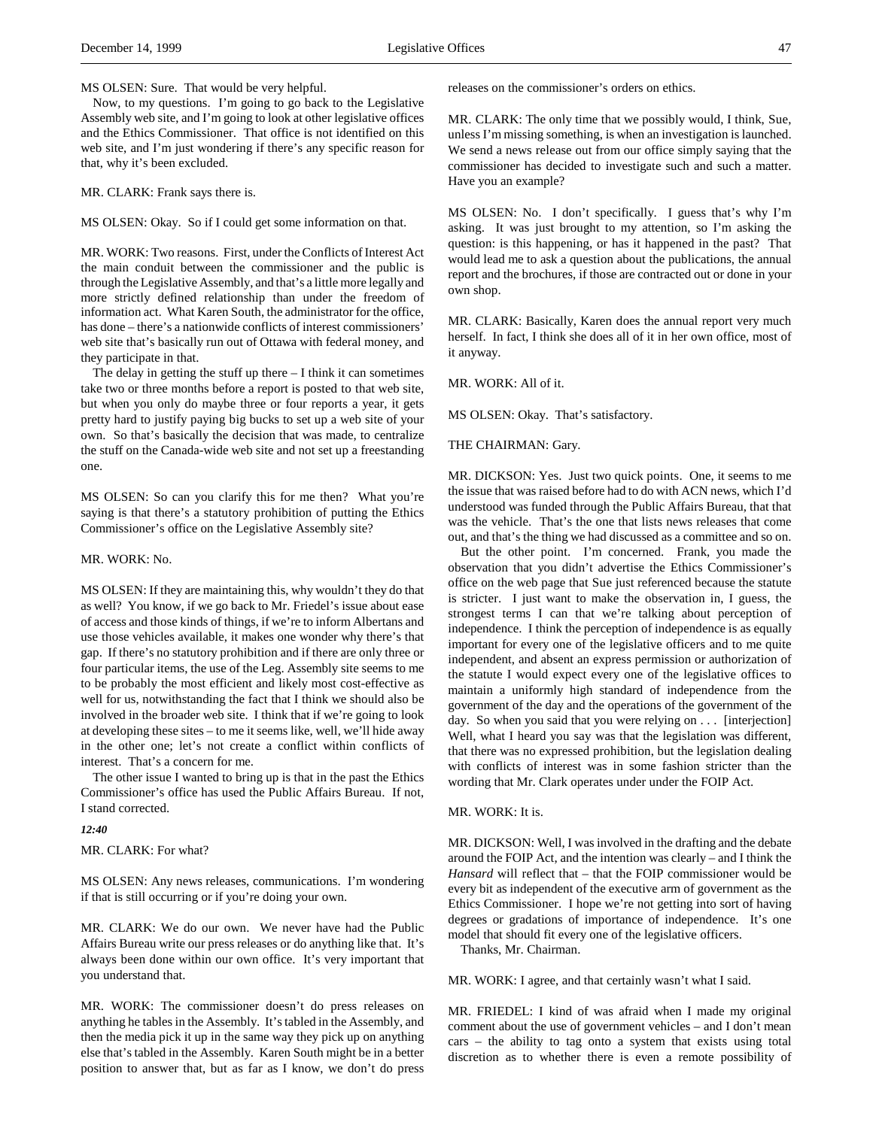MS OLSEN: Sure. That would be very helpful.

Now, to my questions. I'm going to go back to the Legislative Assembly web site, and I'm going to look at other legislative offices and the Ethics Commissioner. That office is not identified on this web site, and I'm just wondering if there's any specific reason for that, why it's been excluded.

MR. CLARK: Frank says there is.

MS OLSEN: Okay. So if I could get some information on that.

MR. WORK: Two reasons. First, under the Conflicts of Interest Act the main conduit between the commissioner and the public is through the Legislative Assembly, and that's a little more legally and more strictly defined relationship than under the freedom of information act. What Karen South, the administrator for the office, has done – there's a nationwide conflicts of interest commissioners' web site that's basically run out of Ottawa with federal money, and they participate in that.

The delay in getting the stuff up there  $-$  I think it can sometimes take two or three months before a report is posted to that web site, but when you only do maybe three or four reports a year, it gets pretty hard to justify paying big bucks to set up a web site of your own. So that's basically the decision that was made, to centralize the stuff on the Canada-wide web site and not set up a freestanding one.

MS OLSEN: So can you clarify this for me then? What you're saying is that there's a statutory prohibition of putting the Ethics Commissioner's office on the Legislative Assembly site?

#### MR. WORK: No.

MS OLSEN: If they are maintaining this, why wouldn't they do that as well? You know, if we go back to Mr. Friedel's issue about ease of access and those kinds of things, if we're to inform Albertans and use those vehicles available, it makes one wonder why there's that gap. If there's no statutory prohibition and if there are only three or four particular items, the use of the Leg. Assembly site seems to me to be probably the most efficient and likely most cost-effective as well for us, notwithstanding the fact that I think we should also be involved in the broader web site. I think that if we're going to look at developing these sites – to me it seems like, well, we'll hide away in the other one; let's not create a conflict within conflicts of interest. That's a concern for me.

The other issue I wanted to bring up is that in the past the Ethics Commissioner's office has used the Public Affairs Bureau. If not, I stand corrected.

*12:40*

MR. CLARK: For what?

MS OLSEN: Any news releases, communications. I'm wondering if that is still occurring or if you're doing your own.

MR. CLARK: We do our own. We never have had the Public Affairs Bureau write our press releases or do anything like that. It's always been done within our own office. It's very important that you understand that.

MR. WORK: The commissioner doesn't do press releases on anything he tables in the Assembly. It's tabled in the Assembly, and then the media pick it up in the same way they pick up on anything else that's tabled in the Assembly. Karen South might be in a better position to answer that, but as far as I know, we don't do press

releases on the commissioner's orders on ethics.

MR. CLARK: The only time that we possibly would, I think, Sue, unless I'm missing something, is when an investigation is launched. We send a news release out from our office simply saying that the commissioner has decided to investigate such and such a matter. Have you an example?

MS OLSEN: No. I don't specifically. I guess that's why I'm asking. It was just brought to my attention, so I'm asking the question: is this happening, or has it happened in the past? That would lead me to ask a question about the publications, the annual report and the brochures, if those are contracted out or done in your own shop.

MR. CLARK: Basically, Karen does the annual report very much herself. In fact, I think she does all of it in her own office, most of it anyway.

MR. WORK: All of it.

MS OLSEN: Okay. That's satisfactory.

### THE CHAIRMAN: Gary.

MR. DICKSON: Yes. Just two quick points. One, it seems to me the issue that was raised before had to do with ACN news, which I'd understood was funded through the Public Affairs Bureau, that that was the vehicle. That's the one that lists news releases that come out, and that's the thing we had discussed as a committee and so on.

But the other point. I'm concerned. Frank, you made the observation that you didn't advertise the Ethics Commissioner's office on the web page that Sue just referenced because the statute is stricter. I just want to make the observation in, I guess, the strongest terms I can that we're talking about perception of independence. I think the perception of independence is as equally important for every one of the legislative officers and to me quite independent, and absent an express permission or authorization of the statute I would expect every one of the legislative offices to maintain a uniformly high standard of independence from the government of the day and the operations of the government of the day. So when you said that you were relying on . . . [interjection] Well, what I heard you say was that the legislation was different, that there was no expressed prohibition, but the legislation dealing with conflicts of interest was in some fashion stricter than the wording that Mr. Clark operates under under the FOIP Act.

MR. WORK: It is.

MR. DICKSON: Well, I was involved in the drafting and the debate around the FOIP Act, and the intention was clearly – and I think the *Hansard* will reflect that – that the FOIP commissioner would be every bit as independent of the executive arm of government as the Ethics Commissioner. I hope we're not getting into sort of having degrees or gradations of importance of independence. It's one model that should fit every one of the legislative officers.

Thanks, Mr. Chairman.

MR. WORK: I agree, and that certainly wasn't what I said.

MR. FRIEDEL: I kind of was afraid when I made my original comment about the use of government vehicles – and I don't mean cars – the ability to tag onto a system that exists using total discretion as to whether there is even a remote possibility of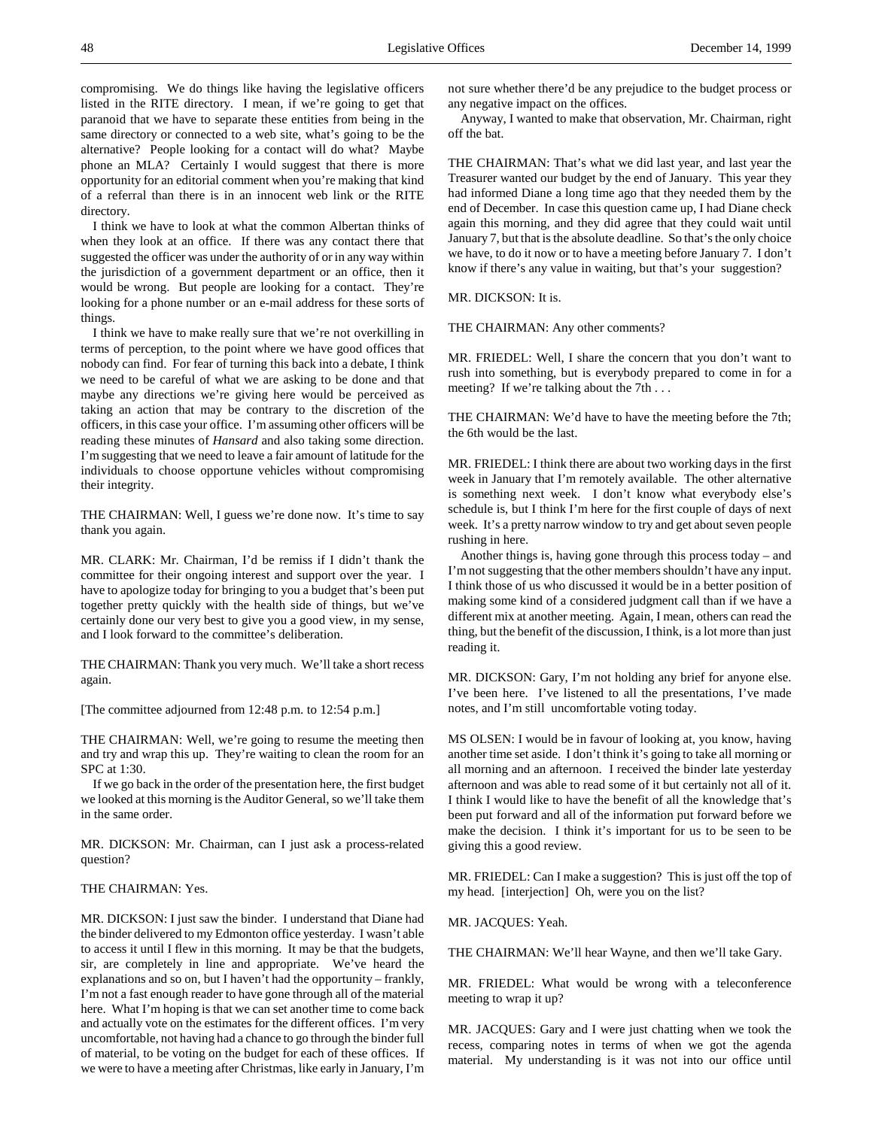compromising. We do things like having the legislative officers listed in the RITE directory. I mean, if we're going to get that paranoid that we have to separate these entities from being in the same directory or connected to a web site, what's going to be the alternative? People looking for a contact will do what? Maybe phone an MLA? Certainly I would suggest that there is more opportunity for an editorial comment when you're making that kind of a referral than there is in an innocent web link or the RITE directory.

I think we have to look at what the common Albertan thinks of when they look at an office. If there was any contact there that suggested the officer was under the authority of or in any way within the jurisdiction of a government department or an office, then it would be wrong. But people are looking for a contact. They're looking for a phone number or an e-mail address for these sorts of things.

I think we have to make really sure that we're not overkilling in terms of perception, to the point where we have good offices that nobody can find. For fear of turning this back into a debate, I think we need to be careful of what we are asking to be done and that maybe any directions we're giving here would be perceived as taking an action that may be contrary to the discretion of the officers, in this case your office. I'm assuming other officers will be reading these minutes of *Hansard* and also taking some direction. I'm suggesting that we need to leave a fair amount of latitude for the individuals to choose opportune vehicles without compromising their integrity.

THE CHAIRMAN: Well, I guess we're done now. It's time to say thank you again.

MR. CLARK: Mr. Chairman, I'd be remiss if I didn't thank the committee for their ongoing interest and support over the year. I have to apologize today for bringing to you a budget that's been put together pretty quickly with the health side of things, but we've certainly done our very best to give you a good view, in my sense, and I look forward to the committee's deliberation.

THE CHAIRMAN: Thank you very much. We'll take a short recess again.

[The committee adjourned from 12:48 p.m. to 12:54 p.m.]

THE CHAIRMAN: Well, we're going to resume the meeting then and try and wrap this up. They're waiting to clean the room for an SPC at 1:30.

If we go back in the order of the presentation here, the first budget we looked at this morning is the Auditor General, so we'll take them in the same order.

MR. DICKSON: Mr. Chairman, can I just ask a process-related question?

# THE CHAIRMAN: Yes.

MR. DICKSON: I just saw the binder. I understand that Diane had the binder delivered to my Edmonton office yesterday. I wasn't able to access it until I flew in this morning. It may be that the budgets, sir, are completely in line and appropriate. We've heard the explanations and so on, but I haven't had the opportunity – frankly, I'm not a fast enough reader to have gone through all of the material here. What I'm hoping is that we can set another time to come back and actually vote on the estimates for the different offices. I'm very uncomfortable, not having had a chance to go through the binder full of material, to be voting on the budget for each of these offices. If we were to have a meeting after Christmas, like early in January, I'm

not sure whether there'd be any prejudice to the budget process or any negative impact on the offices.

Anyway, I wanted to make that observation, Mr. Chairman, right off the bat.

THE CHAIRMAN: That's what we did last year, and last year the Treasurer wanted our budget by the end of January. This year they had informed Diane a long time ago that they needed them by the end of December. In case this question came up, I had Diane check again this morning, and they did agree that they could wait until January 7, but that is the absolute deadline. So that's the only choice we have, to do it now or to have a meeting before January 7. I don't know if there's any value in waiting, but that's your suggestion?

MR. DICKSON: It is.

THE CHAIRMAN: Any other comments?

MR. FRIEDEL: Well, I share the concern that you don't want to rush into something, but is everybody prepared to come in for a meeting? If we're talking about the 7th . . .

THE CHAIRMAN: We'd have to have the meeting before the 7th; the 6th would be the last.

MR. FRIEDEL: I think there are about two working days in the first week in January that I'm remotely available. The other alternative is something next week. I don't know what everybody else's schedule is, but I think I'm here for the first couple of days of next week. It's a pretty narrow window to try and get about seven people rushing in here.

Another things is, having gone through this process today – and I'm not suggesting that the other members shouldn't have any input. I think those of us who discussed it would be in a better position of making some kind of a considered judgment call than if we have a different mix at another meeting. Again, I mean, others can read the thing, but the benefit of the discussion, I think, is a lot more than just reading it.

MR. DICKSON: Gary, I'm not holding any brief for anyone else. I've been here. I've listened to all the presentations, I've made notes, and I'm still uncomfortable voting today.

MS OLSEN: I would be in favour of looking at, you know, having another time set aside. I don't think it's going to take all morning or all morning and an afternoon. I received the binder late yesterday afternoon and was able to read some of it but certainly not all of it. I think I would like to have the benefit of all the knowledge that's been put forward and all of the information put forward before we make the decision. I think it's important for us to be seen to be giving this a good review.

MR. FRIEDEL: Can I make a suggestion? This is just off the top of my head. [interjection] Oh, were you on the list?

MR. JACQUES: Yeah.

THE CHAIRMAN: We'll hear Wayne, and then we'll take Gary.

MR. FRIEDEL: What would be wrong with a teleconference meeting to wrap it up?

MR. JACQUES: Gary and I were just chatting when we took the recess, comparing notes in terms of when we got the agenda material. My understanding is it was not into our office until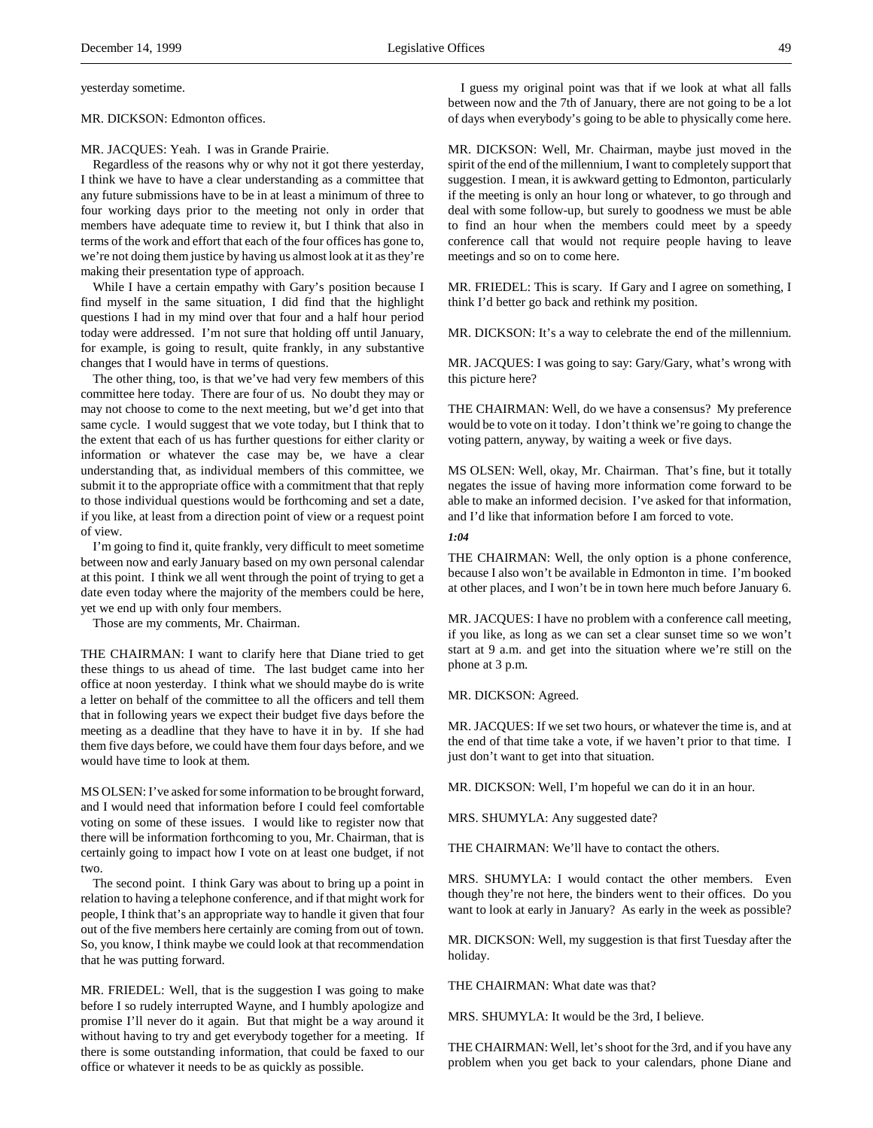yesterday sometime.

#### MR. DICKSON: Edmonton offices.

### MR. JACQUES: Yeah. I was in Grande Prairie.

Regardless of the reasons why or why not it got there yesterday, I think we have to have a clear understanding as a committee that any future submissions have to be in at least a minimum of three to four working days prior to the meeting not only in order that members have adequate time to review it, but I think that also in terms of the work and effort that each of the four offices has gone to, we're not doing them justice by having us almost look at it as they're making their presentation type of approach.

While I have a certain empathy with Gary's position because I find myself in the same situation, I did find that the highlight questions I had in my mind over that four and a half hour period today were addressed. I'm not sure that holding off until January, for example, is going to result, quite frankly, in any substantive changes that I would have in terms of questions.

The other thing, too, is that we've had very few members of this committee here today. There are four of us. No doubt they may or may not choose to come to the next meeting, but we'd get into that same cycle. I would suggest that we vote today, but I think that to the extent that each of us has further questions for either clarity or information or whatever the case may be, we have a clear understanding that, as individual members of this committee, we submit it to the appropriate office with a commitment that that reply to those individual questions would be forthcoming and set a date, if you like, at least from a direction point of view or a request point of view.

I'm going to find it, quite frankly, very difficult to meet sometime between now and early January based on my own personal calendar at this point. I think we all went through the point of trying to get a date even today where the majority of the members could be here, yet we end up with only four members.

Those are my comments, Mr. Chairman.

THE CHAIRMAN: I want to clarify here that Diane tried to get these things to us ahead of time. The last budget came into her office at noon yesterday. I think what we should maybe do is write a letter on behalf of the committee to all the officers and tell them that in following years we expect their budget five days before the meeting as a deadline that they have to have it in by. If she had them five days before, we could have them four days before, and we would have time to look at them.

MS OLSEN: I've asked for some information to be brought forward, and I would need that information before I could feel comfortable voting on some of these issues. I would like to register now that there will be information forthcoming to you, Mr. Chairman, that is certainly going to impact how I vote on at least one budget, if not two.

The second point. I think Gary was about to bring up a point in relation to having a telephone conference, and if that might work for people, I think that's an appropriate way to handle it given that four out of the five members here certainly are coming from out of town. So, you know, I think maybe we could look at that recommendation that he was putting forward.

MR. FRIEDEL: Well, that is the suggestion I was going to make before I so rudely interrupted Wayne, and I humbly apologize and promise I'll never do it again. But that might be a way around it without having to try and get everybody together for a meeting. If there is some outstanding information, that could be faxed to our office or whatever it needs to be as quickly as possible.

I guess my original point was that if we look at what all falls between now and the 7th of January, there are not going to be a lot of days when everybody's going to be able to physically come here.

MR. DICKSON: Well, Mr. Chairman, maybe just moved in the spirit of the end of the millennium, I want to completely support that suggestion. I mean, it is awkward getting to Edmonton, particularly if the meeting is only an hour long or whatever, to go through and deal with some follow-up, but surely to goodness we must be able to find an hour when the members could meet by a speedy conference call that would not require people having to leave meetings and so on to come here.

MR. FRIEDEL: This is scary. If Gary and I agree on something, I think I'd better go back and rethink my position.

MR. DICKSON: It's a way to celebrate the end of the millennium.

MR. JACQUES: I was going to say: Gary/Gary, what's wrong with this picture here?

THE CHAIRMAN: Well, do we have a consensus? My preference would be to vote on it today. I don't think we're going to change the voting pattern, anyway, by waiting a week or five days.

MS OLSEN: Well, okay, Mr. Chairman. That's fine, but it totally negates the issue of having more information come forward to be able to make an informed decision. I've asked for that information, and I'd like that information before I am forced to vote.

### *1:04*

THE CHAIRMAN: Well, the only option is a phone conference, because I also won't be available in Edmonton in time. I'm booked at other places, and I won't be in town here much before January 6.

MR. JACQUES: I have no problem with a conference call meeting, if you like, as long as we can set a clear sunset time so we won't start at 9 a.m. and get into the situation where we're still on the phone at 3 p.m.

MR. DICKSON: Agreed.

MR. JACQUES: If we set two hours, or whatever the time is, and at the end of that time take a vote, if we haven't prior to that time. I just don't want to get into that situation.

MR. DICKSON: Well, I'm hopeful we can do it in an hour.

MRS. SHUMYLA: Any suggested date?

THE CHAIRMAN: We'll have to contact the others.

MRS. SHUMYLA: I would contact the other members. Even though they're not here, the binders went to their offices. Do you want to look at early in January? As early in the week as possible?

MR. DICKSON: Well, my suggestion is that first Tuesday after the holiday.

THE CHAIRMAN: What date was that?

MRS. SHUMYLA: It would be the 3rd, I believe.

THE CHAIRMAN: Well, let's shoot for the 3rd, and if you have any problem when you get back to your calendars, phone Diane and